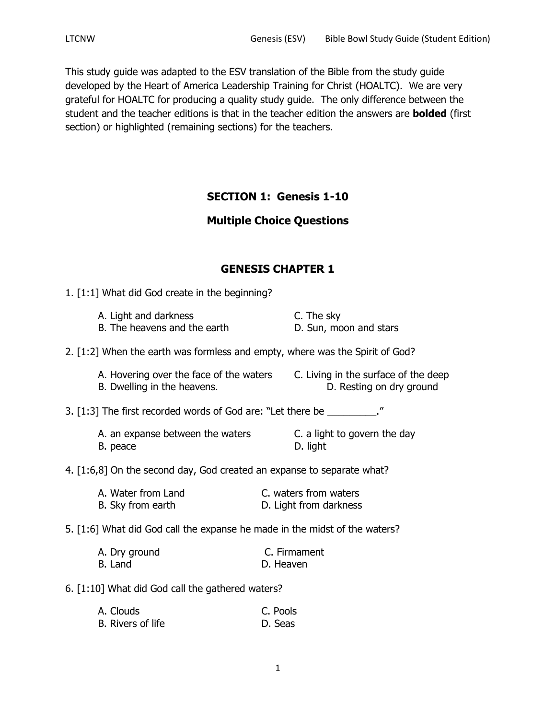This study guide was adapted to the ESV translation of the Bible from the study guide developed by the Heart of America Leadership Training for Christ (HOALTC). We are very grateful for HOALTC for producing a quality study guide. The only difference between the student and the teacher editions is that in the teacher edition the answers are **bolded** (first section) or highlighted (remaining sections) for the teachers.

# **SECTION 1: Genesis 1-10**

# **Multiple Choice Questions**

# **GENESIS CHAPTER 1**

1. [1:1] What did God create in the beginning?

| A. Light and darkness        | C. The sky             |
|------------------------------|------------------------|
| B. The heavens and the earth | D. Sun, moon and stars |

## 2. [1:2] When the earth was formless and empty, where was the Spirit of God?

| A. Hovering over the face of the waters | C. Living in the surface of the deep |
|-----------------------------------------|--------------------------------------|
| B. Dwelling in the heavens.             | D. Resting on dry ground             |

3. [1:3] The first recorded words of God are: "Let there be  $\blacksquare$ "

A. an expanse between the waters **C.** a light to govern the day B. peace D. light

## 4. [1:6,8] On the second day, God created an expanse to separate what?

| A. Water from Land | C. waters from waters  |
|--------------------|------------------------|
| B. Sky from earth  | D. Light from darkness |

## 5. [1:6] What did God call the expanse he made in the midst of the waters?

| A. Dry ground | C. Firmament |
|---------------|--------------|
| B. Land       | D. Heaven    |

## 6. [1:10] What did God call the gathered waters?

| A. Clouds         | C. Pools |  |
|-------------------|----------|--|
| B. Rivers of life | D. Seas  |  |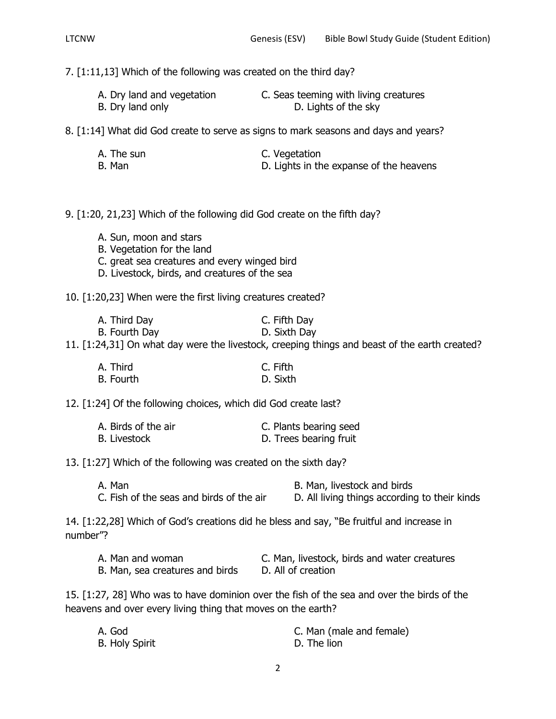7. [1:11,13] Which of the following was created on the third day?

| A. Dry land and vegetation | C. Seas teeming with living creatures |
|----------------------------|---------------------------------------|
| B. Dry land only           | D. Lights of the sky                  |

8. [1:14] What did God create to serve as signs to mark seasons and days and years?

| A. The sun | C. Vegetation                           |
|------------|-----------------------------------------|
| B. Man     | D. Lights in the expanse of the heavens |

9. [1:20, 21,23] Which of the following did God create on the fifth day?

- A. Sun, moon and stars
- B. Vegetation for the land
- C. great sea creatures and every winged bird
- D. Livestock, birds, and creatures of the sea

10. [1:20,23] When were the first living creatures created?

| A. Third Day  | C. Fifth Day |
|---------------|--------------|
| B. Fourth Day | D. Sixth Day |

11. [1:24,31] On what day were the livestock, creeping things and beast of the earth created?

| A. Third  | C. Fifth |
|-----------|----------|
| B. Fourth | D. Sixth |

12. [1:24] Of the following choices, which did God create last?

| A. Birds of the air | C. Plants bearing seed |
|---------------------|------------------------|
| B. Livestock        | D. Trees bearing fruit |

13. [1:27] Which of the following was created on the sixth day?

| A. Man                                   | B. Man, livestock and birds                   |
|------------------------------------------|-----------------------------------------------|
| C. Fish of the seas and birds of the air | D. All living things according to their kinds |

14. [1:22,28] Which of God's creations did he bless and say, "Be fruitful and increase in number"?

| A. Man and woman                | C. Man, livestock, birds and water creatures |
|---------------------------------|----------------------------------------------|
| B. Man, sea creatures and birds | D. All of creation                           |

15. [1:27, 28] Who was to have dominion over the fish of the sea and over the birds of the heavens and over every living thing that moves on the earth?

| A. God                | C. Man (male and female) |
|-----------------------|--------------------------|
| <b>B. Holy Spirit</b> | D. The lion              |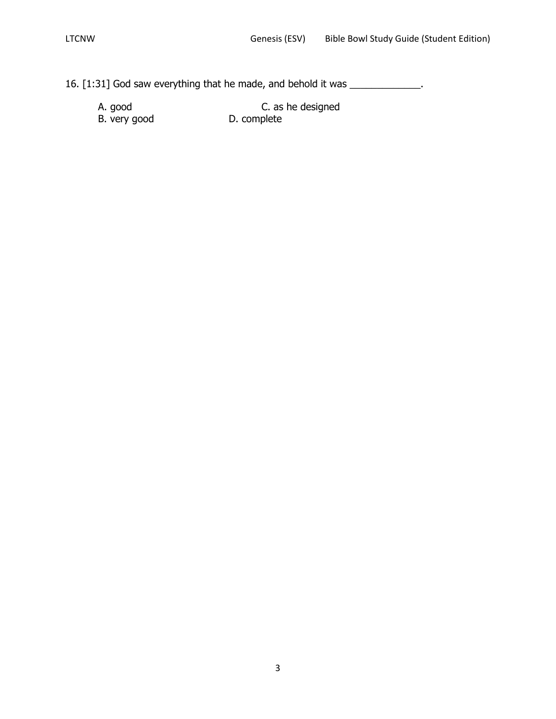16. [1:31] God saw everything that he made, and behold it was \_\_\_\_\_\_\_\_\_\_\_\_\_.

| A. good      | C. as he designed |
|--------------|-------------------|
| B. very good | D. complete       |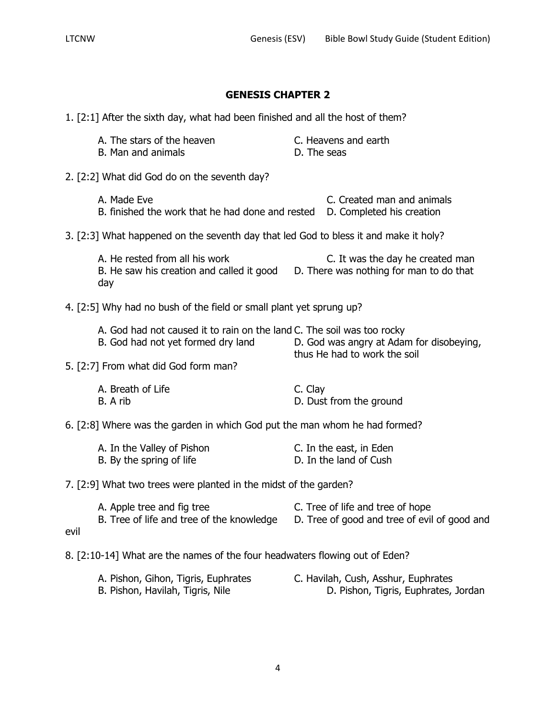1. [2:1] After the sixth day, what had been finished and all the host of them?

| A. The stars of the heaven | C. Heavens and earth |
|----------------------------|----------------------|
| B. Man and animals         | D. The seas          |

2. [2:2] What did God do on the seventh day?

A. Made Eve **C.** Created man and animals B. finished the work that he had done and rested D. Completed his creation

3. [2:3] What happened on the seventh day that led God to bless it and make it holy?

A. He rested from all his work C. It was the day he created man B. He saw his creation and called it good D. There was nothing for man to do that day

4. [2:5] Why had no bush of the field or small plant yet sprung up?

| A. God had not caused it to rain on the land C. The soil was too rocky |                                          |
|------------------------------------------------------------------------|------------------------------------------|
| B. God had not yet formed dry land                                     | D. God was angry at Adam for disobeying, |
|                                                                        | thus He had to work the soil             |

5. [2:7] From what did God form man?

| A. Breath of Life | C. Clay                 |
|-------------------|-------------------------|
| B. A rib          | D. Dust from the ground |

6. [2:8] Where was the garden in which God put the man whom he had formed?

| A. In the Valley of Pishon | C. In the east, in Eden |
|----------------------------|-------------------------|
| B. By the spring of life   | D. In the land of Cush  |

7. [2:9] What two trees were planted in the midst of the garden?

A. Apple tree and fig tree C. Tree of life and tree of hope B. Tree of life and tree of the knowledge D. Tree of good and tree of evil of good and evil

8. [2:10-14] What are the names of the four headwaters flowing out of Eden?

| A. Pishon, Gihon, Tigris, Euphrates | C. Havilah, Cush, Asshur, Euphrates  |
|-------------------------------------|--------------------------------------|
| B. Pishon, Havilah, Tigris, Nile    | D. Pishon, Tigris, Euphrates, Jordan |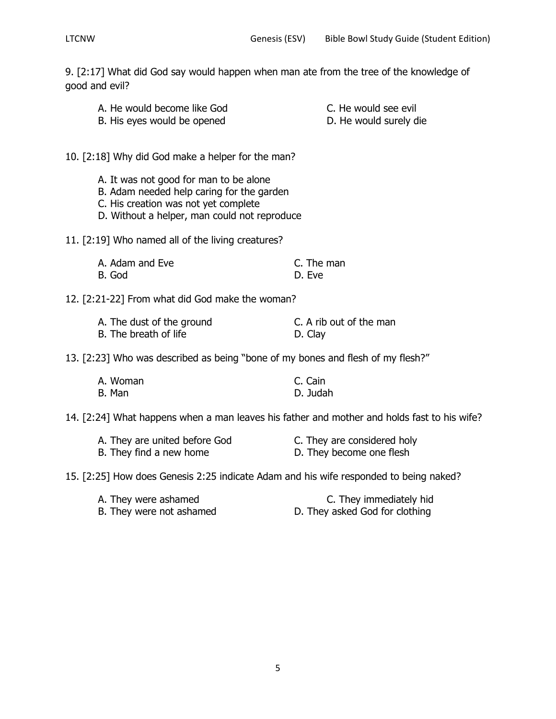9. [2:17] What did God say would happen when man ate from the tree of the knowledge of good and evil?

- A. He would become like God C. He would see evil B. His eyes would be opened D. He would surely die
- 

10. [2:18] Why did God make a helper for the man?

- A. It was not good for man to be alone
- B. Adam needed help caring for the garden
- C. His creation was not yet complete
- D. Without a helper, man could not reproduce

11. [2:19] Who named all of the living creatures?

| A. Adam and Eve | C. The man |
|-----------------|------------|
| B. God          | D. Eve     |

12. [2:21-22] From what did God make the woman?

| A. The dust of the ground | C. A rib out of the man |
|---------------------------|-------------------------|
| B. The breath of life     | D. Clay                 |

13. [2:23] Who was described as being "bone of my bones and flesh of my flesh?"

| A. Woman | C. Cain  |
|----------|----------|
| B. Man   | D. Judah |

14. [2:24] What happens when a man leaves his father and mother and holds fast to his wife?

| A. They are united before God | C. They are considered holy |
|-------------------------------|-----------------------------|
| B. They find a new home       | D. They become one flesh    |

15. [2:25] How does Genesis 2:25 indicate Adam and his wife responded to being naked?

| A. They were ashamed     | C. They immediately hid        |
|--------------------------|--------------------------------|
| B. They were not ashamed | D. They asked God for clothing |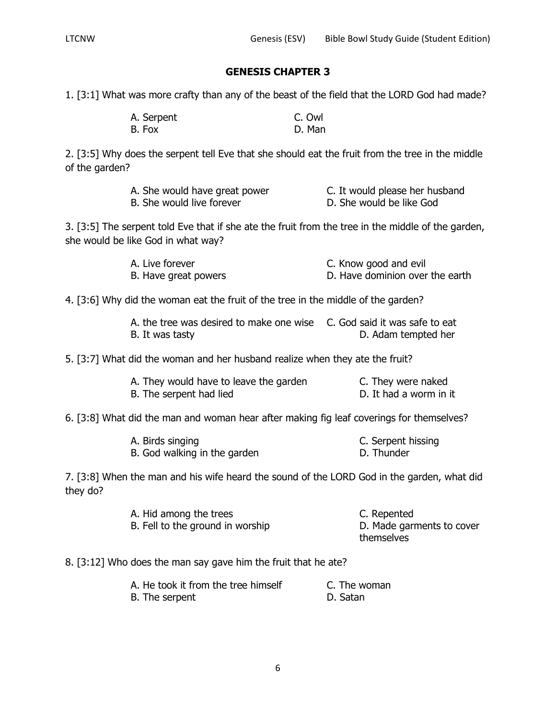1. [3:1] What was more crafty than any of the beast of the field that the LORD God had made?

| A. Serpent | C. Owl |
|------------|--------|
| B. Fox     | D. Man |

2. [3:5] Why does the serpent tell Eve that she should eat the fruit from the tree in the middle of the garden?

| A. She would have great power | C. It would please her husband |
|-------------------------------|--------------------------------|
| B. She would live forever     | D. She would be like God       |

3. [3:5] The serpent told Eve that if she ate the fruit from the tree in the middle of the garden, she would be like God in what way?

| A. Live forever      | C. Know good and evil           |
|----------------------|---------------------------------|
| B. Have great powers | D. Have dominion over the earth |

4. [3:6] Why did the woman eat the fruit of the tree in the middle of the garden?

| A, the tree was desired to make one wise C. God said it was safe to eat |                     |
|-------------------------------------------------------------------------|---------------------|
| B. It was tasty                                                         | D. Adam tempted her |

5. [3:7] What did the woman and her husband realize when they ate the fruit?

| A. They would have to leave the garden | C. They were naked     |
|----------------------------------------|------------------------|
| B. The serpent had lied                | D. It had a worm in it |

6. [3:8] What did the man and woman hear after making fig leaf coverings for themselves?

| A. Birds singing             | C. Serpent hissing |
|------------------------------|--------------------|
| B. God walking in the garden | D. Thunder         |

7. [3:8] When the man and his wife heard the sound of the LORD God in the garden, what did they do?

| A. Hid among the trees           | C. Repented               |
|----------------------------------|---------------------------|
| B. Fell to the ground in worship | D. Made garments to cover |
|                                  | themselves                |

8. [3:12] Who does the man say gave him the fruit that he ate?

| A. He took it from the tree himself | C. The woman |
|-------------------------------------|--------------|
| B. The serpent                      | D. Satan     |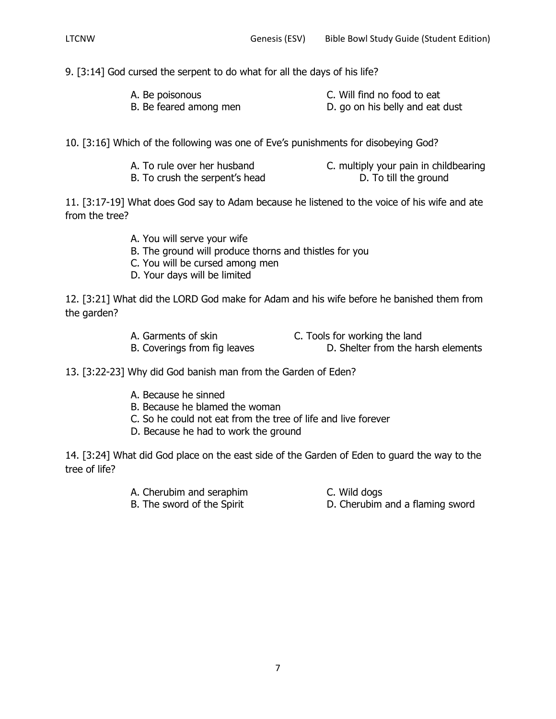9. [3:14] God cursed the serpent to do what for all the days of his life?

| A. Be poisonous        | C. Will find no food to eat     |
|------------------------|---------------------------------|
| B. Be feared among men | D. go on his belly and eat dust |

10. [3:16] Which of the following was one of Eve's punishments for disobeying God?

| A. To rule over her husband    | C. multiply your pain in childbearing |
|--------------------------------|---------------------------------------|
| B. To crush the serpent's head | D. To till the ground                 |

11. [3:17-19] What does God say to Adam because he listened to the voice of his wife and ate from the tree?

- A. You will serve your wife
- B. The ground will produce thorns and thistles for you
- C. You will be cursed among men
- D. Your days will be limited

12. [3:21] What did the LORD God make for Adam and his wife before he banished them from the garden?

A. Garments of skin C. Tools for working the land

B. Coverings from fig leaves D. Shelter from the harsh elements

13. [3:22-23] Why did God banish man from the Garden of Eden?

- A. Because he sinned
- B. Because he blamed the woman
- C. So he could not eat from the tree of life and live forever
- D. Because he had to work the ground

14. [3:24] What did God place on the east side of the Garden of Eden to guard the way to the tree of life?

- A. Cherubim and seraphim C. Wild dogs
	-
- 
- B. The sword of the Spirit **D. Cherubim and a flaming sword**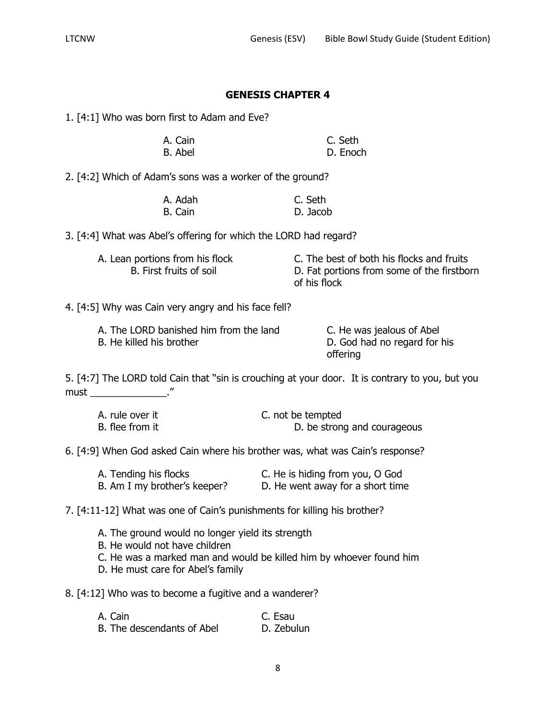1. [4:1] Who was born first to Adam and Eve?

| A. Cain | C. Seth  |
|---------|----------|
| B. Abel | D. Enoch |

2. [4:2] Which of Adam's sons was a worker of the ground?

| A. Adah | C. Seth  |
|---------|----------|
| B. Cain | D. Jacob |

3. [4:4] What was Abel's offering for which the LORD had regard?

- 
- A. Lean portions from his flock C. The best of both his flocks and fruits B. First fruits of soil **D. Fat portions from some of the firstborn** of his flock

4. [4:5] Why was Cain very angry and his face fell?

| A. The LORD banished him from the land | C. He was jealous of Abel    |
|----------------------------------------|------------------------------|
| B. He killed his brother               | D. God had no regard for his |
|                                        | offering                     |

5. [4:7] The LORD told Cain that "sin is crouching at your door. It is contrary to you, but you must the contract of the contract of the contract of the contract of the contract of the contract of the contract of the contract of the contract of the contract of the contract of the contract of the contract of the contr

| A. rule over it | C. not be tempted           |
|-----------------|-----------------------------|
| B. flee from it | D. be strong and courageous |

6. [4:9] When God asked Cain where his brother was, what was Cain's response?

| A. Tending his flocks        | C. He is hiding from you, O God  |
|------------------------------|----------------------------------|
| B. Am I my brother's keeper? | D. He went away for a short time |

7. [4:11-12] What was one of Cain's punishments for killing his brother?

- A. The ground would no longer yield its strength
- B. He would not have children
- C. He was a marked man and would be killed him by whoever found him
- D. He must care for Abel's family

8. [4:12] Who was to become a fugitive and a wanderer?

| A. Cain                    | C. Esau    |
|----------------------------|------------|
| B. The descendants of Abel | D. Zebulun |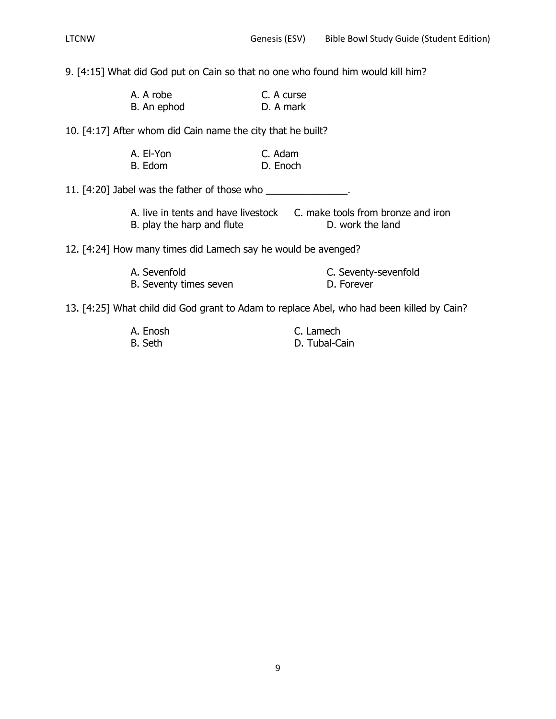9. [4:15] What did God put on Cain so that no one who found him would kill him?

| A. A robe   | C. A curse |
|-------------|------------|
| B. An ephod | D. A mark  |

10. [4:17] After whom did Cain name the city that he built?

| A. El-Yon | C. Adam  |
|-----------|----------|
| B. Edom   | D. Enoch |

11. [4:20] Jabel was the father of those who \_\_\_\_\_\_\_\_\_\_\_\_\_\_\_.

| A. live in tents and have livestock | C. make tools from bronze and iron |
|-------------------------------------|------------------------------------|
| B. play the harp and flute          | D. work the land                   |

12. [4:24] How many times did Lamech say he would be avenged?

| A. Sevenfold           | C. Seventy-sevenfold |
|------------------------|----------------------|
| B. Seventy times seven | D. Forever           |

13. [4:25] What child did God grant to Adam to replace Abel, who had been killed by Cain?

| A. Enosh | C. Lamech     |
|----------|---------------|
| B. Seth  | D. Tubal-Cain |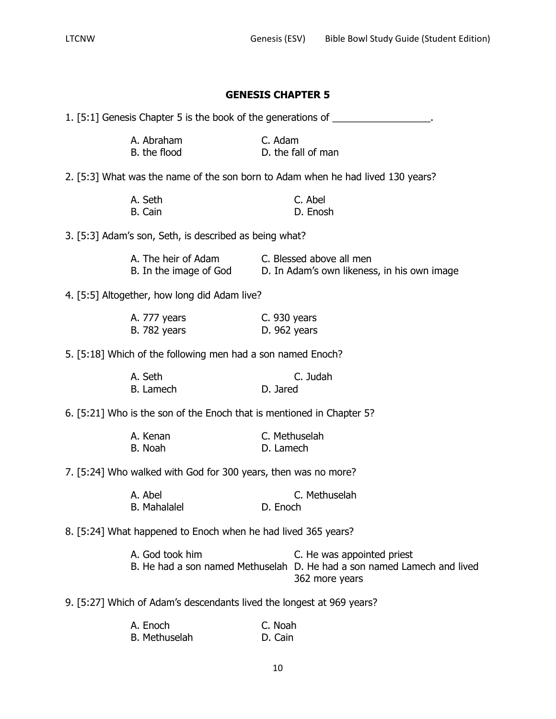|                                                                       |                              | <b>GENESIS CHAPTER 5</b>                                                                                                |
|-----------------------------------------------------------------------|------------------------------|-------------------------------------------------------------------------------------------------------------------------|
|                                                                       |                              | 1. [5:1] Genesis Chapter 5 is the book of the generations of __________________.                                        |
| A. Abraham<br>B. the flood                                            | C. Adam                      | D. the fall of man                                                                                                      |
|                                                                       |                              | 2. [5:3] What was the name of the son born to Adam when he had lived 130 years?                                         |
| A. Seth<br>B. Cain                                                    |                              | C. Abel<br>D. Enosh                                                                                                     |
| 3. [5:3] Adam's son, Seth, is described as being what?                |                              |                                                                                                                         |
| A. The heir of Adam<br>B. In the image of God                         |                              | C. Blessed above all men<br>D. In Adam's own likeness, in his own image                                                 |
| 4. [5:5] Altogether, how long did Adam live?                          |                              |                                                                                                                         |
| A. 777 years<br><b>B.</b> 782 years                                   | C. 930 years<br>D. 962 years |                                                                                                                         |
| 5. [5:18] Which of the following men had a son named Enoch?           |                              |                                                                                                                         |
| A. Seth<br>B. Lamech                                                  | D. Jared                     | C. Judah                                                                                                                |
| 6. [5:21] Who is the son of the Enoch that is mentioned in Chapter 5? |                              |                                                                                                                         |
| A. Kenan<br>B. Noah                                                   | D. Lamech                    | C. Methuselah                                                                                                           |
| 7. [5:24] Who walked with God for 300 years, then was no more?        |                              |                                                                                                                         |
| A. Abel<br><b>B.</b> Mahalalel                                        | D. Enoch                     | C. Methuselah                                                                                                           |
| 8. [5:24] What happened to Enoch when he had lived 365 years?         |                              |                                                                                                                         |
| A. God took him                                                       |                              | C. He was appointed priest<br>B. He had a son named Methuselah D. He had a son named Lamech and lived<br>362 more years |
| 9. [5:27] Which of Adam's descendants lived the longest at 969 years? |                              |                                                                                                                         |
| A. Enoch                                                              | C. Noah                      |                                                                                                                         |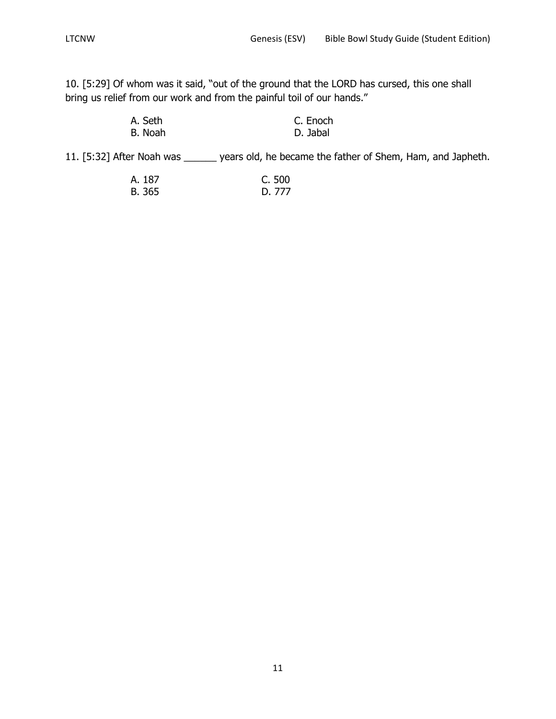10. [5:29] Of whom was it said, "out of the ground that the LORD has cursed, this one shall bring us relief from our work and from the painful toil of our hands."

| A. Seth | C. Enoch |
|---------|----------|
| B. Noah | D. Jabal |

11. [5:32] After Noah was \_\_\_\_\_\_ years old, he became the father of Shem, Ham, and Japheth.

| A. 187 | C. 500 |
|--------|--------|
| B. 365 | D. 777 |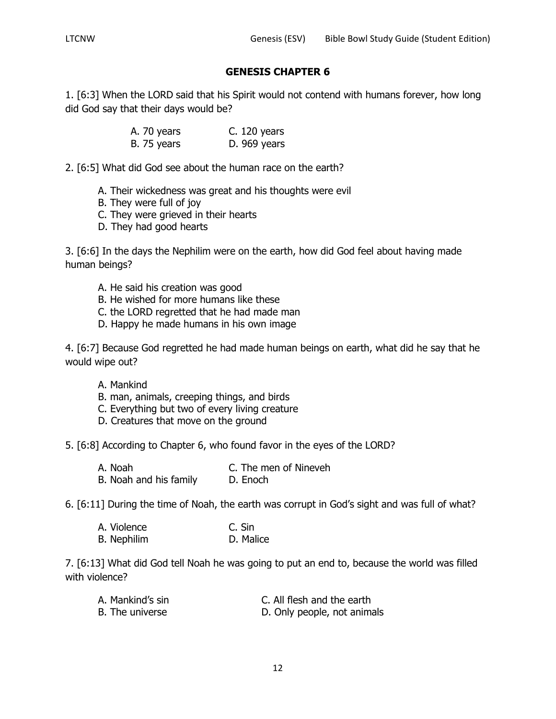1. [6:3] When the LORD said that his Spirit would not contend with humans forever, how long did God say that their days would be?

| A. 70 years | $C. 120$ years |
|-------------|----------------|
| B. 75 years | D. 969 years   |

2. [6:5] What did God see about the human race on the earth?

- A. Their wickedness was great and his thoughts were evil
- B. They were full of joy
- C. They were grieved in their hearts
- D. They had good hearts

3. [6:6] In the days the Nephilim were on the earth, how did God feel about having made human beings?

- A. He said his creation was good
- B. He wished for more humans like these
- C. the LORD regretted that he had made man
- D. Happy he made humans in his own image

4. [6:7] Because God regretted he had made human beings on earth, what did he say that he would wipe out?

- A. Mankind
- B. man, animals, creeping things, and birds
- C. Everything but two of every living creature
- D. Creatures that move on the ground

5. [6:8] According to Chapter 6, who found favor in the eyes of the LORD?

A. Noah C. The men of Nineveh B. Noah and his family D. Enoch

6. [6:11] During the time of Noah, the earth was corrupt in God's sight and was full of what?

| A. Violence        | C. Sin    |
|--------------------|-----------|
| <b>B.</b> Nephilim | D. Malice |

7. [6:13] What did God tell Noah he was going to put an end to, because the world was filled with violence?

| A. Mankind's sin | C. All flesh and the earth  |
|------------------|-----------------------------|
| B. The universe  | D. Only people, not animals |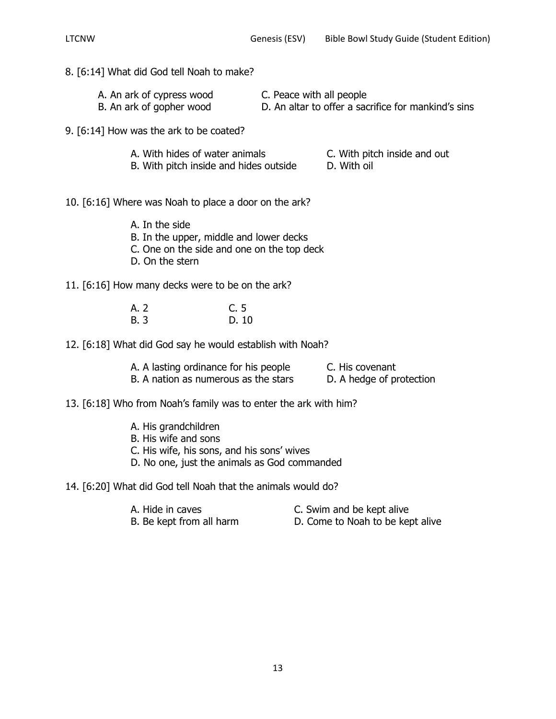# 8. [6:14] What did God tell Noah to make?

| A. An ark of cypress wood | C. Peace with all people                            |
|---------------------------|-----------------------------------------------------|
| B. An ark of gopher wood  | D. An altar to offer a sacrifice for mankind's sins |

9. [6:14] How was the ark to be coated?

| A. With hides of water animals |  |
|--------------------------------|--|
|--------------------------------|--|

- C. With pitch inside and out
- B. With pitch inside and hides outside D. With oil

10. [6:16] Where was Noah to place a door on the ark?

- A. In the side
- B. In the upper, middle and lower decks
- C. One on the side and one on the top deck
- D. On the stern
- 11. [6:16] How many decks were to be on the ark?

| A. 2        | C. 5  |
|-------------|-------|
| <b>B.</b> 3 | D. 10 |

12. [6:18] What did God say he would establish with Noah?

| A. A lasting ordinance for his people | C. His covenant          |
|---------------------------------------|--------------------------|
| B. A nation as numerous as the stars  | D. A hedge of protection |

## 13. [6:18] Who from Noah's family was to enter the ark with him?

- A. His grandchildren
- B. His wife and sons
- C. His wife, his sons, and his sons' wives
- D. No one, just the animals as God commanded

14. [6:20] What did God tell Noah that the animals would do?

- 
- A. Hide in caves C. Swim and be kept alive
- B. Be kept from all harm D. Come to Noah to be kept alive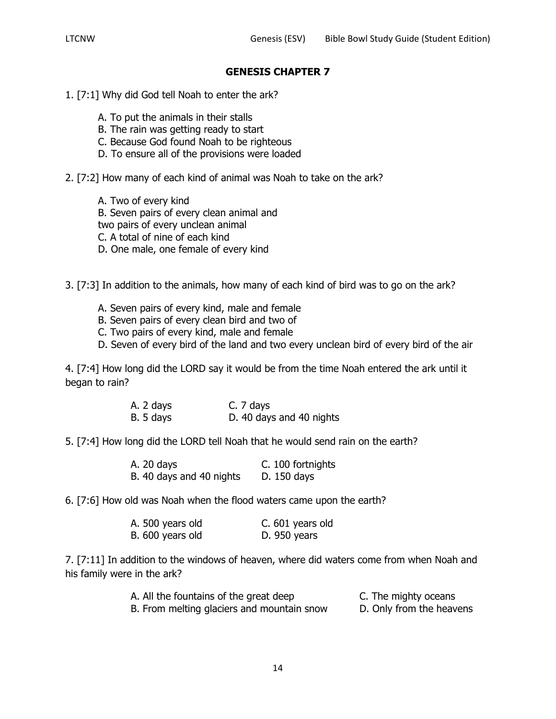- 1. [7:1] Why did God tell Noah to enter the ark?
	- A. To put the animals in their stalls
	- B. The rain was getting ready to start
	- C. Because God found Noah to be righteous
	- D. To ensure all of the provisions were loaded
- 2. [7:2] How many of each kind of animal was Noah to take on the ark?
	- A. Two of every kind
	- B. Seven pairs of every clean animal and
	- two pairs of every unclean animal
	- C. A total of nine of each kind
	- D. One male, one female of every kind
- 3. [7:3] In addition to the animals, how many of each kind of bird was to go on the ark?
	- A. Seven pairs of every kind, male and female
	- B. Seven pairs of every clean bird and two of
	- C. Two pairs of every kind, male and female
	- D. Seven of every bird of the land and two every unclean bird of every bird of the air

4. [7:4] How long did the LORD say it would be from the time Noah entered the ark until it began to rain?

| A. 2 days |  | C. 7 days |  |                          |
|-----------|--|-----------|--|--------------------------|
| B. 5 days |  |           |  | D. 40 days and 40 nights |

5. [7:4] How long did the LORD tell Noah that he would send rain on the earth?

|  | A. 20 days               | C. 100 fortnights |
|--|--------------------------|-------------------|
|  | B. 40 days and 40 nights | D. 150 days       |

6. [7:6] How old was Noah when the flood waters came upon the earth?

| A. 500 years old | C. 601 years old |
|------------------|------------------|
| B. 600 years old | D. 950 years     |

7. [7:11] In addition to the windows of heaven, where did waters come from when Noah and his family were in the ark?

| A. All the fountains of the great deep     | C. The mighty oceans     |
|--------------------------------------------|--------------------------|
| B. From melting glaciers and mountain snow | D. Only from the heavens |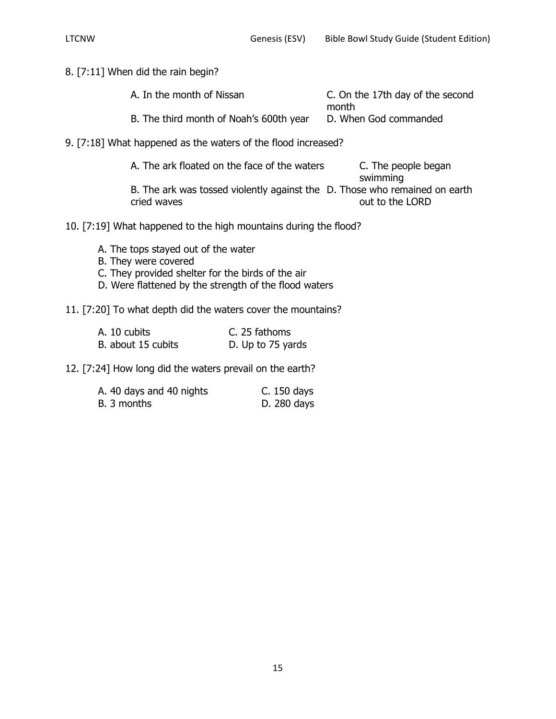8. [7:11] When did the rain begin?

| A. In the month of Nissan               | C. On the 17th day of the second |
|-----------------------------------------|----------------------------------|
|                                         | month                            |
| B. The third month of Noah's 600th year | D. When God commanded            |

9. [7:18] What happened as the waters of the flood increased?

| A. The ark floated on the face of the waters                               | C. The people began |
|----------------------------------------------------------------------------|---------------------|
|                                                                            | swimming            |
| B. The ark was tossed violently against the D. Those who remained on earth |                     |
| cried waves                                                                | out to the LORD     |

- 10. [7:19] What happened to the high mountains during the flood?
	- A. The tops stayed out of the water
	- B. They were covered
	- C. They provided shelter for the birds of the air
	- D. Were flattened by the strength of the flood waters

# 11. [7:20] To what depth did the waters cover the mountains?

| A. 10 cubits       | C. 25 fathoms     |
|--------------------|-------------------|
| B. about 15 cubits | D. Up to 75 yards |

12. [7:24] How long did the waters prevail on the earth?

| A. 40 days and 40 nights | C. 150 days |
|--------------------------|-------------|
| B. 3 months              | D. 280 days |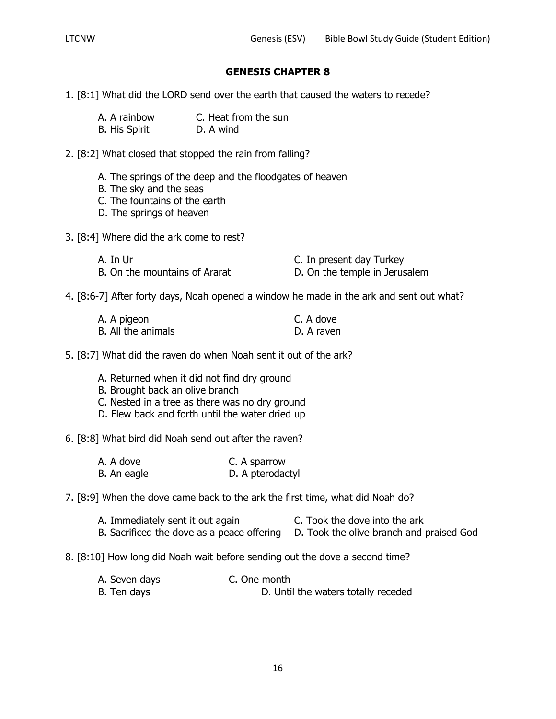- 1. [8:1] What did the LORD send over the earth that caused the waters to recede?
	- A. A rainbow C. Heat from the sun

B. His Spirit D. A wind

- 2. [8:2] What closed that stopped the rain from falling?
	- A. The springs of the deep and the floodgates of heaven
	- B. The sky and the seas
	- C. The fountains of the earth
	- D. The springs of heaven
- 3. [8:4] Where did the ark come to rest?

| A. In Ur                      | C. In present day Turkey      |
|-------------------------------|-------------------------------|
| B. On the mountains of Ararat | D. On the temple in Jerusalem |

4. [8:6-7] After forty days, Noah opened a window he made in the ark and sent out what?

| A. A pigeon        | C. A dove  |
|--------------------|------------|
| B. All the animals | D. A raven |

5. [8:7] What did the raven do when Noah sent it out of the ark?

- A. Returned when it did not find dry ground
- B. Brought back an olive branch
- C. Nested in a tree as there was no dry ground
- D. Flew back and forth until the water dried up

6. [8:8] What bird did Noah send out after the raven?

- A. A dove C. A sparrow B. An eagle D. A pterodactyl
- 7. [8:9] When the dove came back to the ark the first time, what did Noah do?
	- A. Immediately sent it out again E. Took the dove into the ark
	- B. Sacrificed the dove as a peace offering D. Took the olive branch and praised God
- 8. [8:10] How long did Noah wait before sending out the dove a second time?
	- A. Seven days C. One month B. Ten days **B.** D. Until the waters totally receded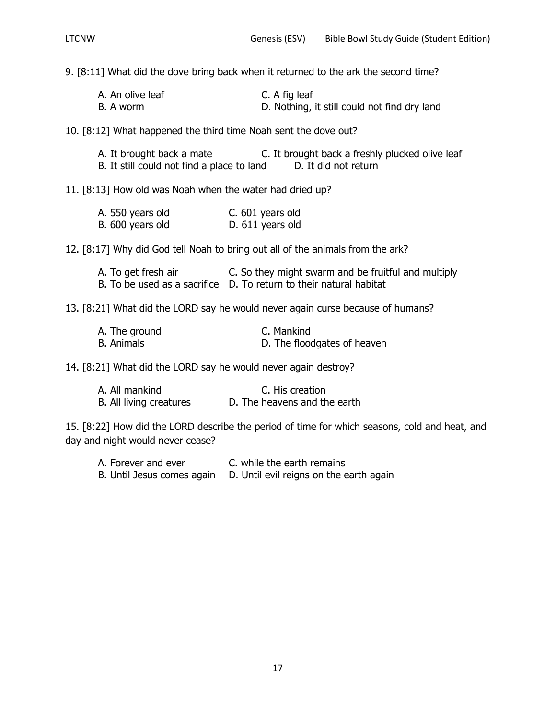9. [8:11] What did the dove bring back when it returned to the ark the second time?

| A. An olive leaf | C. A fig leaf                                |
|------------------|----------------------------------------------|
| B. A worm        | D. Nothing, it still could not find dry land |

10. [8:12] What happened the third time Noah sent the dove out?

| A. It brought back a mate                  | C. It brought back a freshly plucked olive leaf |
|--------------------------------------------|-------------------------------------------------|
| B. It still could not find a place to land | D. It did not return                            |

11. [8:13] How old was Noah when the water had dried up?

| A. 550 years old | C. 601 years old |
|------------------|------------------|
| B. 600 years old | D. 611 years old |

12. [8:17] Why did God tell Noah to bring out all of the animals from the ark?

| A. To get fresh air | C. So they might swarm and be fruitful and multiply                |
|---------------------|--------------------------------------------------------------------|
|                     | B. To be used as a sacrifice D. To return to their natural habitat |

13. [8:21] What did the LORD say he would never again curse because of humans?

| A. The ground     | C. Mankind                  |
|-------------------|-----------------------------|
| <b>B.</b> Animals | D. The floodgates of heaven |

14. [8:21] What did the LORD say he would never again destroy?

| A. All mankind          | C. His creation              |
|-------------------------|------------------------------|
| B. All living creatures | D. The heavens and the earth |

15. [8:22] How did the LORD describe the period of time for which seasons, cold and heat, and day and night would never cease?

A. Forever and ever **C.** while the earth remains B. Until Jesus comes again D. Until evil reigns on the earth again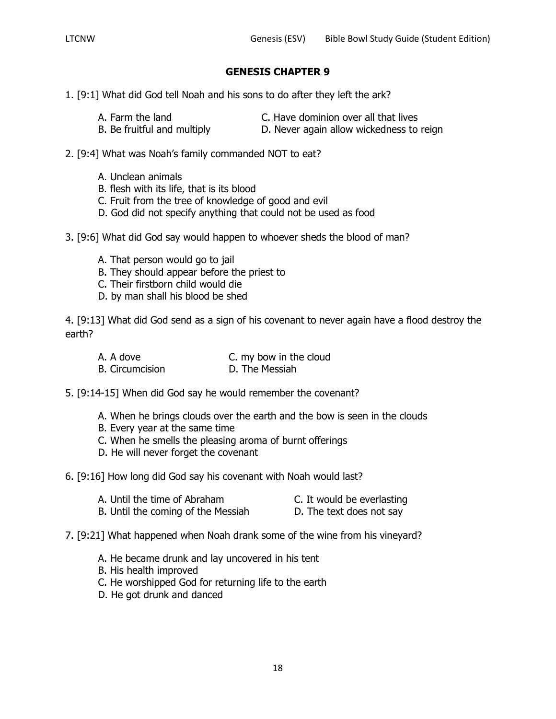- 1. [9:1] What did God tell Noah and his sons to do after they left the ark?
	-
	- A. Farm the land C. Have dominion over all that lives
	- B. Be fruitful and multiply **D.** Never again allow wickedness to reign
- 
- 2. [9:4] What was Noah's family commanded NOT to eat?
	- A. Unclean animals
	- B. flesh with its life, that is its blood
	- C. Fruit from the tree of knowledge of good and evil
	- D. God did not specify anything that could not be used as food
- 3. [9:6] What did God say would happen to whoever sheds the blood of man?
	- A. That person would go to jail
	- B. They should appear before the priest to
	- C. Their firstborn child would die
	- D. by man shall his blood be shed

4. [9:13] What did God send as a sign of his covenant to never again have a flood destroy the earth?

| A. A dove              | C. my bow in the cloud |
|------------------------|------------------------|
| <b>B.</b> Circumcision | D. The Messiah         |

5. [9:14-15] When did God say he would remember the covenant?

- A. When he brings clouds over the earth and the bow is seen in the clouds
- B. Every year at the same time
- C. When he smells the pleasing aroma of burnt offerings
- D. He will never forget the covenant

6. [9:16] How long did God say his covenant with Noah would last?

- B. Until the coming of the Messiah D. The text does not say
- 7. [9:21] What happened when Noah drank some of the wine from his vineyard?
	- A. He became drunk and lay uncovered in his tent
	- B. His health improved
	- C. He worshipped God for returning life to the earth
	- D. He got drunk and danced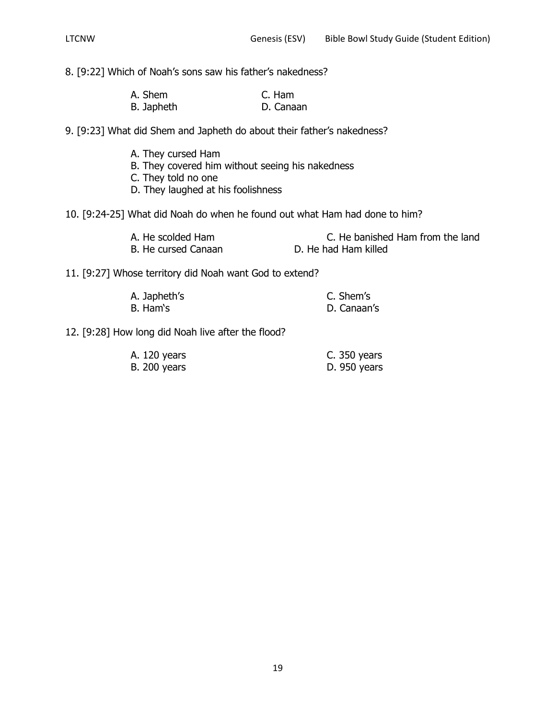8. [9:22] Which of Noah's sons saw his father's nakedness?

| A. Shem    | C. Ham    |
|------------|-----------|
| B. Japheth | D. Canaan |

9. [9:23] What did Shem and Japheth do about their father's nakedness?

- A. They cursed Ham
- B. They covered him without seeing his nakedness
- C. They told no one
- D. They laughed at his foolishness

10. [9:24-25] What did Noah do when he found out what Ham had done to him?

| A. He scolded Ham   | C. He banished Ham from the land |
|---------------------|----------------------------------|
| B. He cursed Canaan | D. He had Ham killed             |

11. [9:27] Whose territory did Noah want God to extend?

| A. Japheth's | C. Shem's   |
|--------------|-------------|
| B. Ham's     | D. Canaan's |

12. [9:28] How long did Noah live after the flood?

| A. 120 years        | C. 350 years  |
|---------------------|---------------|
| <b>B.</b> 200 years | $D.950$ years |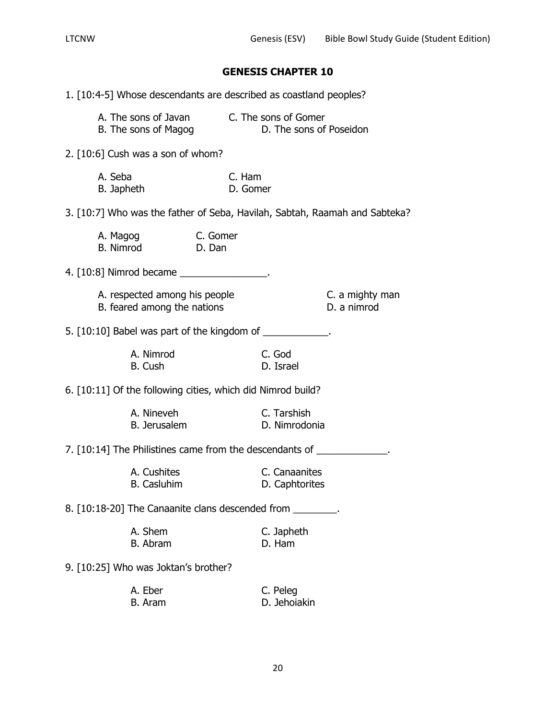1. [10:4-5] Whose descendants are described as coastland peoples? A. The sons of Javan C. The sons of Gomer B. The sons of Magog D. The sons of Poseidon 2. [10:6] Cush was a son of whom? A. Seba C. Ham B. Japheth D. Gomer 3. [10:7] Who was the father of Seba, Havilah, Sabtah, Raamah and Sabteka? A. Magog C. Gomer B. Nimrod D. Dan 4. [10:8] Nimrod became \_\_\_\_\_\_\_\_\_\_\_\_\_\_\_\_. A. respected among his people C. a mighty man B. feared among the nations D. a nimrod 5. [10:10] Babel was part of the kingdom of \_\_\_\_\_\_\_\_\_\_\_\_. A. Nimrod C. God B. Cush D. Israel 6. [10:11] Of the following cities, which did Nimrod build? A. Nineveh C. Tarshish B. Jerusalem D. Nimrodonia 7. [10:14] The Philistines came from the descendants of \_\_\_\_\_\_\_\_\_\_\_\_\_\_. A. Cushites C. Canaanites B. Casluhim D. Caphtorites 8. [10:18-20] The Canaanite clans descended from \_\_\_\_\_\_\_\_\_. A. Shem C. Japheth B. Abram D. Ham 9. [10:25] Who was Joktan's brother? A. Eber C. Peleg B. Aram D. Jehoiakin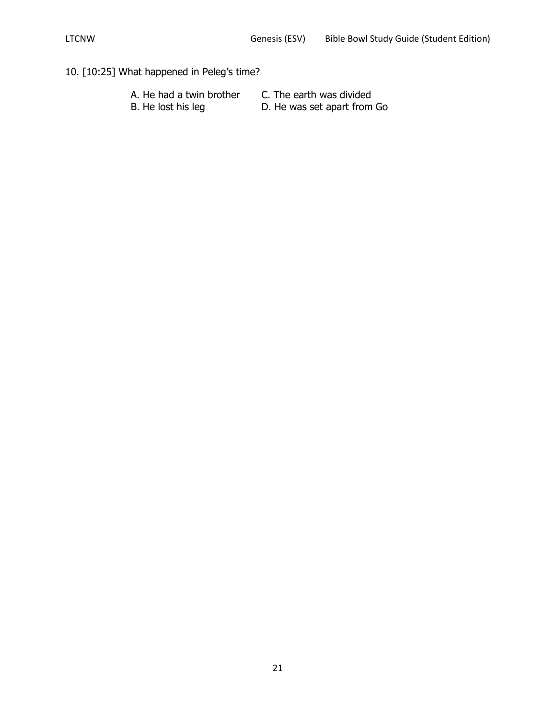# 10. [10:25] What happened in Peleg's time?

| A. He had a twin brother | C. The earth was divided    |
|--------------------------|-----------------------------|
| B. He lost his leg       | D. He was set apart from Go |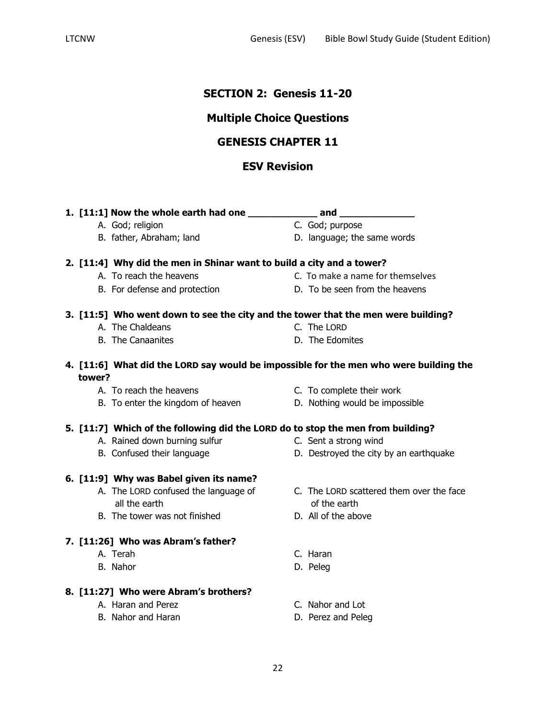# **SECTION 2: Genesis 11-20**

# **Multiple Choice Questions**

# **GENESIS CHAPTER 11**

# **ESV Revision**

**1. [11:1] Now the whole earth had one \_\_\_\_\_\_\_\_\_\_\_\_ and \_\_\_\_\_\_\_\_\_\_\_\_\_** A. God; religion C. God; purpose B. father, Abraham; land D. language; the same words **2. [11:4] Why did the men in Shinar want to build a city and a tower?** A. To reach the heavens exactled the control of C. To make a name for themselves B. For defense and protection D. To be seen from the heavens A. The Chaldeans C. The LORD B. The Canaanites **D.** The Edomites **4. [11:6] What did the LORD say would be impossible for the men who were building the tower?** A. To reach the heavens C. To complete their work B. To enter the kingdom of heaven **D.** Nothing would be impossible **5. [11:7] Which of the following did the LORD do to stop the men from building?** A. Rained down burning sulfur The C. Sent a strong wind B. Confused their language **D.** Destroyed the city by an earthquake **6. [11:9] Why was Babel given its name?** A. The LORD confused the language of C. The LORD scattered them over the face all the earth of the earth B. The tower was not finished D. All of the above

#### **7. [11:26] Who was Abram's father?**

- A. Terah C. Haran
- B. Nahor D. Peleg

#### **8. [11:27] Who were Abram's brothers?**

- A. Haran and Perez **C. Nahor and Lot**
- B. Nahor and Haran D. Perez and Peleg
- 
- 
- 
- 
- 
- 
- 
- **3. [11:5] Who went down to see the city and the tower that the men were building?**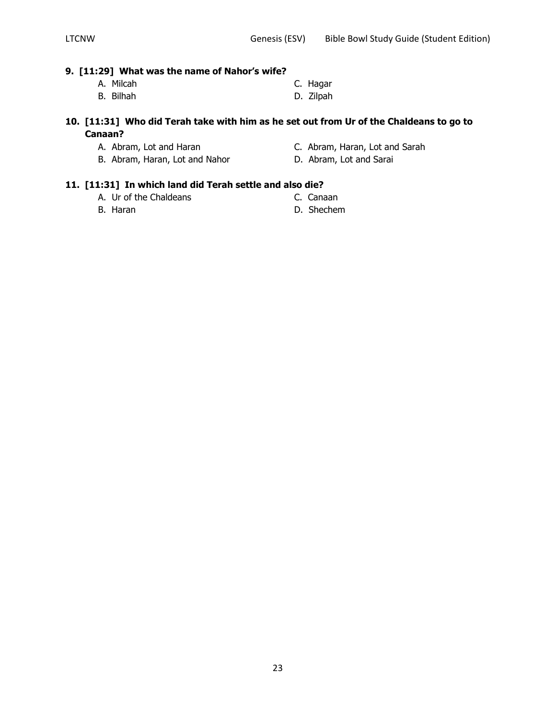#### **9. [11:29] What was the name of Nahor's wife?**

- 
- A. Milcah C. Hagar B. Bilhah D. Zilpah

# **10. [11:31] Who did Terah take with him as he set out from Ur of the Chaldeans to go to Canaan?**

- 
- A. Abram, Lot and Haran C. Abram, Haran, Lot and Sarah
- B. Abram, Haran, Lot and Nahor **D. Abram, Lot and Sarai**
- 
- 
- 

# **11. [11:31] In which land did Terah settle and also die?**

- A. Ur of the Chaldeans C. Canaan
- B. Haran D. Shechem
- -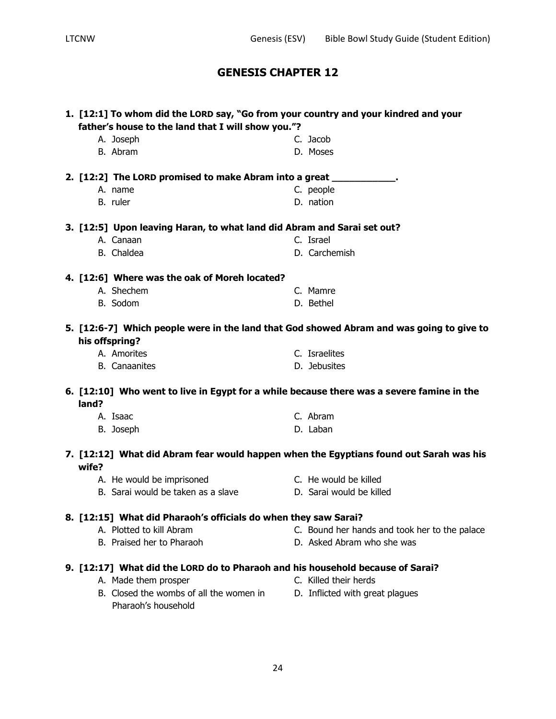| 1. [12:1] To whom did the LORD say, "Go from your country and your kindred and your<br>father's house to the land that I will show you."? |                                                                                |  |                                                                                           |  |
|-------------------------------------------------------------------------------------------------------------------------------------------|--------------------------------------------------------------------------------|--|-------------------------------------------------------------------------------------------|--|
| A. Joseph                                                                                                                                 |                                                                                |  | C. Jacob                                                                                  |  |
| B. Abram                                                                                                                                  |                                                                                |  | D. Moses                                                                                  |  |
|                                                                                                                                           |                                                                                |  |                                                                                           |  |
|                                                                                                                                           | 2. [12:2] The LORD promised to make Abram into a great ____________.           |  |                                                                                           |  |
| A. name                                                                                                                                   |                                                                                |  | C. people                                                                                 |  |
| B. ruler                                                                                                                                  |                                                                                |  | D. nation                                                                                 |  |
|                                                                                                                                           | 3. [12:5] Upon leaving Haran, to what land did Abram and Sarai set out?        |  |                                                                                           |  |
| A. Canaan                                                                                                                                 |                                                                                |  | C. Israel                                                                                 |  |
| B. Chaldea                                                                                                                                |                                                                                |  | D. Carchemish                                                                             |  |
|                                                                                                                                           | 4. [12:6] Where was the oak of Moreh located?                                  |  |                                                                                           |  |
| A. Shechem                                                                                                                                |                                                                                |  | C. Mamre                                                                                  |  |
| B. Sodom                                                                                                                                  |                                                                                |  | D. Bethel                                                                                 |  |
|                                                                                                                                           |                                                                                |  |                                                                                           |  |
|                                                                                                                                           |                                                                                |  | 5. [12:6-7] Which people were in the land that God showed Abram and was going to give to  |  |
| his offspring?                                                                                                                            |                                                                                |  |                                                                                           |  |
| A. Amorites                                                                                                                               |                                                                                |  | C. Israelites                                                                             |  |
| <b>B.</b> Canaanites                                                                                                                      |                                                                                |  | D. Jebusites                                                                              |  |
| land?                                                                                                                                     |                                                                                |  | 6. [12:10] Who went to live in Egypt for a while because there was a severe famine in the |  |
| A. Isaac                                                                                                                                  |                                                                                |  | C. Abram                                                                                  |  |
| B. Joseph                                                                                                                                 |                                                                                |  | D. Laban                                                                                  |  |
|                                                                                                                                           |                                                                                |  |                                                                                           |  |
| wife?                                                                                                                                     |                                                                                |  | 7. [12:12] What did Abram fear would happen when the Egyptians found out Sarah was his    |  |
|                                                                                                                                           | A. He would be imprisoned                                                      |  | C. He would be killed                                                                     |  |
|                                                                                                                                           | B. Sarai would be taken as a slave                                             |  | D. Sarai would be killed                                                                  |  |
|                                                                                                                                           |                                                                                |  |                                                                                           |  |
|                                                                                                                                           | 8. [12:15] What did Pharaoh's officials do when they saw Sarai?                |  |                                                                                           |  |
|                                                                                                                                           | A. Plotted to kill Abram                                                       |  | C. Bound her hands and took her to the palace                                             |  |
|                                                                                                                                           | B. Praised her to Pharaoh                                                      |  | D. Asked Abram who she was                                                                |  |
|                                                                                                                                           | 9. [12:17] What did the LORD do to Pharaoh and his household because of Sarai? |  |                                                                                           |  |
|                                                                                                                                           | A. Made them prosper                                                           |  | C. Killed their herds                                                                     |  |
|                                                                                                                                           | B. Closed the wombs of all the women in                                        |  | D. Inflicted with great plagues                                                           |  |
|                                                                                                                                           | Pharaoh's household                                                            |  |                                                                                           |  |
|                                                                                                                                           |                                                                                |  |                                                                                           |  |
|                                                                                                                                           |                                                                                |  |                                                                                           |  |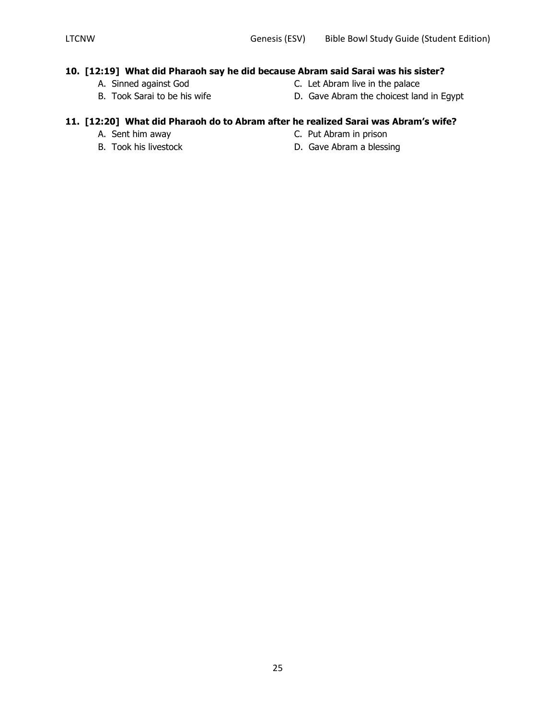## **10. [12:19] What did Pharaoh say he did because Abram said Sarai was his sister?**

- 
- 
- A. Sinned against God C. Let Abram live in the palace
- B. Took Sarai to be his wife **D.** Gave Abram the choicest land in Egypt

# **11. [12:20] What did Pharaoh do to Abram after he realized Sarai was Abram's wife?**

- 
- 
- A. Sent him away **C. Put Abram in prison**
- B. Took his livestock D. Gave Abram a blessing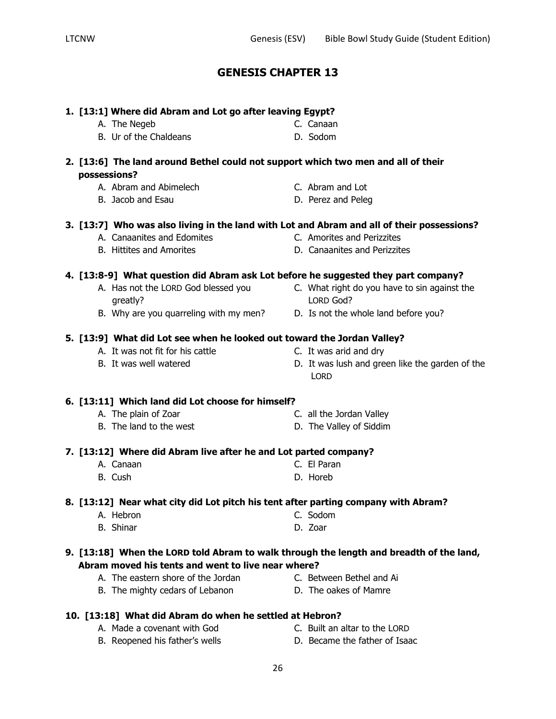| 1. [13:1] Where did Abram and Lot go after leaving Egypt? |                                                                                            |  |                                                                |
|-----------------------------------------------------------|--------------------------------------------------------------------------------------------|--|----------------------------------------------------------------|
|                                                           | A. The Negeb                                                                               |  | C. Canaan                                                      |
|                                                           | B. Ur of the Chaldeans                                                                     |  | D. Sodom                                                       |
|                                                           | 2. [13:6] The land around Bethel could not support which two men and all of their          |  |                                                                |
| possessions?                                              |                                                                                            |  |                                                                |
|                                                           | A. Abram and Abimelech                                                                     |  | C. Abram and Lot                                               |
|                                                           | B. Jacob and Esau                                                                          |  | D. Perez and Peleg                                             |
|                                                           | 3. [13:7] Who was also living in the land with Lot and Abram and all of their possessions? |  |                                                                |
|                                                           | A. Canaanites and Edomites                                                                 |  | C. Amorites and Perizzites                                     |
|                                                           | <b>B.</b> Hittites and Amorites                                                            |  | D. Canaanites and Perizzites                                   |
|                                                           | 4. [13:8-9] What question did Abram ask Lot before he suggested they part company?         |  |                                                                |
|                                                           | A. Has not the LORD God blessed you                                                        |  | C. What right do you have to sin against the                   |
|                                                           | greatly?                                                                                   |  | LORD God?                                                      |
|                                                           | B. Why are you quarreling with my men? D. Is not the whole land before you?                |  |                                                                |
|                                                           | 5. [13:9] What did Lot see when he looked out toward the Jordan Valley?                    |  |                                                                |
|                                                           | A. It was not fit for his cattle                                                           |  | C. It was arid and dry                                         |
|                                                           | B. It was well watered                                                                     |  | D. It was lush and green like the garden of the<br><b>LORD</b> |
|                                                           | 6. [13:11] Which land did Lot choose for himself?                                          |  |                                                                |
|                                                           | A. The plain of Zoar                                                                       |  | C. all the Jordan Valley                                       |
|                                                           | B. The land to the west                                                                    |  | D. The Valley of Siddim                                        |
|                                                           | 7. [13:12] Where did Abram live after he and Lot parted company?                           |  |                                                                |
|                                                           | A. Canaan                                                                                  |  | C. El Paran                                                    |
|                                                           | B. Cush                                                                                    |  | D. Horeb                                                       |
|                                                           | 8. [13:12] Near what city did Lot pitch his tent after parting company with Abram?         |  |                                                                |
|                                                           | <b>Example 2018</b> C. Sodom<br>A. Hebron                                                  |  |                                                                |
|                                                           | <b>B.</b> Shinar                                                                           |  | D. Zoar                                                        |
|                                                           | 9. [13:18] When the LORD told Abram to walk through the length and breadth of the land,    |  |                                                                |
|                                                           | Abram moved his tents and went to live near where?                                         |  |                                                                |
|                                                           | A. The eastern shore of the Jordan                                                         |  | C. Between Bethel and Ai                                       |
|                                                           | B. The mighty cedars of Lebanon                                                            |  | D. The oakes of Mamre                                          |
|                                                           |                                                                                            |  |                                                                |

- 26
- 
- 
- **10. [13:18] What did Abram do when he settled at Hebron?**
	- A. Made a covenant with God C. Built an altar to the LORD
	- B. Reopened his father's wells **D. Became the father of Isaac**
-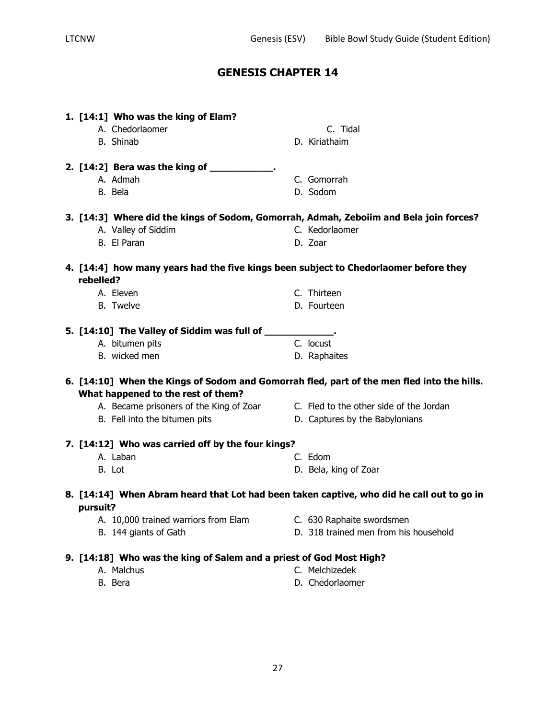| 1. [14:1] Who was the king of Elam?<br>A. Chedorlaomer<br>C. Tidal<br>B. Shinab<br>D. Kiriathaim      |  |
|-------------------------------------------------------------------------------------------------------|--|
|                                                                                                       |  |
| 2. [14:2] Bera was the king of ____________.                                                          |  |
| A. Admah<br>C. Gomorrah                                                                               |  |
| B. Bela<br>D. Sodom                                                                                   |  |
| 3. [14:3] Where did the kings of Sodom, Gomorrah, Admah, Zeboiim and Bela join forces?                |  |
| C. Kedorlaomer<br>A. Valley of Siddim                                                                 |  |
| B. El Paran<br>D. Zoar                                                                                |  |
|                                                                                                       |  |
| 4. [14:4] how many years had the five kings been subject to Chedorlaomer before they                  |  |
| rebelled?                                                                                             |  |
| A. Eleven<br>C. Thirteen                                                                              |  |
| <b>B.</b> Twelve<br>D. Fourteen                                                                       |  |
| 5. [14:10] The Valley of Siddim was full of _____________.                                            |  |
| C. locust<br>A. bitumen pits                                                                          |  |
| B. wicked men<br>D. Raphaites                                                                         |  |
|                                                                                                       |  |
| 6. [14:10] When the Kings of Sodom and Gomorrah fled, part of the men fled into the hills.            |  |
| What happened to the rest of them?                                                                    |  |
| A. Became prisoners of the King of Zoar C. Fled to the other side of the Jordan                       |  |
| B. Fell into the bitumen pits<br>D. Captures by the Babylonians                                       |  |
| 7. [14:12] Who was carried off by the four kings?                                                     |  |
| A. Laban<br>C. Edom                                                                                   |  |
| B. Lot<br>D. Bela, king of Zoar                                                                       |  |
|                                                                                                       |  |
| 8. [14:14] When Abram heard that Lot had been taken captive, who did he call out to go in<br>pursuit? |  |
| A. 10,000 trained warriors from Elam<br>C. 630 Raphaite swordsmen                                     |  |
| D. 318 trained men from his household<br>B. 144 giants of Gath                                        |  |
| 9. [14:18] Who was the king of Salem and a priest of God Most High?                                   |  |
|                                                                                                       |  |
| C. Melchizedek<br>A. Malchus                                                                          |  |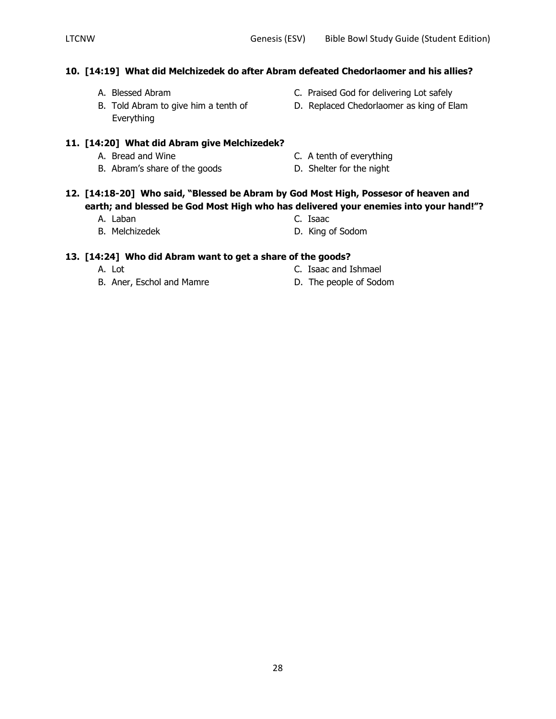## **10. [14:19] What did Melchizedek do after Abram defeated Chedorlaomer and his allies?**

- 
- Everything
- A. Blessed Abram C. Praised God for delivering Lot safely
- B. Told Abram to give him a tenth of **D.** Replaced Chedorlaomer as king of Elam

#### **11. [14:20] What did Abram give Melchizedek?**

- 
- B. Abram's share of the goods D. Shelter for the night
- A. Bread and Wine **C.** A tenth of everything
	-

#### **12. [14:18-20] Who said, "Blessed be Abram by God Most High, Possesor of heaven and earth; and blessed be God Most High who has delivered your enemies into your hand!"?**

- A. Laban C. Isaac
- 
- B. Melchizedek D. King of Sodom

#### **13. [14:24] Who did Abram want to get a share of the goods?**

- 
- B. Aner, Eschol and Mamre D. The people of Sodom
- A. Lot C. Isaac and Ishmael
	-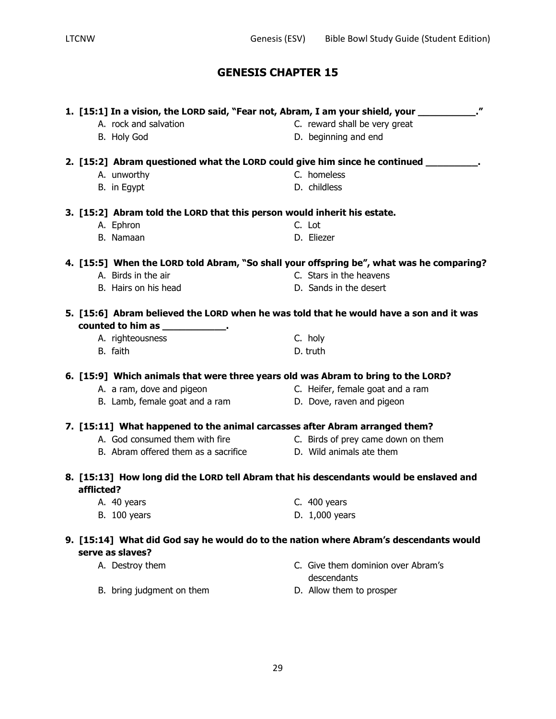| 1. [15:1] In a vision, the LORD said, "Fear not, Abram, I am your shield, your __________." |                                                                                        |  |                                                                                          |
|---------------------------------------------------------------------------------------------|----------------------------------------------------------------------------------------|--|------------------------------------------------------------------------------------------|
|                                                                                             | A. rock and salvation                                                                  |  | C. reward shall be very great                                                            |
|                                                                                             | B. Holy God                                                                            |  | D. beginning and end                                                                     |
|                                                                                             | 2. [15:2] Abram questioned what the LORD could give him since he continued __________. |  |                                                                                          |
|                                                                                             | A. unworthy                                                                            |  | C. homeless                                                                              |
|                                                                                             | B. in Egypt                                                                            |  | D. childless                                                                             |
|                                                                                             | 3. [15:2] Abram told the LORD that this person would inherit his estate.               |  |                                                                                          |
|                                                                                             | A. Ephron                                                                              |  | C. Lot                                                                                   |
|                                                                                             | B. Namaan                                                                              |  | D. Eliezer                                                                               |
|                                                                                             |                                                                                        |  | 4. [15:5] When the LORD told Abram, "So shall your offspring be", what was he comparing? |
|                                                                                             | A. Birds in the air                                                                    |  | C. Stars in the heavens                                                                  |
|                                                                                             | B. Hairs on his head                                                                   |  | D. Sands in the desert                                                                   |
|                                                                                             | 5. [15:6] Abram believed the LORD when he was told that he would have a son and it was |  |                                                                                          |
|                                                                                             | counted to him as ______________.                                                      |  |                                                                                          |
|                                                                                             | A. righteousness                                                                       |  | C. holy                                                                                  |
|                                                                                             | B. faith                                                                               |  | D. truth                                                                                 |
|                                                                                             | 6. [15:9] Which animals that were three years old was Abram to bring to the LORD?      |  |                                                                                          |
|                                                                                             | A. a ram, dove and pigeon                                                              |  | C. Heifer, female goat and a ram                                                         |
|                                                                                             | B. Lamb, female goat and a ram                                                         |  | D. Dove, raven and pigeon                                                                |
|                                                                                             | 7. [15:11] What happened to the animal carcasses after Abram arranged them?            |  |                                                                                          |
|                                                                                             | A. God consumed them with fire                                                         |  | C. Birds of prey came down on them                                                       |
|                                                                                             | B. Abram offered them as a sacrifice Theory D. Wild animals ate them                   |  |                                                                                          |
|                                                                                             | 8. [15:13] How long did the LORD tell Abram that his descendants would be enslaved and |  |                                                                                          |
| afflicted?                                                                                  |                                                                                        |  |                                                                                          |
|                                                                                             | A. 40 years                                                                            |  | C. $400$ years                                                                           |
|                                                                                             | <b>B.</b> 100 years                                                                    |  | D. 1,000 years                                                                           |
|                                                                                             | 9. [15:14] What did God say he would do to the nation where Abram's descendants would  |  |                                                                                          |
|                                                                                             | serve as slaves?                                                                       |  |                                                                                          |
|                                                                                             | A. Destroy them                                                                        |  | C. Give them dominion over Abram's<br>descendants                                        |
|                                                                                             | B. bring judgment on them                                                              |  | D. Allow them to prosper                                                                 |
|                                                                                             |                                                                                        |  |                                                                                          |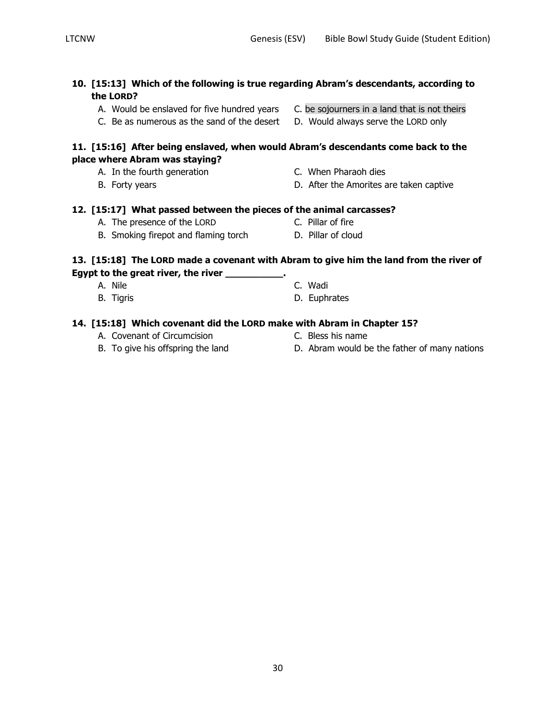- **10. [15:13] Which of the following is true regarding Abram's descendants, according to the LORD?**
	- A. Would be enslaved for five hundred years C. be sojourners in a land that is not theirs
	- C. Be as numerous as the sand of the desert D. Would always serve the LORD only

#### **11. [15:16] After being enslaved, when would Abram's descendants come back to the place where Abram was staying?**

- A. In the fourth generation **C.** When Pharaoh dies
- 
- 
- B. Forty years **B.** Forty years **D.** After the Amorites are taken captive

#### **12. [15:17] What passed between the pieces of the animal carcasses?**

- A. The presence of the LORD C. Pillar of fire
- B. Smoking firepot and flaming torch D. Pillar of cloud

#### **13. [15:18] The LORD made a covenant with Abram to give him the land from the river of Egypt to the great river, the river \_\_\_\_\_\_\_\_\_\_.**

- A. Nile C. Wadi
- B. Tigris D. Euphrates

## **14. [15:18] Which covenant did the LORD make with Abram in Chapter 15?**

- A. Covenant of Circumcision C. Bless his name
- 
- 
- B. To give his offspring the land **D.** Abram would be the father of many nations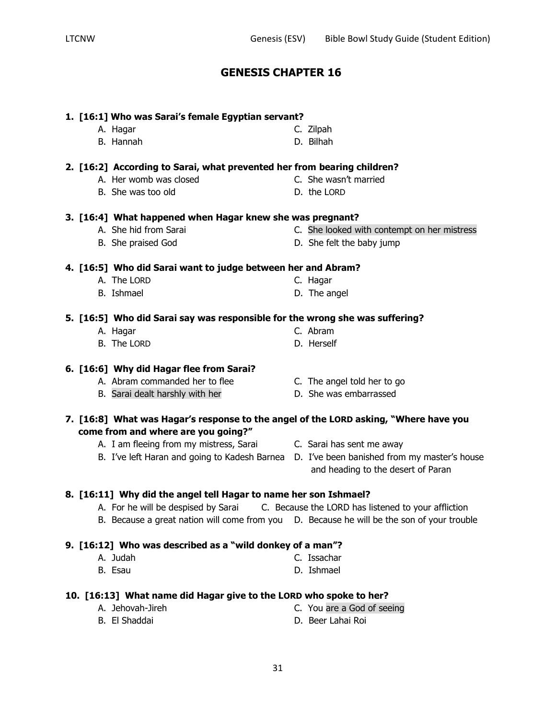## **1. [16:1] Who was Sarai's female Egyptian servant?**

- A. Hagar C. Zilpah
- **2. [16:2] According to Sarai, what prevented her from bearing children?**
	- A. Her womb was closed C. She wasn't married
	- B. She was too old D. the LORD

#### **3. [16:4] What happened when Hagar knew she was pregnant?**

- 
- 

# **4. [16:5] Who did Sarai want to judge between her and Abram?**

- A. The LORD C. Hagar
- B. Ishmael D. The angel

# **5. [16:5] Who did Sarai say was responsible for the wrong she was suffering?**

- A. Hagar C. Abram
- B. The LORD D. Herself

#### **6. [16:6] Why did Hagar flee from Sarai?**

- A. Abram commanded her to flee C. The angel told her to go
- B. Sarai dealt harshly with her **D.** She was embarrassed
- **7. [16:8] What was Hagar's response to the angel of the LORD asking, "Where have you come from and where are you going?"**
	- A. I am fleeing from my mistress, Sarai C. Sarai has sent me away
	-
- 
- B. I've left Haran and going to Kadesh Barnea D. I've been banished from my master's house and heading to the desert of Paran

#### **8. [16:11] Why did the angel tell Hagar to name her son Ishmael?**

- A. For he will be despised by Sarai C. Because the LORD has listened to your affliction
- B. Because a great nation will come from you D. Because he will be the son of your trouble

## **9. [16:12] Who was described as a "wild donkey of a man"?**

- A. Judah C. Issachar
- B. Esau D. Ishmael

# **10. [16:13] What name did Hagar give to the LORD who spoke to her?**

- A. Jehovah-Jireh C. You are a God of seeing B. El Shaddai D. Beer Lahai Roi
- 
- 
- 
- 
- 
- 
- 
- B. She praised God D. She felt the baby jump
- A. She hid from Sarai C. She looked with contempt on her mistress
- B. Hannah D. Bilhah
-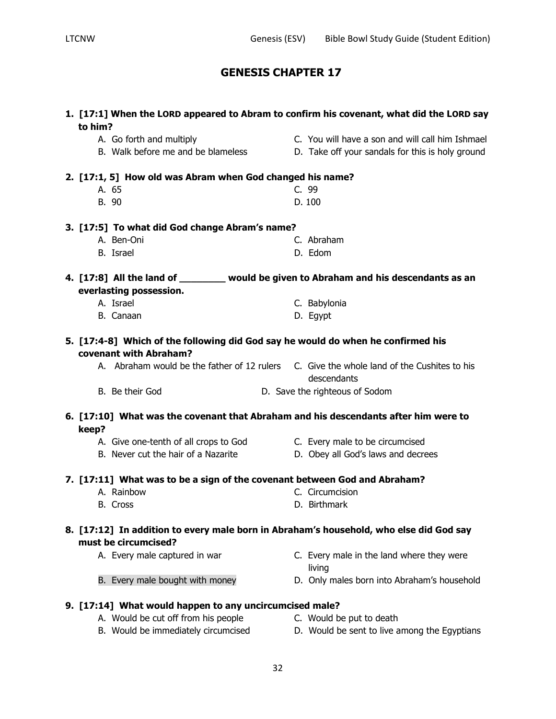| 1. [17:1] When the LORD appeared to Abram to confirm his covenant, what did the LORD say<br>to him? |                                                                                                            |  |                                                                                                          |
|-----------------------------------------------------------------------------------------------------|------------------------------------------------------------------------------------------------------------|--|----------------------------------------------------------------------------------------------------------|
|                                                                                                     | A. Go forth and multiply                                                                                   |  | C. You will have a son and will call him Ishmael                                                         |
|                                                                                                     | B. Walk before me and be blameless                                                                         |  | D. Take off your sandals for this is holy ground                                                         |
|                                                                                                     | 2. [17:1, 5] How old was Abram when God changed his name?                                                  |  |                                                                                                          |
|                                                                                                     | A. 65                                                                                                      |  | C. 99                                                                                                    |
|                                                                                                     | B. 90                                                                                                      |  | D. 100                                                                                                   |
|                                                                                                     | 3. [17:5] To what did God change Abram's name?                                                             |  |                                                                                                          |
|                                                                                                     | A. Ben-Oni                                                                                                 |  | C. Abraham                                                                                               |
|                                                                                                     | B. Israel                                                                                                  |  | D. Edom                                                                                                  |
|                                                                                                     |                                                                                                            |  | 4. [17:8] All the land of ________ would be given to Abraham and his descendants as an                   |
|                                                                                                     | everlasting possession.                                                                                    |  |                                                                                                          |
|                                                                                                     | A. Israel                                                                                                  |  | C. Babylonia                                                                                             |
|                                                                                                     | B. Canaan                                                                                                  |  | D. Egypt                                                                                                 |
|                                                                                                     | 5. [17:4-8] Which of the following did God say he would do when he confirmed his<br>covenant with Abraham? |  |                                                                                                          |
|                                                                                                     |                                                                                                            |  | A. Abraham would be the father of 12 rulers C. Give the whole land of the Cushites to his<br>descendants |
|                                                                                                     | B. Be their God                                                                                            |  | D. Save the righteous of Sodom                                                                           |
|                                                                                                     |                                                                                                            |  | 6. [17:10] What was the covenant that Abraham and his descendants after him were to                      |
| keep?                                                                                               | A. Give one-tenth of all crops to God C. Every male to be circumcised                                      |  |                                                                                                          |
|                                                                                                     | B. Never cut the hair of a Nazarite                                                                        |  | D. Obey all God's laws and decrees                                                                       |
|                                                                                                     |                                                                                                            |  |                                                                                                          |
|                                                                                                     | 7. [17:11] What was to be a sign of the covenant between God and Abraham?                                  |  |                                                                                                          |
|                                                                                                     | A. Rainbow                                                                                                 |  | C. Circumcision                                                                                          |
|                                                                                                     | B. Cross                                                                                                   |  | D. Birthmark                                                                                             |
|                                                                                                     | must be circumcised?                                                                                       |  | 8. [17:12] In addition to every male born in Abraham's household, who else did God say                   |
|                                                                                                     | A. Every male captured in war                                                                              |  | C. Every male in the land where they were<br>living                                                      |
|                                                                                                     | B. Every male bought with money                                                                            |  | D. Only males born into Abraham's household                                                              |
|                                                                                                     | 9. [17:14] What would happen to any uncircumcised male?                                                    |  |                                                                                                          |
|                                                                                                     | A. Would be cut off from his people                                                                        |  | C. Would be put to death                                                                                 |
|                                                                                                     | B. Would be immediately circumcised                                                                        |  | D. Would be sent to live among the Egyptians                                                             |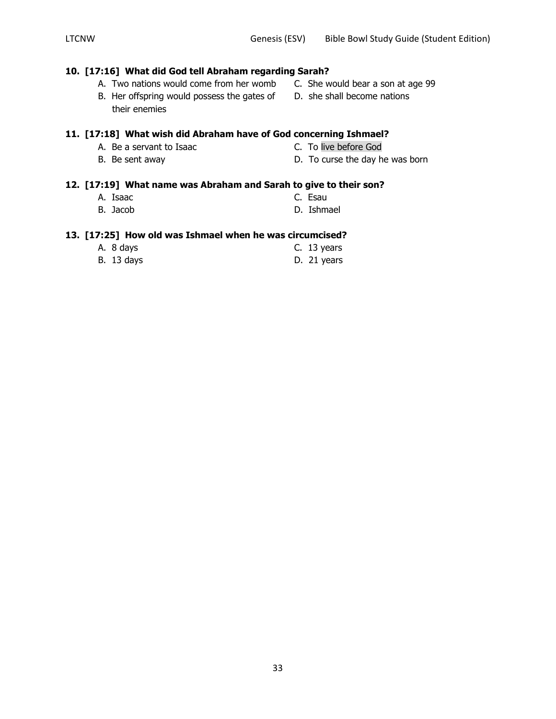#### **10. [17:16] What did God tell Abraham regarding Sarah?**

- B. Her offspring would possess the gates of D. she shall become nations their enemies
- A. Two nations would come from her womb C. She would bear a son at age 99
	-

#### **11. [17:18] What wish did Abraham have of God concerning Ishmael?**

- A. Be a servant to Isaac C. To live before God
- 
- 
- B. Be sent away **D.** To curse the day he was born

#### **12. [17:19] What name was Abraham and Sarah to give to their son?**

- A. Isaac C. Esau
- B. Jacob **D. Ishmael**

#### **13. [17:25] How old was Ishmael when he was circumcised?**

| A. 8 days         | C. 13 years |
|-------------------|-------------|
| <b>B.</b> 13 days | D. 21 years |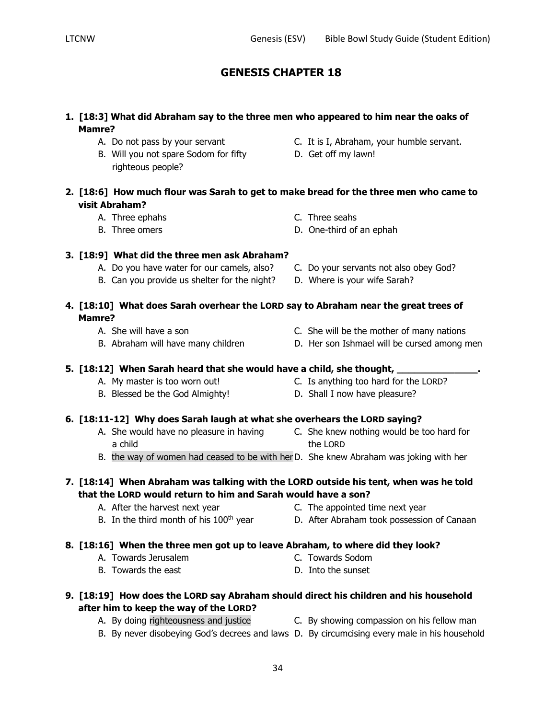- **1. [18:3] What did Abraham say to the three men who appeared to him near the oaks of Mamre?**
	-
	- B. Will you not spare Sodom for fifty D. Get off my lawn! righteous people?
	- A. Do not pass by your servant **C.** It is I, Abraham, your humble servant.
		-
- **2. [18:6] How much flour was Sarah to get to make bread for the three men who came to visit Abraham?**
	- A. Three ephahs C. Three seahs
	- B. Three omers D. One-third of an ephah
		-
- **3. [18:9] What did the three men ask Abraham?**
	- A. Do you have water for our camels, also? C. Do your servants not also obey God?
	- B. Can you provide us shelter for the night? D. Where is your wife Sarah?
- **4. [18:10] What does Sarah overhear the LORD say to Abraham near the great trees of Mamre?**
	-
	-
- 
- 
- A. She will have a son C. She will be the mother of many nations
- B. Abraham will have many children **D.** Her son Ishmael will be cursed among men

#### **5. [18:12] When Sarah heard that she would have a child, she thought, \_\_\_\_\_\_\_\_\_\_\_\_\_\_.**

- A. My master is too worn out! C. Is anything too hard for the LORD?
- B. Blessed be the God Almighty! D. Shall I now have pleasure?
- **6. [18:11-12] Why does Sarah laugh at what she overhears the LORD saying?**
	- a child the LORD
	- A. She would have no pleasure in having C. She knew nothing would be too hard for
	- B. the way of women had ceased to be with herD. She knew Abraham was joking with her

## **7. [18:14] When Abraham was talking with the LORD outside his tent, when was he told that the LORD would return to him and Sarah would have a son?**

- -
- A. After the harvest next year **C.** The appointed time next year
- B. In the third month of his 100<sup>th</sup> year **D.** After Abraham took possession of Canaan

# **8. [18:16] When the three men got up to leave Abraham, to where did they look?**

- A. Towards Jerusalem C. Towards Sodom
	-
- B. Towards the east D. Into the sunset
- **9. [18:19] How does the LORD say Abraham should direct his children and his household after him to keep the way of the LORD?**
	- A. By doing righteousness and justice C. By showing compassion on his fellow man
	- B. By never disobeying God's decrees and laws D. By circumcising every male in his household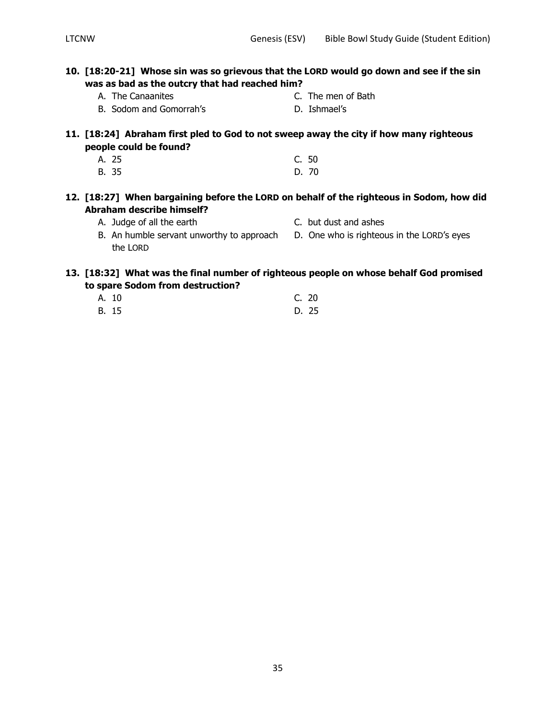## **10. [18:20-21] Whose sin was so grievous that the LORD would go down and see if the sin was as bad as the outcry that had reached him?**

- 
- A. The Canaanites **C.** The men of Bath
- B. Sodom and Gomorrah's **D. Ishmael's**
- 
- **11. [18:24] Abraham first pled to God to not sweep away the city if how many righteous people could be found?**
	- A. 25 C. 50 B. 35 D. 70

#### **12. [18:27] When bargaining before the LORD on behalf of the righteous in Sodom, how did Abraham describe himself?**

- A. Judge of all the earth C. but dust and ashes
- 
- B. An humble servant unworthy to approach D. One who is righteous in the LORD's eyes the LORD

#### **13. [18:32] What was the final number of righteous people on whose behalf God promised to spare Sodom from destruction?**

A. 10 C. 20 B. 15 D. 25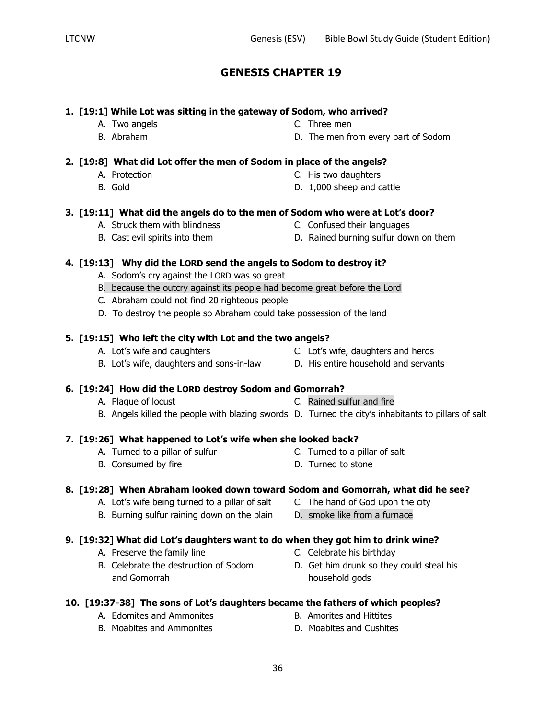## **1. [19:1] While Lot was sitting in the gateway of Sodom, who arrived?**

- A. Two angels **C.** Three men
- 
- B. Abraham D. The men from every part of Sodom

## **2. [19:8] What did Lot offer the men of Sodom in place of the angels?**

- 
- 
- A. Protection C. His two daughters
- B. Gold D. 1,000 sheep and cattle

#### **3. [19:11] What did the angels do to the men of Sodom who were at Lot's door?**

- A. Struck them with blindness C. Confused their languages
- 
- 
- B. Cast evil spirits into them **D. Rained burning sulfur down on them**

#### **4. [19:13] Why did the LORD send the angels to Sodom to destroy it?**

- A. Sodom's cry against the LORD was so great
- B. because the outcry against its people had become great before the Lord
- C. Abraham could not find 20 righteous people
- D. To destroy the people so Abraham could take possession of the land

#### **5. [19:15] Who left the city with Lot and the two angels?**

- 
- B. Lot's wife, daughters and sons-in-law D. His entire household and servants
- A. Lot's wife and daughters C. Lot's wife, daughters and herds
	-
- **6. [19:24] How did the LORD destroy Sodom and Gomorrah?**
	- A. Plague of locust C. Rained sulfur and fire B. Angels killed the people with blazing swords D. Turned the city's inhabitants to pillars of salt

# **7. [19:26] What happened to Lot's wife when she looked back?**

- A. Turned to a pillar of sulfur The C. Turned to a pillar of salt
- B. Consumed by fire **D.** Turned to stone
- -

# **8. [19:28] When Abraham looked down toward Sodom and Gomorrah, what did he see?**

- A. Lot's wife being turned to a pillar of salt C. The hand of God upon the city
- B. Burning sulfur raining down on the plain D. smoke like from a furnace

# **9. [19:32] What did Lot's daughters want to do when they got him to drink wine?**

- A. Preserve the family line C. Celebrate his birthday
- B. Celebrate the destruction of Sodom B. Get him drunk so they could steal his and Gomorrah household gods
- **10. [19:37-38] The sons of Lot's daughters became the fathers of which peoples?**
	- A. Edomites and Ammonites **B.** Amorites and Hittites
	- B. Moabites and Ammonites **D. Moabites and Cushites**
- 
- 
- -
	-
	-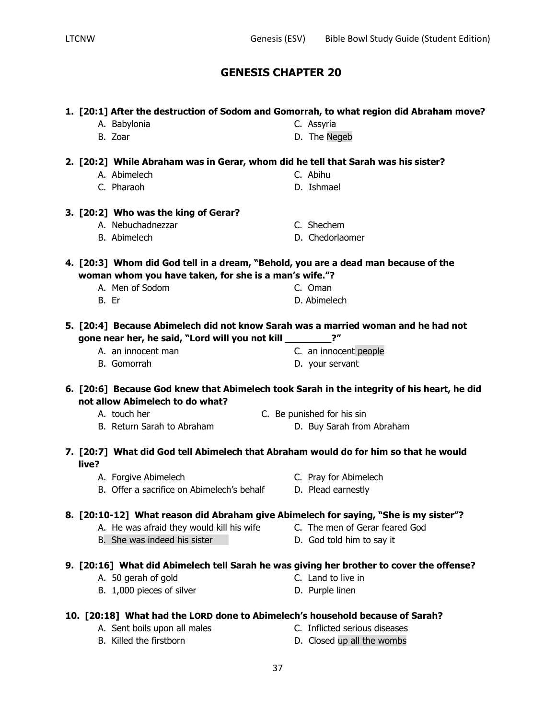|       | 1. [20:1] After the destruction of Sodom and Gomorrah, to what region did Abraham move?  |                                                                                            |
|-------|------------------------------------------------------------------------------------------|--------------------------------------------------------------------------------------------|
|       | A. Babylonia                                                                             | C. Assyria                                                                                 |
|       | B. Zoar                                                                                  | D. The Negeb                                                                               |
|       | 2. [20:2] While Abraham was in Gerar, whom did he tell that Sarah was his sister?        |                                                                                            |
|       | A. Abimelech                                                                             | C. Abihu                                                                                   |
|       | C. Pharaoh                                                                               | D. Ishmael                                                                                 |
|       | 3. [20:2] Who was the king of Gerar?                                                     |                                                                                            |
|       | A. Nebuchadnezzar                                                                        | C. Shechem                                                                                 |
|       | B. Abimelech                                                                             | D. Chedorlaomer                                                                            |
|       | 4. [20:3] Whom did God tell in a dream, "Behold, you are a dead man because of the       |                                                                                            |
|       | woman whom you have taken, for she is a man's wife."?                                    |                                                                                            |
|       | A. Men of Sodom                                                                          | C. Oman                                                                                    |
|       | B. Er                                                                                    | D. Abimelech                                                                               |
|       | 5. [20:4] Because Abimelech did not know Sarah was a married woman and he had not        |                                                                                            |
|       | gone near her, he said, "Lord will you not kill ______                                   | $2^{\prime\prime}$                                                                         |
|       | A. an innocent man                                                                       | C. an innocent people                                                                      |
|       | B. Gomorrah                                                                              | D. your servant                                                                            |
|       |                                                                                          |                                                                                            |
|       | not allow Abimelech to do what?                                                          | 6. [20:6] Because God knew that Abimelech took Sarah in the integrity of his heart, he did |
|       | A. touch her                                                                             | C. Be punished for his sin                                                                 |
|       | B. Return Sarah to Abraham                                                               | D. Buy Sarah from Abraham                                                                  |
| live? | 7. [20:7] What did God tell Abimelech that Abraham would do for him so that he would     |                                                                                            |
|       | A. Forgive Abimelech                                                                     | C. Pray for Abimelech                                                                      |
|       | B. Offer a sacrifice on Abimelech's behalf                                               | D. Plead earnestly                                                                         |
|       |                                                                                          |                                                                                            |
|       | 8. [20:10-12] What reason did Abraham give Abimelech for saying, "She is my sister"?     | C. The men of Gerar feared God                                                             |
|       | A. He was afraid they would kill his wife<br>B. She was indeed his sister                | D. God told him to say it                                                                  |
|       |                                                                                          |                                                                                            |
|       | 9. [20:16] What did Abimelech tell Sarah he was giving her brother to cover the offense? |                                                                                            |
|       | A. 50 gerah of gold<br>B. 1,000 pieces of silver                                         | C. Land to live in<br>D. Purple linen                                                      |
|       |                                                                                          |                                                                                            |
|       | 10. [20:18] What had the LORD done to Abimelech's household because of Sarah?            |                                                                                            |
|       | A. Sent boils upon all males<br>B. Killed the firstborn                                  | C. Inflicted serious diseases<br>D. Closed up all the wombs                                |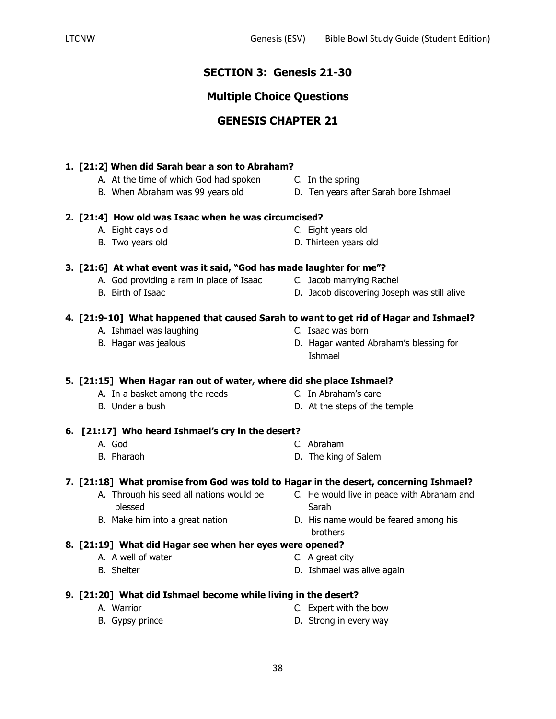## **SECTION 3: Genesis 21-30**

## **Multiple Choice Questions**

## **GENESIS CHAPTER 21**

### **1. [21:2] When did Sarah bear a son to Abraham?**

- A. At the time of which God had spoken C. In the spring
- 

### **2. [21:4] How old was Isaac when he was circumcised?**

- A. Eight days old C. Eight years old
- 
- B. Two years old **D.** Thirteen years old

### **3. [21:6] At what event was it said, "God has made laughter for me"?**

- A. God providing a ram in place of Isaac C. Jacob marrying Rachel
- 
- 
- B. Birth of Isaac **D. Jacob discovering Joseph was still alive**

### **4. [21:9-10] What happened that caused Sarah to want to get rid of Hagar and Ishmael?**

- A. Ishmael was laughing example and the C. Isaac was born
- 
- 
- B. Hagar was jealous D. Hagar wanted Abraham's blessing for Ishmael

### **5. [21:15] When Hagar ran out of water, where did she place Ishmael?**

- A. In a basket among the reeds C. In Abraham's care
- B. Under a bush D. At the steps of the temple
	-

### **6. [21:17] Who heard Ishmael's cry in the desert?**

- 
- A. God C. Abraham
- B. Pharaoh D. The king of Salem

### **7. [21:18] What promise from God was told to Hagar in the desert, concerning Ishmael?**

- A. Through his seed all nations would be C. He would live in peace with Abraham and blessed Sarah
- 
- B. Make him into a great nation **D.** His name would be feared among his
	- brothers

### **8. [21:19] What did Hagar see when her eyes were opened?**

- A. A well of water **C.** A great city
- B. Shelter **D.** Ishmael was alive again

### **9. [21:20] What did Ishmael become while living in the desert?**

- 
- A. Warrior C. Expert with the bow
- B. Gypsy prince **D.** Strong in every way
- 
- B. When Abraham was 99 years old D. Ten years after Sarah bore Ishmael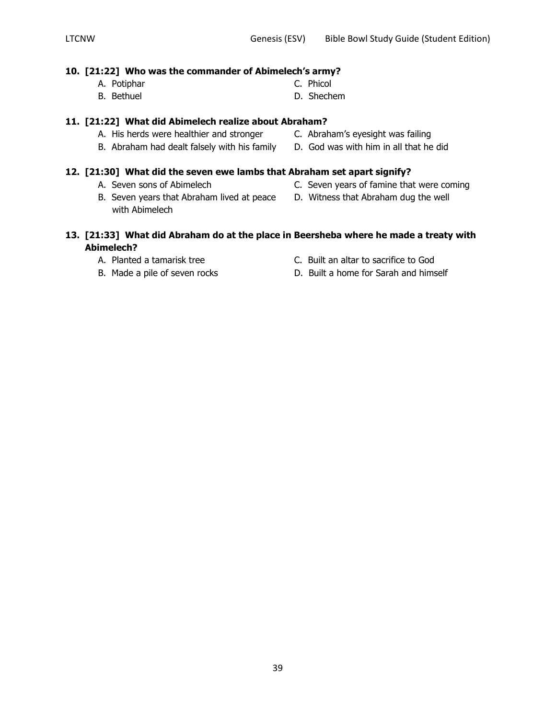### **10. [21:22] Who was the commander of Abimelech's army?**

- A. Potiphar C. Phicol
- B. Bethuel **B.** Shechem

## **11. [21:22] What did Abimelech realize about Abraham?**

- A. His herds were healthier and stronger C. Abraham's eyesight was failing
- B. Abraham had dealt falsely with his family D. God was with him in all that he did

### **12. [21:30] What did the seven ewe lambs that Abraham set apart signify?**

- 
- B. Seven years that Abraham lived at peace D. Witness that Abraham dug the well with Abimelech
- A. Seven sons of Abimelech C. Seven years of famine that were coming
	-

### **13. [21:33] What did Abraham do at the place in Beersheba where he made a treaty with Abimelech?**

- 
- A. Planted a tamarisk tree C. Built an altar to sacrifice to God
- B. Made a pile of seven rocks D. Built a home for Sarah and himself
- 
- 
- 
-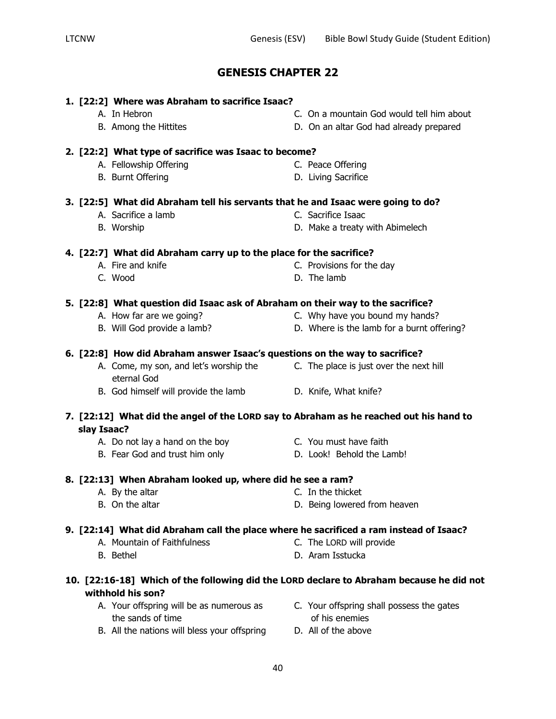## **1. [22:2] Where was Abraham to sacrifice Isaac?**

- 
- 
- A. In Hebron C. On a mountain God would tell him about
- B. Among the Hittites D. On an altar God had already prepared

### **2. [22:2] What type of sacrifice was Isaac to become?**

- A. Fellowship Offering C. Peace Offering
- B. Burnt Offering **D. Living Sacrifice**
- 
- 
- 
- **4. [22:7] What did Abraham carry up to the place for the sacrifice?**
	-
	- C. Wood D. The lamb

### **5. [22:8] What question did Isaac ask of Abraham on their way to the sacrifice?**

- A. How far are we going? A. How far are we going?
- B. Will God provide a lamb? D. Where is the lamb for a burnt offering?

### **6. [22:8] How did Abraham answer Isaac's questions on the way to sacrifice?**

- A. Come, my son, and let's worship the C. The place is just over the next hill eternal God
	- B. God himself will provide the lamb D. Knife, What knife?

### **7. [22:12] What did the angel of the LORD say to Abraham as he reached out his hand to slay Isaac?**

- A. Do not lay a hand on the boy **C.** You must have faith
- B. Fear God and trust him only **D. Look!** Behold the Lamb!

## **8. [22:13] When Abraham looked up, where did he see a ram?**

- A. By the altar C. In the thicket
- B. On the altar **D. Being lowered from heaven**

## **9. [22:14] What did Abraham call the place where he sacrificed a ram instead of Isaac?**

- A. Mountain of Faithfulness C. The LORD will provide
- B. Bethel D. Aram Isstucka
	-

## **10. [22:16-18] Which of the following did the LORD declare to Abraham because he did not withhold his son?**

- the sands of time of his enemies
- B. All the nations will bless your offspring D. All of the above
- A. Your offspring will be as numerous as C. Your offspring shall possess the gates
	-
- **3. [22:5] What did Abraham tell his servants that he and Isaac were going to do?**
	- A. Sacrifice a lamb C. Sacrifice Isaac
	- B. Worship **D. Make a treaty with Abimelech**
	- A. Fire and knife **A.** C. Provisions for the day
		-
		-
		-
		- - -
				-
				-
				-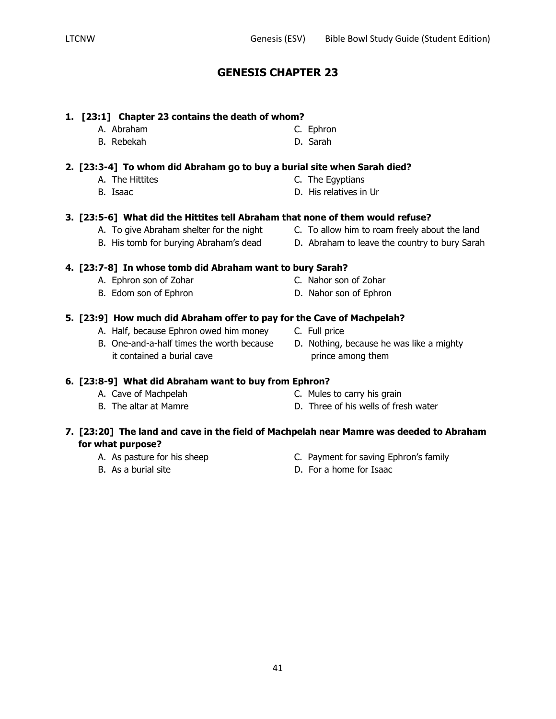### **1. [23:1] Chapter 23 contains the death of whom?**

- 
- **2. [23:3-4] To whom did Abraham go to buy a burial site when Sarah died?**
	-
	-
- **3. [23:5-6] What did the Hittites tell Abraham that none of them would refuse?**
	- A. To give Abraham shelter for the night C. To allow him to roam freely about the land
	- B. His tomb for burying Abraham's dead D. Abraham to leave the country to bury Sarah

## **4. [23:7-8] In whose tomb did Abraham want to bury Sarah?**

- A. Ephron son of Zohar C. Nahor son of Zohar
- B. Edom son of Ephron D. Nahor son of Ephron
- **5. [23:9] How much did Abraham offer to pay for the Cave of Machpelah?**
	- A. Half, because Ephron owed him money C. Full price
	- B. One-and-a-half times the worth because D. Nothing, because he was like a mighty it contained a burial cave prince among them
- **6. [23:8-9] What did Abraham want to buy from Ephron?**
	-
	-
	- A. Cave of Machpelah C. Mules to carry his grain
	- B. The altar at Mamre The South Communist Communist Communist Communist Communist Communist Communist Communist Communist Communist Communist Communist Communist Communist Communist Communist Communist Communist Communist

## **7. [23:20] The land and cave in the field of Machpelah near Mamre was deeded to Abraham for what purpose?**

- 
- 
- A. As pasture for his sheep Equation C. Payment for saving Ephron's family
- B. As a burial site **D.** For a home for Isaac

A. Abraham C. Ephron B. Rebekah D. Sarah

- 
- A. The Hittites **C.** The Egyptians
- B. Isaac D. His relatives in Ur

- 
- 
-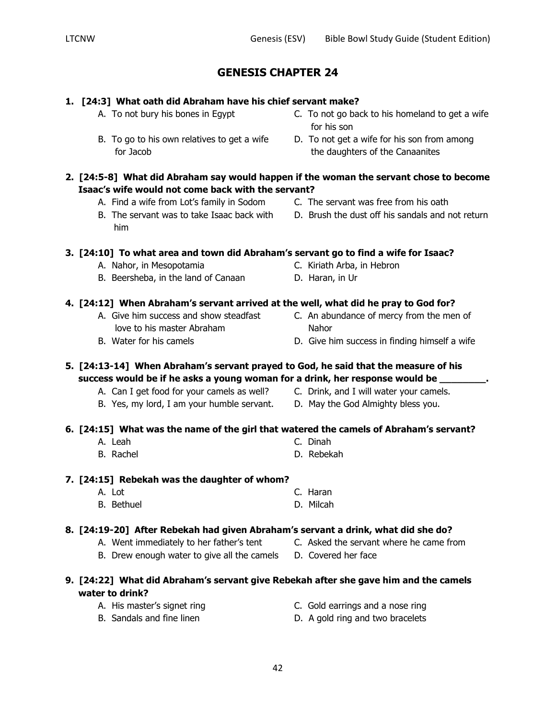## **1. [24:3] What oath did Abraham have his chief servant make?**

- A. To not bury his bones in Egypt C. To not go back to his homeland to get a wife
- B. To go to his own relatives to get a wife D. To not get a wife for his son from among
- **2. [24:5-8] What did Abraham say would happen if the woman the servant chose to become Isaac's wife would not come back with the servant?**
	- A. Find a wife from Lot's family in Sodom C. The servant was free from his oath
	- him

**3. [24:10] To what area and town did Abraham's servant go to find a wife for Isaac?**

- A. Nahor, in Mesopotamia C. Kiriath Arba, in Hebron
- B. Beersheba, in the land of Canaan D. Haran, in Ur

### **4. [24:12] When Abraham's servant arrived at the well, what did he pray to God for?**

- love to his master Abraham Nahor
- 

**5. [24:13-14] When Abraham's servant prayed to God, he said that the measure of his success would be if he asks a young woman for a drink, her response would be \_\_\_\_\_\_\_\_.**

- A. Can I get food for your camels as well? C. Drink, and I will water your camels.
- B. Yes, my lord, I am your humble servant. D. May the God Almighty bless you.
- 

## **6. [24:15] What was the name of the girl that watered the camels of Abraham's servant?**

- A. Leah C. Dinah
- B. Rachel **B. Rebekah**

### **7. [24:15] Rebekah was the daughter of whom?**

A. Lot C. Haran B. Bethuel D. Milcah

## **8. [24:19-20] After Rebekah had given Abraham's servant a drink, what did she do?**

- A. Went immediately to her father's tent C. Asked the servant where he came from
- B. Drew enough water to give all the camels D. Covered her face

## **9. [24:22] What did Abraham's servant give Rebekah after she gave him and the camels water to drink?**

- 
- A. His master's signet ring example and a nose ring C. Gold earrings and a nose ring
- B. Sandals and fine linen **D.** A gold ring and two bracelets
- 
- 

for his son

- 
- A. Give him success and show steadfast **C.** An abundance of mercy from the men of
- B. Water for his camels **Example 20** D. Give him success in finding himself a wife
- -
- for Jacob the daughters of the Canaanites
	-
- B. The servant was to take Isaac back with D. Brush the dust off his sandals and not return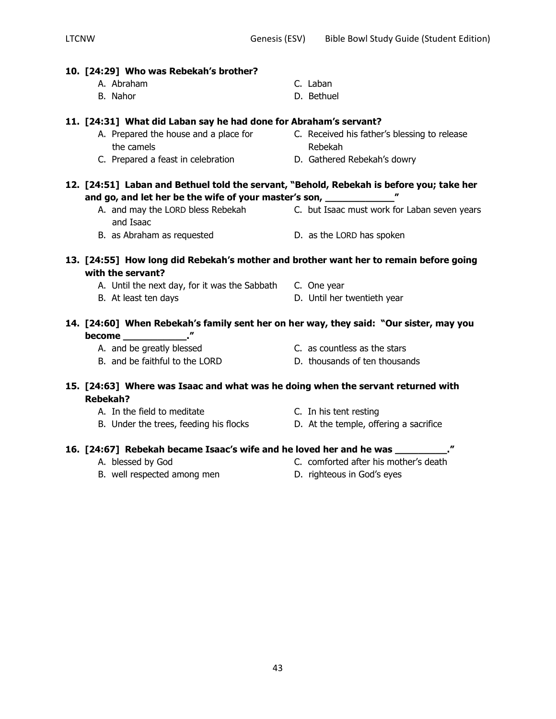| 10. [24:29] Who was Rebekah's brother?                                                                         |                                                                                |
|----------------------------------------------------------------------------------------------------------------|--------------------------------------------------------------------------------|
| A. Abraham                                                                                                     | C. Laban                                                                       |
| B. Nahor                                                                                                       | D. Bethuel                                                                     |
| 11. [24:31] What did Laban say he had done for Abraham's servant?                                              |                                                                                |
| A. Prepared the house and a place for<br>the camels                                                            | C. Received his father's blessing to release<br>Rebekah                        |
| C. Prepared a feast in celebration                                                                             | D. Gathered Rebekah's dowry                                                    |
| 12. [24:51] Laban and Bethuel told the servant, "Behold, Rebekah is before you; take her                       |                                                                                |
| and go, and let her be the wife of your master's son, _____________                                            |                                                                                |
| and Isaac                                                                                                      | A. and may the LORD bless Rebekah C. but Isaac must work for Laban seven years |
| B. as Abraham as requested                                                                                     | D. as the LORD has spoken                                                      |
| 13. [24:55] How long did Rebekah's mother and brother want her to remain before going<br>with the servant?     |                                                                                |
| A. Until the next day, for it was the Sabbath C. One year                                                      |                                                                                |
| B. At least ten days                                                                                           | D. Until her twentieth year                                                    |
| 14. [24:60] When Rebekah's family sent her on her way, they said: "Our sister, may you                         |                                                                                |
| become rations and response to the come of the set of the set of the set of the set of the set of the set of t |                                                                                |
| A. and be greatly blessed                                                                                      | C. as countless as the stars                                                   |
| B. and be faithful to the LORD                                                                                 | D. thousands of ten thousands                                                  |
| 15. [24:63] Where was Isaac and what was he doing when the servant returned with<br><b>Rebekah?</b>            |                                                                                |
| A. In the field to meditate                                                                                    | C. In his tent resting                                                         |
| B. Under the trees, feeding his flocks                                                                         | D. At the temple, offering a sacrifice                                         |
| 16. [24:67] Rebekah became Isaac's wife and he loved her and he was _______                                    |                                                                                |
| A. blessed by God                                                                                              | C. comforted after his mother's death                                          |

- B. well respected among men b. righteous in God's eyes
-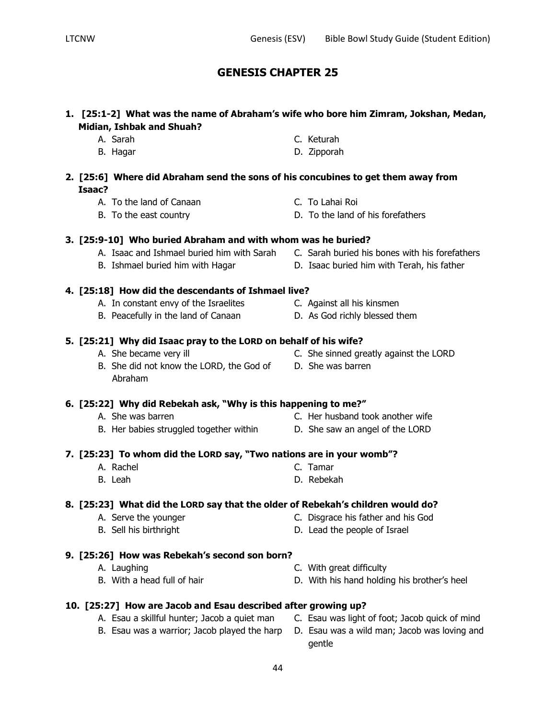## **1. [25:1-2] What was the name of Abraham's wife who bore him Zimram, Jokshan, Medan, Midian, Ishbak and Shuah?**

- A. Sarah C. Keturah
- B. Hagar D. Zipporah

## **2. [25:6] Where did Abraham send the sons of his concubines to get them away from Isaac?**

- A. To the land of Canaan C. To Lahai Roi
- B. To the east country **D.** To the land of his forefathers

## **3. [25:9-10] Who buried Abraham and with whom was he buried?**

- A. Isaac and Ishmael buried him with Sarah C. Sarah buried his bones with his forefathers
- 

## **4. [25:18] How did the descendants of Ishmael live?**

- A. In constant envy of the Israelites C. Against all his kinsmen
- B. Peacefully in the land of Canaan **D.** As God richly blessed them

## **5. [25:21] Why did Isaac pray to the LORD on behalf of his wife?**

- 
- B. She did not know the LORD, the God of D. She was barren Abraham

## **6. [25:22] Why did Rebekah ask, "Why is this happening to me?"**

- 
- B. Her babies struggled together within D. She saw an angel of the LORD
- **7. [25:23] To whom did the LORD say, "Two nations are in your womb"?**
	- A. Rachel C. Tamar
	- B. Leah D. Rebekah

## **8. [25:23] What did the LORD say that the older of Rebekah's children would do?**

- A. Serve the younger **C. Disgrace his father and his God**
- B. Sell his birthright D. Lead the people of Israel
- **9. [25:26] How was Rebekah's second son born?**
	- A. Laughing **A.** Laughing **C.** With great difficulty
	- B. With a head full of hair D. With his hand holding his brother's heel
- **10. [25:27] How are Jacob and Esau described after growing up?**
	- B. Esau was a warrior; Jacob played the harp D. Esau was a wild man; Jacob was loving and
	- A. Esau a skillful hunter; Jacob a quiet man C. Esau was light of foot; Jacob quick of mind
		- gentle
- 
- A. She was barren C. Her husband took another wife
	-
	-
	-
- 
- B. Ishmael buried him with Hagar **D. Isaac buried him with Terah, his father** 
	-
	-
- A. She became very ill **C.** She sinned greatly against the LORD
	-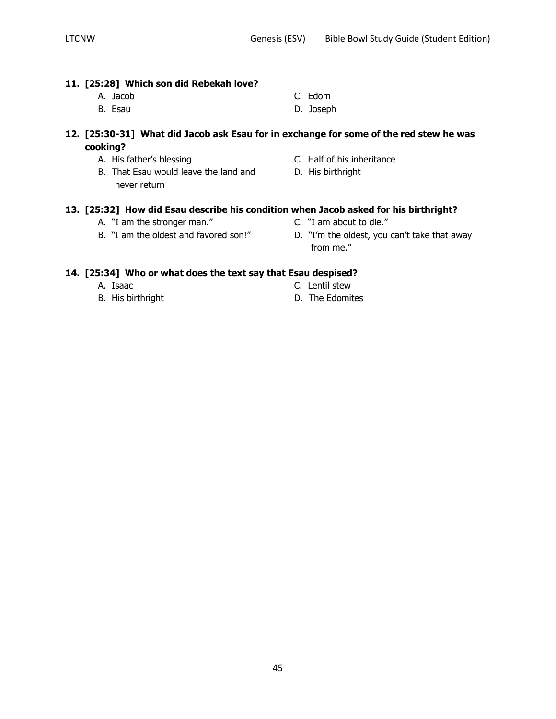### **11. [25:28] Which son did Rebekah love?**

- A. Jacob C. Edom
- B. Esau D. Joseph
- **12. [25:30-31] What did Jacob ask Esau for in exchange for some of the red stew he was cooking?**
	-
	- B. That Esau would leave the land and D. His birthright never return
	- A. His father's blessing C. Half of his inheritance
		-

## **13. [25:32] How did Esau describe his condition when Jacob asked for his birthright?**

- A. "I am the stronger man." C. "I am about to die."
- 
- 
- B. "I am the oldest and favored son!" D. "I'm the oldest, you can't take that away from me."

### **14. [25:34] Who or what does the text say that Esau despised?**

- 
- 
- A. Isaac C. Lentil stew
- B. His birthright **D.** The Edomites
- 
- 
-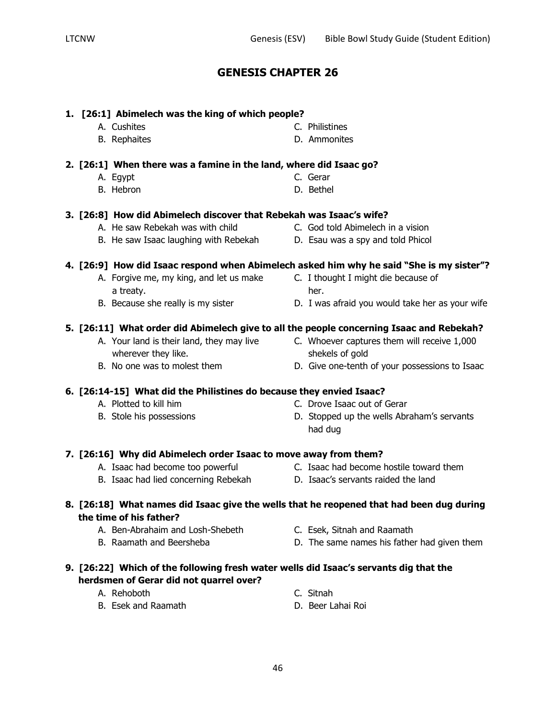## **1. [26:1] Abimelech was the king of which people?**

- 
- B. Rephaites **B. Ammonites**

### **2. [26:1] When there was a famine in the land, where did Isaac go?**

- A. Egypt C. Gerar
- B. Hebron **D. Bethel**

### **3. [26:8] How did Abimelech discover that Rebekah was Isaac's wife?**

- A. He saw Rebekah was with child C. God told Abimelech in a vision
- B. He saw Isaac laughing with Rebekah D. Esau was a spy and told Phicol

## **4. [26:9] How did Isaac respond when Abimelech asked him why he said "She is my sister"?**

- A. Forgive me, my king, and let us make C. I thought I might die because of a treaty.
- 
- B. Because she really is my sister **D.** I was afraid you would take her as your wife

## **5. [26:11] What order did Abimelech give to all the people concerning Isaac and Rebekah?**

- A. Your land is their land, they may live C. Whoever captures them will receive 1,000 wherever they like. shekels of gold
- 

## **6. [26:14-15] What did the Philistines do because they envied Isaac?**

- 
- 
- 
- B. No one was to molest them  $D.$  Give one-tenth of your possessions to Isaac

## A. Plotted to kill him C. Drove Isaac out of Gerar

B. Stole his possessions The Stopped up the wells Abraham's servants had dug

## **7. [26:16] Why did Abimelech order Isaac to move away from them?**

- A. Isaac had become too powerful C. Isaac had become hostile toward them
- B. Isaac had lied concerning Rebekah D. Isaac's servants raided the land
- **8. [26:18] What names did Isaac give the wells that he reopened that had been dug during the time of his father?**
	- A. Ben-Abrahaim and Losh-Shebeth C. Esek, Sitnah and Raamath
	-
- 
- B. Raamath and Beersheba **D.** D. The same names his father had given them

## **9. [26:22] Which of the following fresh water wells did Isaac's servants dig that the herdsmen of Gerar did not quarrel over?**

- A. Rehoboth C. Sitnah
	-
- B. Esek and Raamath D. Beer Lahai Roi

- A. Cushites **C. Philistines** 
	-
	-
	-
	-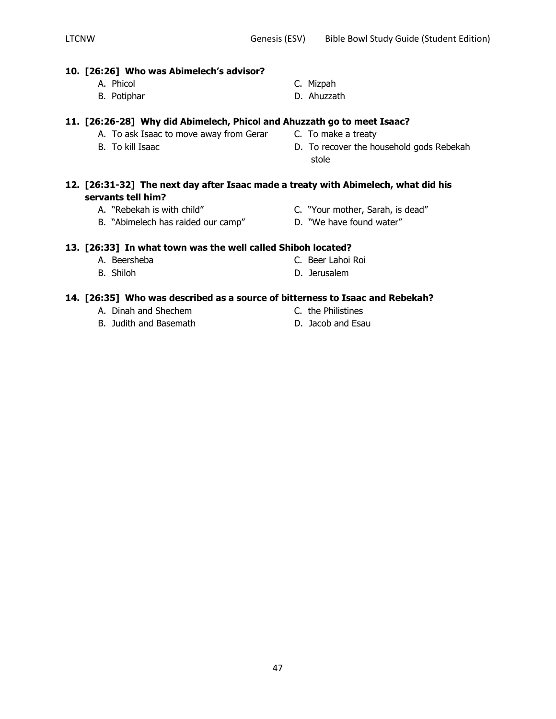### **10. [26:26] Who was Abimelech's advisor?**

- 
- 
- A. Phicol C. Mizpah
- B. Potiphar D. Ahuzzath

## **11. [26:26-28] Why did Abimelech, Phicol and Ahuzzath go to meet Isaac?**

- A. To ask Isaac to move away from Gerar C. To make a treaty
- 
- 
- B. To kill Isaac **B.** To recover the household gods Rebekah stole

### **12. [26:31-32] The next day after Isaac made a treaty with Abimelech, what did his servants tell him?**

- -
- A. "Rebekah is with child" C. "Your mother, Sarah, is dead"
- B. "Abimelech has raided our camp" D. "We have found water"
- **13. [26:33] In what town was the well called Shiboh located?**
	- A. Beersheba C. Beer Lahoi Roi
	- B. Shiloh D. Jerusalem

## **14. [26:35] Who was described as a source of bitterness to Isaac and Rebekah?**

- A. Dinah and Shechem C. the Philistines
- B. Judith and Basemath D. Jacob and Esau
- 
- 
- 
-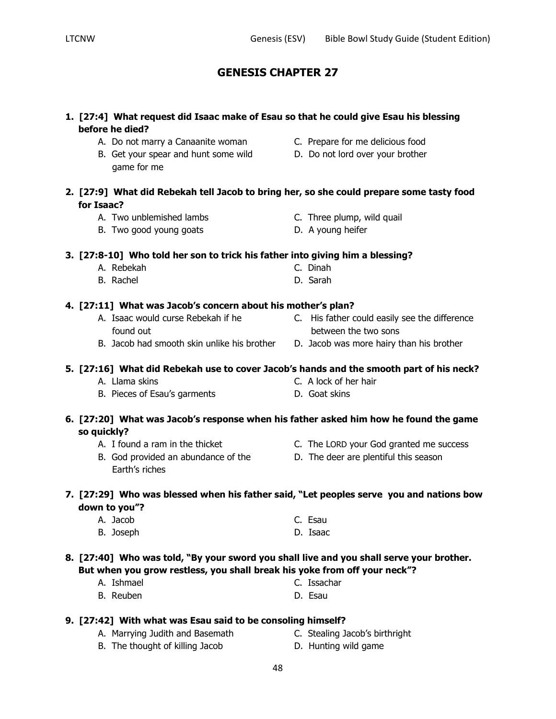| 1. [27:4] What request did Isaac make of Esau so that he could give Esau his blessing<br>before he died? |                                               |
|----------------------------------------------------------------------------------------------------------|-----------------------------------------------|
| A. Do not marry a Canaanite woman                                                                        | C. Prepare for me delicious food              |
| B. Get your spear and hunt some wild<br>game for me                                                      | D. Do not lord over your brother              |
| 2. [27:9] What did Rebekah tell Jacob to bring her, so she could prepare some tasty food<br>for Isaac?   |                                               |
| A. Two unblemished lambs                                                                                 | C. Three plump, wild quail                    |
| B. Two good young goats                                                                                  | D. A young heifer                             |
| 3. [27:8-10] Who told her son to trick his father into giving him a blessing?                            |                                               |
| A. Rebekah                                                                                               | C. Dinah                                      |
| B. Rachel                                                                                                | D. Sarah                                      |
| 4. [27:11] What was Jacob's concern about his mother's plan?                                             |                                               |
| A. Isaac would curse Rebekah if he                                                                       | C. His father could easily see the difference |
| found out                                                                                                | between the two sons                          |
| B. Jacob had smooth skin unlike his brother                                                              | D. Jacob was more hairy than his brother      |
| 5. [27:16] What did Rebekah use to cover Jacob's hands and the smooth part of his neck?                  |                                               |
| A. Llama skins                                                                                           | C. A lock of her hair                         |
| B. Pieces of Esau's garments                                                                             | D. Goat skins                                 |
| 6. [27:20] What was Jacob's response when his father asked him how he found the game<br>so quickly?      |                                               |
| A. I found a ram in the thicket                                                                          | C. The LORD your God granted me success       |
| B. God provided an abundance of the                                                                      | D. The deer are plentiful this season         |
| Earth's riches                                                                                           |                                               |
| 7. [27:29] Who was blessed when his father said, "Let peoples serve you and nations bow<br>down to you"? |                                               |
| A. Jacob                                                                                                 | C. Esau                                       |
| B. Joseph                                                                                                | D. Isaac                                      |
| 8. [27:40] Who was told, "By your sword you shall live and you shall serve your brother.                 |                                               |
| But when you grow restless, you shall break his yoke from off your neck"?                                |                                               |
| A. Ishmael                                                                                               | C. Issachar                                   |
| B. Reuben                                                                                                | D. Esau                                       |

## **9. [27:42] With what was Esau said to be consoling himself?**

- 
- A. Marrying Judith and Basemath C. Stealing Jacob's birthright
- B. The thought of killing Jacob **D. Hunting wild game** 
	-

## **5. [27:16] What did Rebekah use to cover Jacob's hands and the smooth part of his neck?**

- **6. [27:20] What was Jacob's response when his father asked him how he found the game** 
	-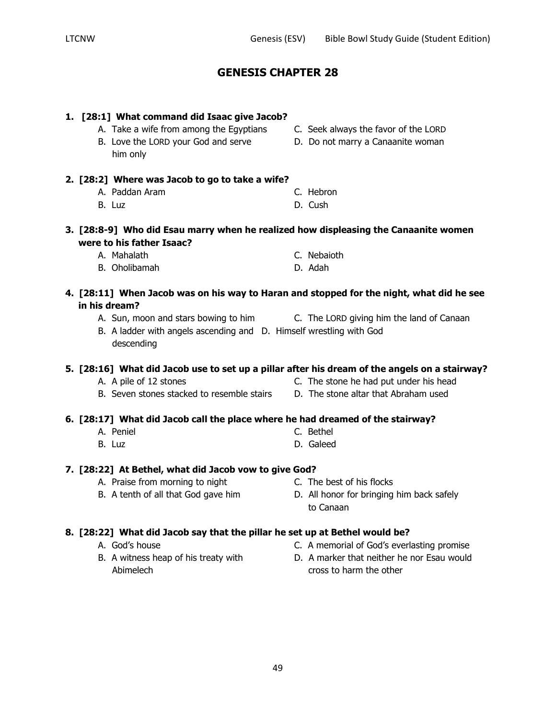LTCNW Genesis (ESV) Bible Bowl Study Guide (Student Edition)

## **GENESIS CHAPTER 28**

# **1. [28:1] What command did Isaac give Jacob?** A. Take a wife from among the Egyptians C. Seek always the favor of the LORD B. Love the LORD your God and serve D. Do not marry a Canaanite woman him only **2. [28:2] Where was Jacob to go to take a wife?** A. Paddan Aram C. Hebron B. Luz D. Cush **3. [28:8-9] Who did Esau marry when he realized how displeasing the Canaanite women were to his father Isaac?** A. Mahalath C. Nebaioth B. Oholibamah D. Adah **4. [28:11] When Jacob was on his way to Haran and stopped for the night, what did he see in his dream?** A. Sun, moon and stars bowing to him C. The LORD giving him the land of Canaan B. A ladder with angels ascending and D. Himself wrestling with God descending A. A pile of 12 stones C. The stone he had put under his head B. Seven stones stacked to resemble stairs D. The stone altar that Abraham used **6. [28:17] What did Jacob call the place where he had dreamed of the stairway?** A. Peniel C. Bethel B. Luz D. Galeed **7. [28:22] At Bethel, what did Jacob vow to give God?** A. Praise from morning to night C. The best of his flocks B. A tenth of all that God gave him D. All honor for bringing him back safely to Canaan **8. [28:22] What did Jacob say that the pillar he set up at Bethel would be?** A. God's house C. A memorial of God's everlasting promise B. A witness heap of his treaty with B. A marker that neither he nor Esau would Abimelech **cross to harm the other**

## **5. [28:16] What did Jacob use to set up a pillar after his dream of the angels on a stairway?**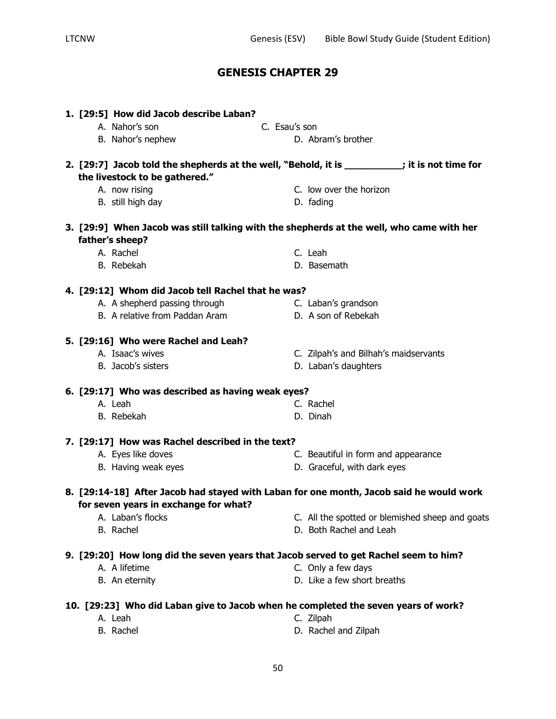|  | 1. [29:5] How did Jacob describe Laban?<br>A. Nahor's son                                                                        | C. Esau's son |                                       |                                                 |
|--|----------------------------------------------------------------------------------------------------------------------------------|---------------|---------------------------------------|-------------------------------------------------|
|  | B. Nahor's nephew                                                                                                                |               | D. Abram's brother                    |                                                 |
|  | 2. [29:7] Jacob told the shepherds at the well, "Behold, it is ___________; it is not time for<br>the livestock to be gathered." |               |                                       |                                                 |
|  | A. now rising                                                                                                                    |               | C. low over the horizon               |                                                 |
|  | B. still high day                                                                                                                |               | D. fading                             |                                                 |
|  | 3. [29:9] When Jacob was still talking with the shepherds at the well, who came with her                                         |               |                                       |                                                 |
|  | father's sheep?                                                                                                                  |               |                                       |                                                 |
|  | A. Rachel                                                                                                                        |               | C. Leah                               |                                                 |
|  | B. Rebekah                                                                                                                       |               | D. Basemath                           |                                                 |
|  | 4. [29:12] Whom did Jacob tell Rachel that he was?                                                                               |               |                                       |                                                 |
|  | A. A shepherd passing through                                                                                                    |               | C. Laban's grandson                   |                                                 |
|  | B. A relative from Paddan Aram                                                                                                   |               | D. A son of Rebekah                   |                                                 |
|  | 5. [29:16] Who were Rachel and Leah?                                                                                             |               |                                       |                                                 |
|  | A. Isaac's wives                                                                                                                 |               | C. Zilpah's and Bilhah's maidservants |                                                 |
|  | B. Jacob's sisters                                                                                                               |               | D. Laban's daughters                  |                                                 |
|  | 6. [29:17] Who was described as having weak eyes?                                                                                |               |                                       |                                                 |
|  | A. Leah                                                                                                                          |               | C. Rachel                             |                                                 |
|  | B. Rebekah                                                                                                                       |               | D. Dinah                              |                                                 |
|  | 7. [29:17] How was Rachel described in the text?                                                                                 |               |                                       |                                                 |
|  | A. Eyes like doves                                                                                                               |               | C. Beautiful in form and appearance   |                                                 |
|  | B. Having weak eyes                                                                                                              |               | D. Graceful, with dark eyes           |                                                 |
|  | 8. [29:14-18] After Jacob had stayed with Laban for one month, Jacob said he would work                                          |               |                                       |                                                 |
|  | for seven years in exchange for what?                                                                                            |               |                                       |                                                 |
|  | A. Laban's flocks                                                                                                                |               |                                       | C. All the spotted or blemished sheep and goats |
|  | B. Rachel                                                                                                                        |               | D. Both Rachel and Leah               |                                                 |
|  | 9. [29:20] How long did the seven years that Jacob served to get Rachel seem to him?                                             |               |                                       |                                                 |
|  | A. A lifetime                                                                                                                    |               | C. Only a few days                    |                                                 |
|  | B. An eternity                                                                                                                   |               | D. Like a few short breaths           |                                                 |
|  | 10. [29:23] Who did Laban give to Jacob when he completed the seven years of work?                                               |               |                                       |                                                 |
|  | A. Leah                                                                                                                          |               | C. Zilpah                             |                                                 |

B. Rachel **B. Rachel and Zilpah**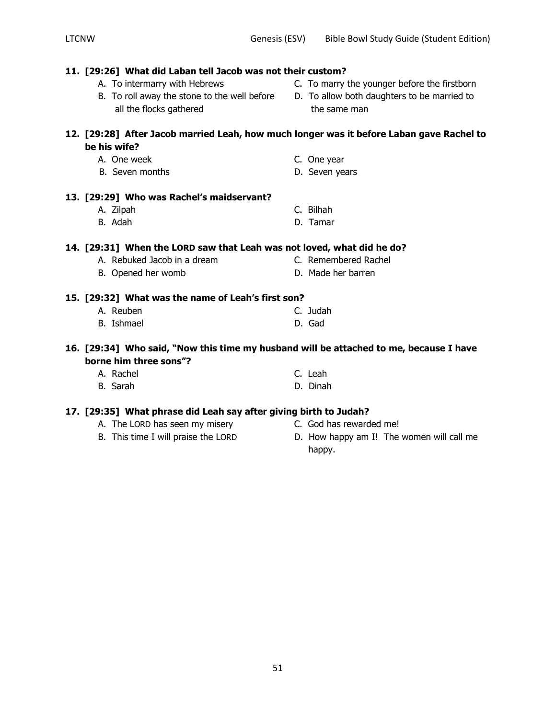- **11. [29:26] What did Laban tell Jacob was not their custom?** A. To intermarry with Hebrews C. To marry the younger before the firstborn B. To roll away the stone to the well before D. To allow both daughters to be married to all the flocks gathered the same man **12. [29:28] After Jacob married Leah, how much longer was it before Laban gave Rachel to be his wife?** A. One week C. One year B. Seven months **D.** Seven years **13. [29:29] Who was Rachel's maidservant?** A. Zilpah C. Bilhah B. Adah D. Tamar **14. [29:31] When the LORD saw that Leah was not loved, what did he do?** A. Rebuked Jacob in a dream C. Remembered Rachel **B.** Opened her womb D. Made her barren **15. [29:32] What was the name of Leah's first son?** A. Reuben C. Judah B. Ishmael D. Gad **16. [29:34] Who said, "Now this time my husband will be attached to me, because I have borne him three sons"?** A. Rachel C. Leah B. Sarah D. Dinah **17. [29:35] What phrase did Leah say after giving birth to Judah?** A. The LORD has seen my misery C. God has rewarded me! B. This time I will praise the LORD D. How happy am I! The women will call me happy.
- -
	-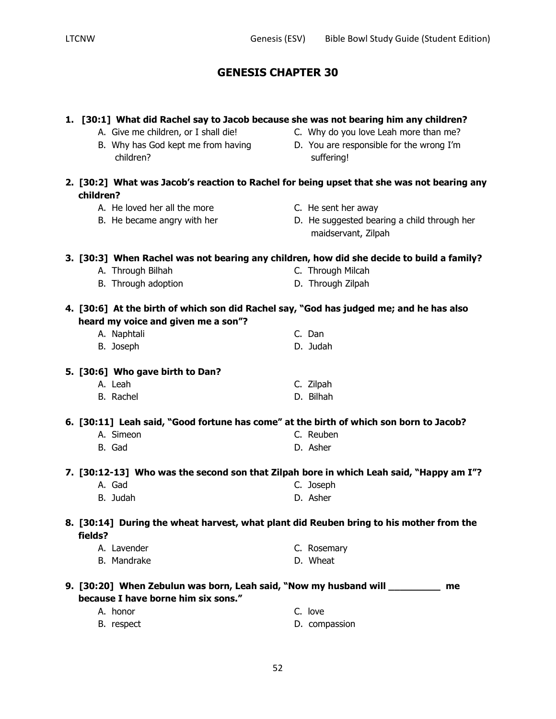|           | 1. [30:1] What did Rachel say to Jacob because she was not bearing him any children?<br>A. Give me children, or I shall die!<br>B. Why has God kept me from having<br>children? | C. Why do you love Leah more than me?<br>D. You are responsible for the wrong I'm<br>suffering! |
|-----------|---------------------------------------------------------------------------------------------------------------------------------------------------------------------------------|-------------------------------------------------------------------------------------------------|
| children? |                                                                                                                                                                                 | 2. [30:2] What was Jacob's reaction to Rachel for being upset that she was not bearing any      |
|           | A. He loved her all the more                                                                                                                                                    | C. He sent her away                                                                             |
|           | B. He became angry with her                                                                                                                                                     | D. He suggested bearing a child through her<br>maidservant, Zilpah                              |
|           | 3. [30:3] When Rachel was not bearing any children, how did she decide to build a family?                                                                                       |                                                                                                 |
|           | A. Through Bilhah                                                                                                                                                               | C. Through Milcah                                                                               |
|           | B. Through adoption                                                                                                                                                             | D. Through Zilpah                                                                               |
|           | 4. [30:6] At the birth of which son did Rachel say, "God has judged me; and he has also<br>heard my voice and given me a son"?                                                  |                                                                                                 |
|           | A. Naphtali                                                                                                                                                                     | C. Dan                                                                                          |
|           | B. Joseph                                                                                                                                                                       | D. Judah                                                                                        |
|           | 5. [30:6] Who gave birth to Dan?                                                                                                                                                |                                                                                                 |
|           | A. Leah                                                                                                                                                                         | C. Zilpah                                                                                       |
|           | B. Rachel                                                                                                                                                                       | D. Bilhah                                                                                       |
|           | 6. [30:11] Leah said, "Good fortune has come" at the birth of which son born to Jacob?                                                                                          |                                                                                                 |
|           | A. Simeon                                                                                                                                                                       | C. Reuben                                                                                       |
|           | B. Gad                                                                                                                                                                          | D. Asher                                                                                        |
|           | 7. [30:12-13] Who was the second son that Zilpah bore in which Leah said, "Happy am I"?                                                                                         |                                                                                                 |
|           | A. Gad                                                                                                                                                                          | C. Joseph                                                                                       |
|           | B. Judah                                                                                                                                                                        | D. Asher                                                                                        |
| fields?   | 8. [30:14] During the wheat harvest, what plant did Reuben bring to his mother from the                                                                                         |                                                                                                 |
|           | A. Lavender                                                                                                                                                                     | C. Rosemary                                                                                     |
|           | B. Mandrake                                                                                                                                                                     | D. Wheat                                                                                        |
|           | 9. [30:20] When Zebulun was born, Leah said, "Now my husband will _________<br>because I have borne him six sons."                                                              | me                                                                                              |
|           | A. honor                                                                                                                                                                        | C. love                                                                                         |
|           | B. respect                                                                                                                                                                      | D. compassion                                                                                   |
|           |                                                                                                                                                                                 |                                                                                                 |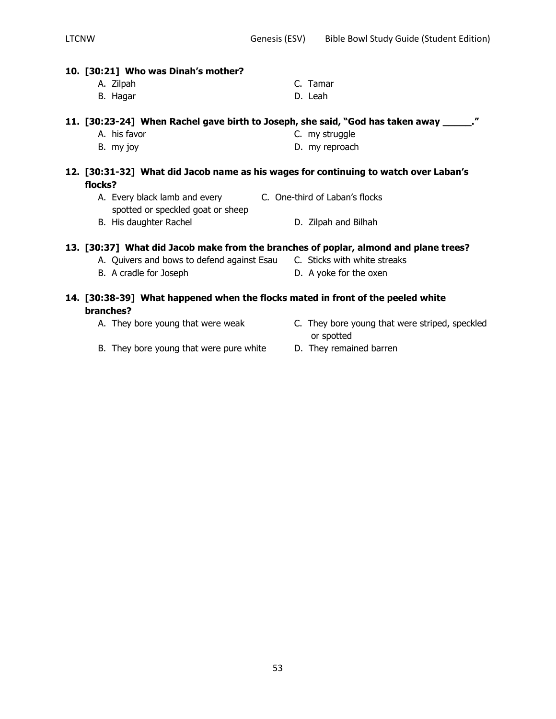### **10. [30:21] Who was Dinah's mother?**

A. Zilpah C. Tamar B. Hagar D. Leah

### **11. [30:23-24] When Rachel gave birth to Joseph, she said, "God has taken away \_\_\_\_\_."**

- A. his favor **C. my struggle**
- B. my joy D. my reproach

### **12. [30:31-32] What did Jacob name as his wages for continuing to watch over Laban's flocks?**

- A. Every black lamb and every **C. One-third of Laban's flocks** spotted or speckled goat or sheep
- B. His daughter Rachel D. Zilpah and Bilhah

## **13. [30:37] What did Jacob make from the branches of poplar, almond and plane trees?**

- A. Quivers and bows to defend against Esau C. Sticks with white streaks
- B. A cradle for Joseph D. A yoke for the oxen

### **14. [30:38-39] What happened when the flocks mated in front of the peeled white branches?**

- 
- A. They bore young that were weak **C.** They bore young that were striped, speckled or spotted
- B. They bore young that were pure white D. They remained barren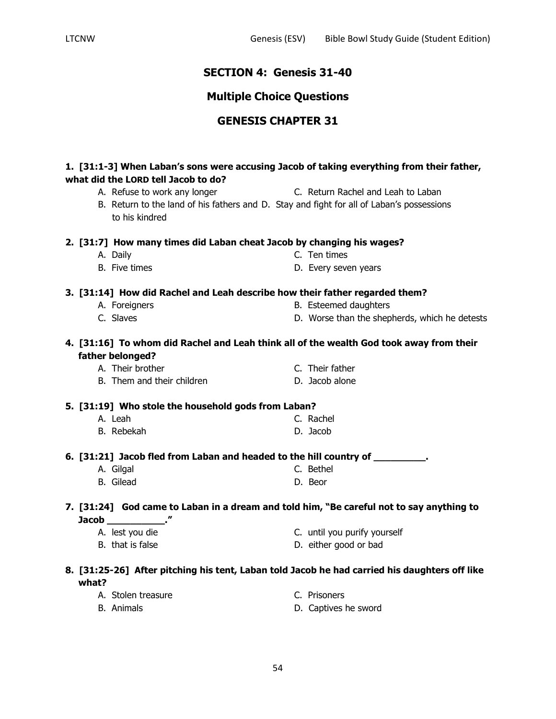## **SECTION 4: Genesis 31-40**

## **Multiple Choice Questions**

## **GENESIS CHAPTER 31**

### **1. [31:1-3] When Laban's sons were accusing Jacob of taking everything from their father, what did the LORD tell Jacob to do?**

- A. Refuse to work any longer The C. Return Rachel and Leah to Laban
- B. Return to the land of his fathers and D. Stay and fight for all of Laban's possessions to his kindred

### **2. [31:7] How many times did Laban cheat Jacob by changing his wages?**

- A. Daily C. Ten times
- B. Five times **B.** Every seven years

## **3. [31:14] How did Rachel and Leah describe how their father regarded them?**

- 
- 
- A. Foreigners **B. Esteemed daughters**
- C. Slaves D. Worse than the shepherds, which he detests

### **4. [31:16] To whom did Rachel and Leah think all of the wealth God took away from their father belonged?**

A. Their brother C. Their father

B. Them and their children D. Jacob alone

## **5. [31:19] Who stole the household gods from Laban?**

- A. Leah C. Rachel
- B. Rebekah D. Jacob

**6. [31:21] Jacob fled from Laban and headed to the hill country of \_\_\_\_\_\_\_\_\_.**

- A. Gilgal C. Bethel
- B. Gilead D. Beor

### **7. [31:24] God came to Laban in a dream and told him, "Be careful not to say anything to Jacob \_\_\_\_\_\_\_\_\_\_."**

A. lest you die C. until you purify yourself B. that is false **B.** that is false

### **8. [31:25-26] After pitching his tent, Laban told Jacob he had carried his daughters off like what?**

- A. Stolen treasure C. Prisoners B. Animals **D.** Captives he sword
	-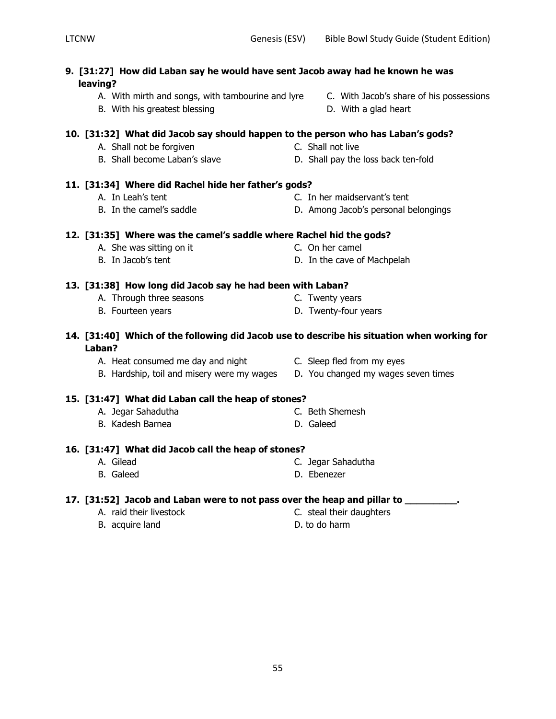- **9. [31:27] How did Laban say he would have sent Jacob away had he known he was leaving?**
	- A. With mirth and songs, with tambourine and lyre C. With Jacob's share of his possessions
	- B. With his greatest blessing and the state of D. With a glad heart

### **10. [31:32] What did Jacob say should happen to the person who has Laban's gods?**

- A. Shall not be forgiven Note 2008 C. Shall not live
- B. Shall become Laban's slave D. Shall pay the loss back ten-fold

## **11. [31:34] Where did Rachel hide her father's gods?**

- A. In Leah's tent C. In her maidservant's tent
- B. In the camel's saddle **D.** Among Jacob's personal belongings

## **12. [31:35] Where was the camel's saddle where Rachel hid the gods?**

A. She was sitting on it C. On her camel

# **13. [31:38] How long did Jacob say he had been with Laban?**

- A. Through three seasons The C. Twenty years
	-
- **14. [31:40] Which of the following did Jacob use to describe his situation when working for**

### **Laban?**

- A. Heat consumed me day and night C. Sleep fled from my eyes
- B. Hardship, toil and misery were my wages D. You changed my wages seven times

## **15. [31:47] What did Laban call the heap of stones?**

- A. Jegar Sahadutha C. Beth Shemesh
- B. Kadesh Barnea D. Galeed

## **16. [31:47] What did Jacob call the heap of stones?**

- A. Gilead C. Jegar Sahadutha
- B. Galeed **D. Ebenezer**

## **17. [31:52] Jacob and Laban were to not pass over the heap and pillar to \_\_\_\_\_\_\_\_\_.**

- 
- B. acquire land D. to do harm
- A. raid their livestock C. steal their daughters
	-
- 
- 
- 
- B. Fourteen years **B.** Twenty-four years
	-
	-
	- -
	-
	-
	-
	-
- -
- -
- B. In Jacob's tent D. In the cave of Machpelah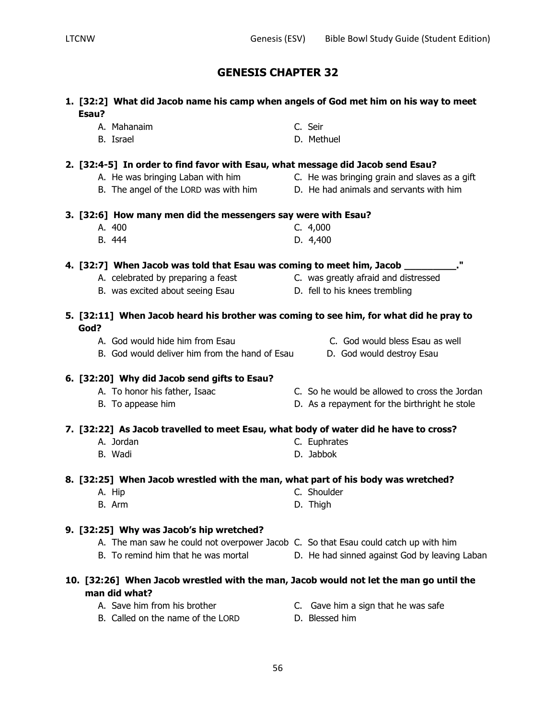**1. [32:2] What did Jacob name his camp when angels of God met him on his way to meet** 

A. Mahanaim C. Seir

| B. Israel                                                                              | D. Methuel                                                                                      |
|----------------------------------------------------------------------------------------|-------------------------------------------------------------------------------------------------|
| 2. [32:4-5] In order to find favor with Esau, what message did Jacob send Esau?        |                                                                                                 |
|                                                                                        | A. He was bringing Laban with him <b>Example 20.</b> He was bringing grain and slaves as a gift |
| B. The angel of the LORD was with him D. He had animals and servants with him          |                                                                                                 |
| 3. [32:6] How many men did the messengers say were with Esau?                          |                                                                                                 |
| A. 400                                                                                 | C. 4,000                                                                                        |
| B. 444                                                                                 | D. 4,400                                                                                        |
| 4. [32:7] When Jacob was told that Esau was coming to meet him, Jacob __________       |                                                                                                 |
| A. celebrated by preparing a feast <b>C.</b> was greatly afraid and distressed         |                                                                                                 |
| B. was excited about seeing Esau                                                       | D. fell to his knees trembling                                                                  |
| 5. [32:11] When Jacob heard his brother was coming to see him, for what did he pray to |                                                                                                 |
| God?                                                                                   |                                                                                                 |
| A. God would hide him from Esau                                                        | C. God would bless Esau as well                                                                 |
| B. God would deliver him from the hand of Esau                                         | D. God would destroy Esau                                                                       |

# A. Jordan C. Euphrates B. Wadi D. Jabbok

### **8. [32:25] When Jacob wrestled with the man, what part of his body was wretched?**

**7. [32:22] As Jacob travelled to meet Esau, what body of water did he have to cross?**

- A. Hip C. Shoulder B. Arm D. Thigh
- **9. [32:25] Why was Jacob's hip wretched?**

**6. [32:20] Why did Jacob send gifts to Esau?**

|  |  |  | A. The man saw he could not overpower Jacob C. So that Esau could catch up with him |  |
|--|--|--|-------------------------------------------------------------------------------------|--|

A. To honor his father, Isaac **C.** So he would be allowed to cross the Jordan B. To appease him **D.** As a repayment for the birthright he stole

B. To remind him that he was mortal D. He had sinned against God by leaving Laban

## **10. [32:26] When Jacob wrestled with the man, Jacob would not let the man go until the man did what?**

- 
- A. Save him from his brother **C.** Gave him a sign that he was safe
- B. Called on the name of the LORD D. Blessed him
- 
- 

**Esau?**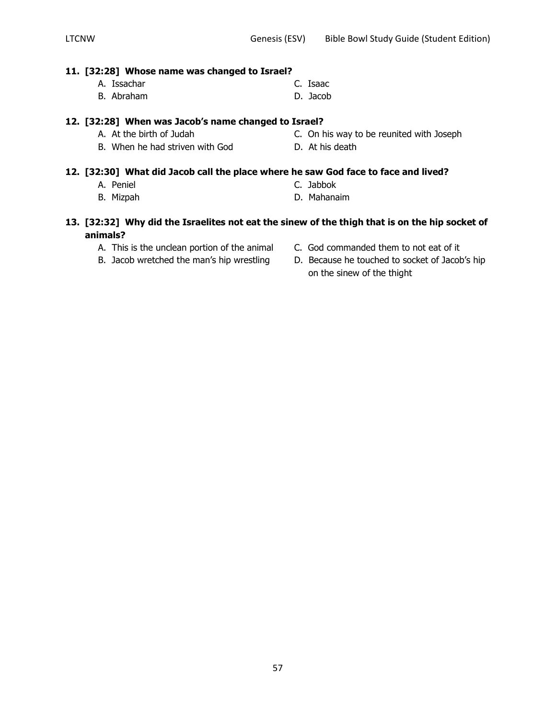### **11. [32:28] Whose name was changed to Israel?**

- A. Issachar C. Isaac
- B. Abraham D. Jacob

### **12. [32:28] When was Jacob's name changed to Israel?**

- A. At the birth of Judah C. On his way to be reunited with Joseph
- B. When he had striven with God D. At his death

### **12. [32:30] What did Jacob call the place where he saw God face to face and lived?**

- A. Peniel C. Jabbok
- 
- 
- B. Mizpah D. Mahanaim

### **13. [32:32] Why did the Israelites not eat the sinew of the thigh that is on the hip socket of animals?**

- 
- 
- A. This is the unclean portion of the animal C. God commanded them to not eat of it
- B. Jacob wretched the man's hip wrestling D. Because he touched to socket of Jacob's hip on the sinew of the thight
- 
- 
-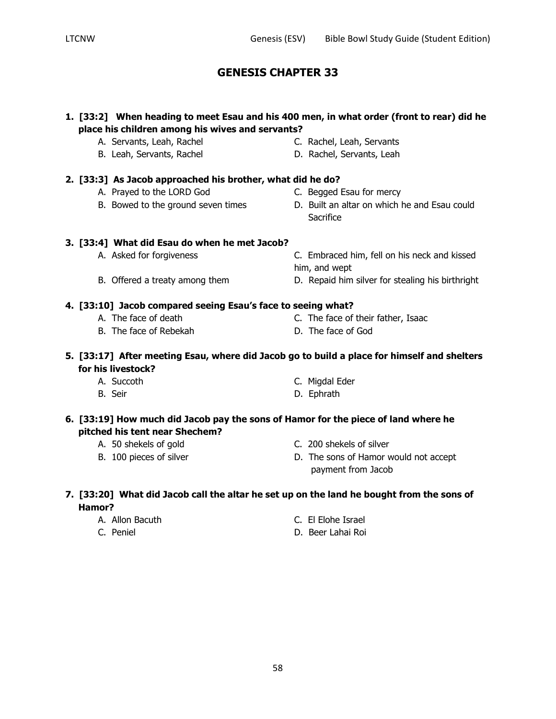## **1. [33:2] When heading to meet Esau and his 400 men, in what order (front to rear) did he place his children among his wives and servants?**

- A. Servants, Leah, Rachel C. Rachel, Leah, Servants
- B. Leah, Servants, Rachel D. Rachel, Servants, Leah
- **2. [33:3] As Jacob approached his brother, what did he do?**
	- A. Prayed to the LORD God C. Begged Esau for mercy
	-
- - **Sacrifice**

## **3. [33:4] What did Esau do when he met Jacob?**

- A. Asked for forgiveness C. Embraced him, fell on his neck and kissed
- B. Offered a treaty among them **D.** Repaid him silver for stealing his birthright
- **4. [33:10] Jacob compared seeing Esau's face to seeing what?**
	- A. The face of death C. The face of their father, Isaac
	- B. The face of Rebekah D. The face of God

him, and wept

## **5. [33:17] After meeting Esau, where did Jacob go to build a place for himself and shelters for his livestock?**

- A. Succoth C. Migdal Eder
- B. Seir **D. Ephrath**

## **6. [33:19] How much did Jacob pay the sons of Hamor for the piece of land where he pitched his tent near Shechem?**

- 
- 
- A. 50 shekels of gold C. 200 shekels of silver
- B. 100 pieces of silver **D.** The sons of Hamor would not accept payment from Jacob

## **7. [33:20] What did Jacob call the altar he set up on the land he bought from the sons of Hamor?**

- 
- 
- A. Allon Bacuth C. El Elohe Israel
- C. Peniel D. Beer Lahai Roi
- 
- 
- B. Bowed to the ground seven times **D.** Built an altar on which he and Esau could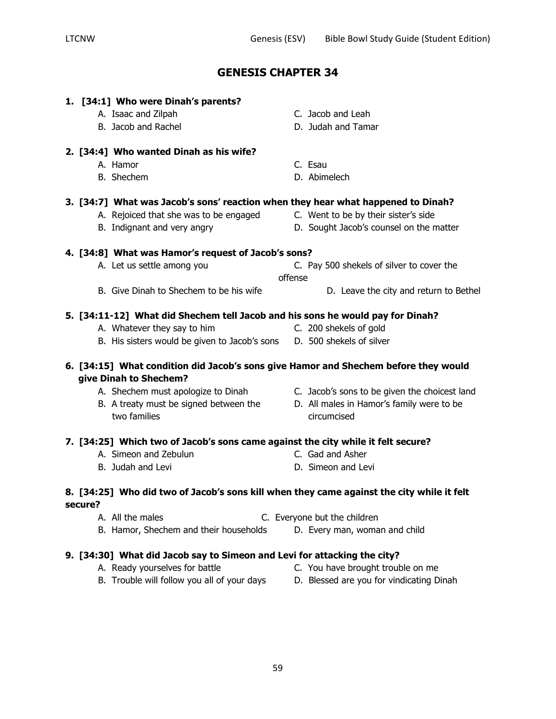|         | 1. [34:1] Who were Dinah's parents?                                                                           |         |                                               |
|---------|---------------------------------------------------------------------------------------------------------------|---------|-----------------------------------------------|
|         | A. Isaac and Zilpah                                                                                           |         | C. Jacob and Leah                             |
|         | B. Jacob and Rachel                                                                                           |         | D. Judah and Tamar                            |
|         | 2. [34:4] Who wanted Dinah as his wife?                                                                       |         |                                               |
|         | A. Hamor                                                                                                      |         | C. Esau                                       |
|         | <b>B.</b> Shechem                                                                                             |         | D. Abimelech                                  |
|         | 3. [34:7] What was Jacob's sons' reaction when they hear what happened to Dinah?                              |         |                                               |
|         | A. Rejoiced that she was to be engaged                                                                        |         | C. Went to be by their sister's side          |
|         | B. Indignant and very angry                                                                                   |         | D. Sought Jacob's counsel on the matter       |
|         | 4. [34:8] What was Hamor's request of Jacob's sons?                                                           |         |                                               |
|         | A. Let us settle among you                                                                                    |         | C. Pay 500 shekels of silver to cover the     |
|         |                                                                                                               | offense |                                               |
|         | B. Give Dinah to Shechem to be his wife                                                                       |         | D. Leave the city and return to Bethel        |
|         | 5. [34:11-12] What did Shechem tell Jacob and his sons he would pay for Dinah?                                |         |                                               |
|         | A. Whatever they say to him                                                                                   |         | C. 200 shekels of gold                        |
|         | B. His sisters would be given to Jacob's sons D. 500 shekels of silver                                        |         |                                               |
|         | 6. [34:15] What condition did Jacob's sons give Hamor and Shechem before they would<br>give Dinah to Shechem? |         |                                               |
|         | A. Shechem must apologize to Dinah                                                                            |         | C. Jacob's sons to be given the choicest land |
|         | B. A treaty must be signed between the                                                                        |         | D. All males in Hamor's family were to be     |
|         | two families                                                                                                  |         | circumcised                                   |
|         | 7. [34:25] Which two of Jacob's sons came against the city while it felt secure?                              |         |                                               |
|         | A. Simeon and Zebulun                                                                                         |         | C. Gad and Asher                              |
|         | B. Judah and Levi                                                                                             |         | D. Simeon and Levi                            |
| secure? | 8. [34:25] Who did two of Jacob's sons kill when they came against the city while it felt                     |         |                                               |
|         | A. All the males                                                                                              |         | C. Everyone but the children                  |
|         | B. Hamor, Shechem and their households                                                                        |         | D. Every man, woman and child                 |
|         | 9. [34:30] What did Jacob say to Simeon and Levi for attacking the city?                                      |         |                                               |
|         | A. Ready yourselves for battle                                                                                |         | C. You have brought trouble on me             |

- B. Trouble will follow you all of your days The Blessed are you for vindicating Dinah
- -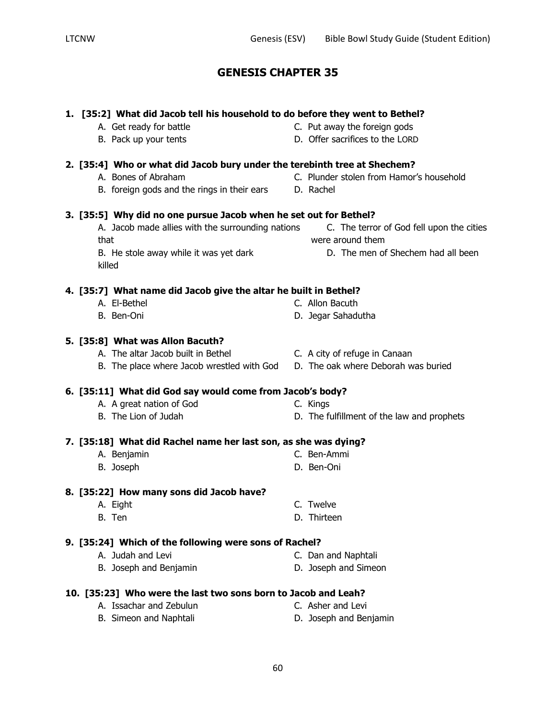# **1. [35:2] What did Jacob tell his household to do before they went to Bethel?** A. Get ready for battle C. Put away the foreign gods B. Pack up your tents D. Offer sacrifices to the LORD **2. [35:4] Who or what did Jacob bury under the terebinth tree at Shechem?** A. Bones of Abraham C. Plunder stolen from Hamor's household B. foreign gods and the rings in their ears D. Rachel **3. [35:5] Why did no one pursue Jacob when he set out for Bethel?** A. Jacob made allies with the surrounding nations C. The terror of God fell upon the cities that were around them B. He stole away while it was yet dark **D.** The men of Shechem had all been killed **4. [35:7] What name did Jacob give the altar he built in Bethel?** A. El-Bethel C. Allon Bacuth B. Ben-Oni D. Jegar Sahadutha **5. [35:8] What was Allon Bacuth?** A. The altar Jacob built in Bethel **C.** A city of refuge in Canaan B. The place where Jacob wrestled with God D. The oak where Deborah was buried **6. [35:11] What did God say would come from Jacob's body?** A. A great nation of God C. Kings B. The Lion of Judah D. The fulfillment of the law and prophets **7. [35:18] What did Rachel name her last son, as she was dying?** A. Benjamin C. Ben-Ammi B. Joseph D. Ben-Oni **8. [35:22] How many sons did Jacob have?** A. Eight C. Twelve B. Ten D. Thirteen **9. [35:24] Which of the following were sons of Rachel?** A. Judah and Levi C. Dan and Naphtali B. Joseph and Benjamin D. Joseph and Simeon **10. [35:23] Who were the last two sons born to Jacob and Leah?** A. Issachar and Zebulun C. Asher and Levi B. Simeon and Naphtali **D.** Joseph and Benjamin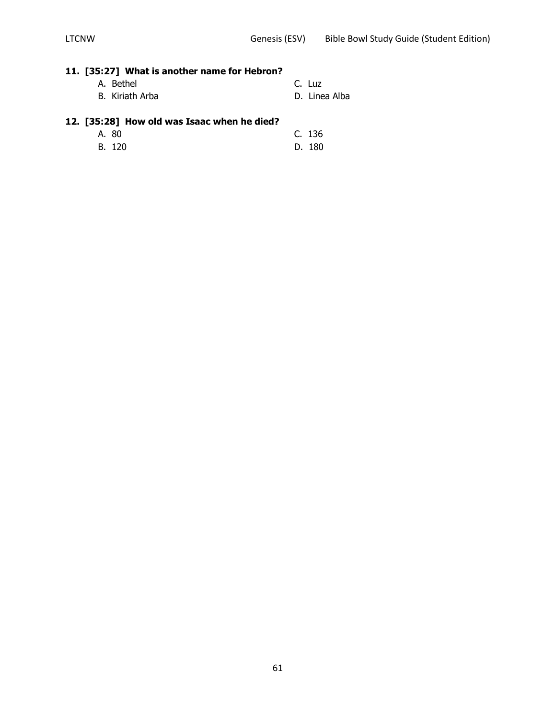# **11. [35:27] What is another name for Hebron?**

- A. Bethel C. Luz B. Kiriath Arba **D. Linea Alba**
- 

## **12. [35:28] How old was Isaac when he died?**

- A. 80 C. 136
- B. 120 D. 180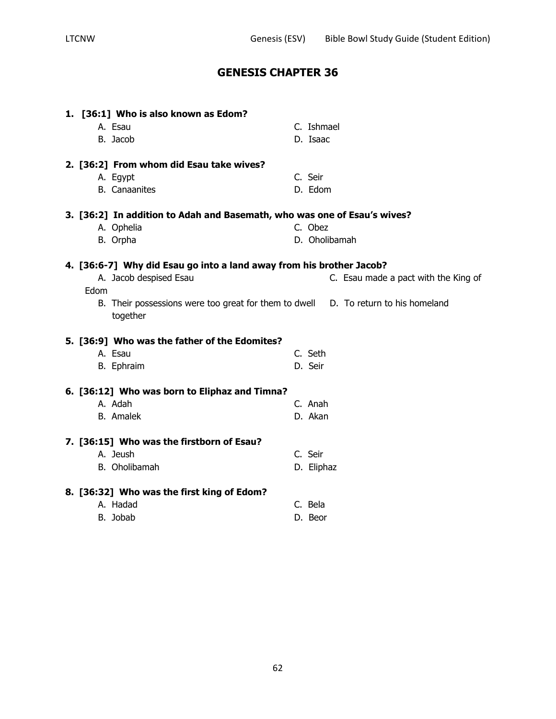| 1. [36:1] Who is also known as Edom?<br>A. Esau<br>B. Jacob                        | C. Ishmael<br>D. Isaac               |
|------------------------------------------------------------------------------------|--------------------------------------|
| 2. [36:2] From whom did Esau take wives?                                           |                                      |
| A. Egypt                                                                           | C. Seir                              |
| <b>B.</b> Canaanites                                                               | D. Edom                              |
| 3. [36:2] In addition to Adah and Basemath, who was one of Esau's wives?           |                                      |
| A. Ophelia                                                                         | C. Obez                              |
| B. Orpha                                                                           | D. Oholibamah                        |
| 4. [36:6-7] Why did Esau go into a land away from his brother Jacob?               |                                      |
| A. Jacob despised Esau                                                             | C. Esau made a pact with the King of |
| Edom                                                                               |                                      |
| B. Their possessions were too great for them to dwell D. To return to his homeland |                                      |
| together                                                                           |                                      |
| 5. [36:9] Who was the father of the Edomites?                                      |                                      |
| A. Esau                                                                            | C. Seth                              |
| B. Ephraim                                                                         | D. Seir                              |
| 6. [36:12] Who was born to Eliphaz and Timna?                                      |                                      |
| A. Adah                                                                            | C. Anah                              |
| <b>B.</b> Amalek                                                                   | D. Akan                              |
| 7. [36:15] Who was the firstborn of Esau?                                          |                                      |
| A. Jeush                                                                           | C. Seir                              |
| B. Oholibamah                                                                      | D. Eliphaz                           |
|                                                                                    |                                      |
| 8. [36:32] Who was the first king of Edom?                                         |                                      |
| A. Hadad                                                                           | C. Bela                              |
| B. Jobab                                                                           | D. Beor                              |
|                                                                                    |                                      |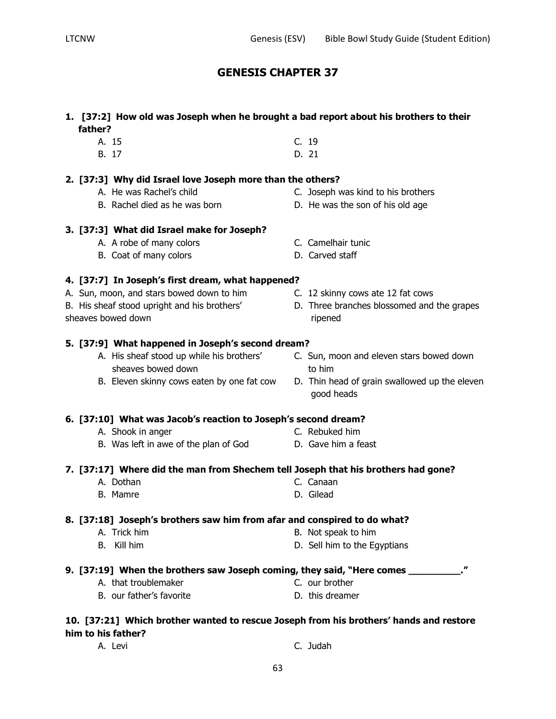### **1. [37:2] How old was Joseph when he brought a bad report about his brothers to their father?**

- A. 15 C. 19
- B. 17 D. 21

## **2. [37:3] Why did Israel love Joseph more than the others?**

- 
- 

## **3. [37:3] What did Israel make for Joseph?**

- A. A robe of many colors C. Camelhair tunic
- B. Coat of many colors D. Carved staff

## **4. [37:7] In Joseph's first dream, what happened?**

- A. Sun, moon, and stars bowed down to him C. 12 skinny cows ate 12 fat cows
- 
- 

## **5. [37:9] What happened in Joseph's second dream?**

- sheaves bowed down sheaves bowed down
- 
- 
- B. His sheaf stood upright and his brothers' D. Three branches blossomed and the grapes
	- A. His sheaf stood up while his brothers' C. Sun, moon and eleven stars bowed down
		- good heads

## **6. [37:10] What was Jacob's reaction to Joseph's second dream?**

- A. Shook in anger C. Rebuked him
- B. Was left in awe of the plan of God D. Gave him a feast

## **7. [37:17] Where did the man from Shechem tell Joseph that his brothers had gone?**

- A. Dothan C. Canaan
- B. Mamre D. Gilead

## **8. [37:18] Joseph's brothers saw him from afar and conspired to do what?**

- A. Trick him B. Not speak to him
- B. Kill him **B.** Kill him **D.** Sell him to the Egyptians
- **9. [37:19] When the brothers saw Joseph coming, they said, "Here comes \_\_\_\_\_\_\_\_\_."**
	- A. that troublemaker C. our brother
	- B. our father's favorite **B.** D. this dreamer

## **10. [37:21] Which brother wanted to rescue Joseph from his brothers' hands and restore him to his father?**

- 
- A. Levi C. Judah

- A. He was Rachel's child C. Joseph was kind to his brothers
- B. Rachel died as he was born D. He was the son of his old age
	-
	-
- sheaves bowed down ripened
	- -
	- B. Eleven skinny cows eaten by one fat cow D. Thin head of grain swallowed up the eleven
		-
		-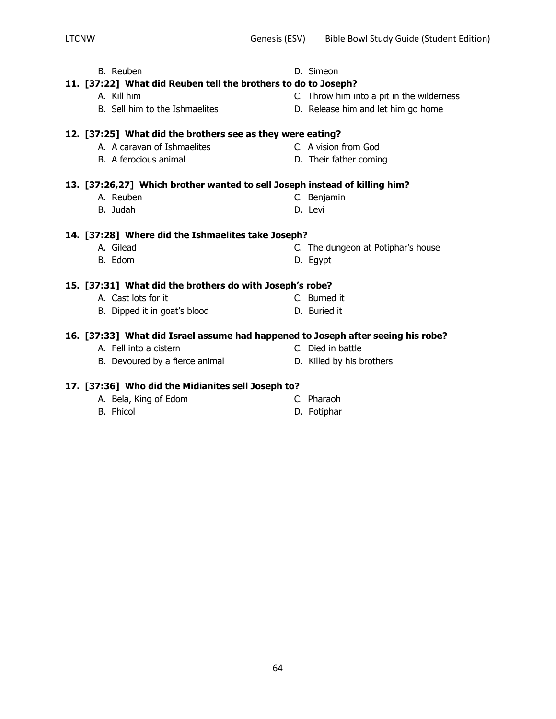B. Sell him to the Ishmaelites **D.** Release him and let him go home **12. [37:25] What did the brothers see as they were eating?** A. A caravan of Ishmaelites C. A vision from God B. A ferocious animal D. Their father coming **13. [37:26,27] Which brother wanted to sell Joseph instead of killing him?** A. Reuben C. Benjamin B. Judah D. Levi **14. [37:28] Where did the Ishmaelites take Joseph?** A. Gilead **C.** The dungeon at Potiphar's house B. Edom D. Egypt **15. [37:31] What did the brothers do with Joseph's robe?** A. Cast lots for it C. Burned it B. Dipped it in goat's blood D. Buried it **16. [37:33] What did Israel assume had happened to Joseph after seeing his robe?**  A. Fell into a cistern C. Died in battle

B. Devoured by a fierce animal D. Killed by his brothers

## **17. [37:36] Who did the Midianites sell Joseph to?**

- A. Bela, King of Edom C. Pharaoh B. Phicol D. Potiphar
- 

64

- A. Kill him C. Throw him into a pit in the wilderness
	-

- -
- 

B. Reuben **D. Simeon 11. [37:22] What did Reuben tell the brothers to do to Joseph?**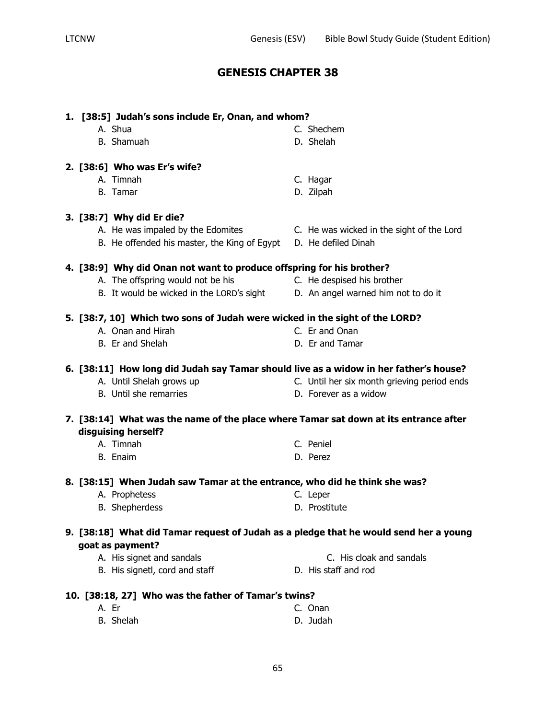| 1. [38:5] Judah's sons include Er, Onan, and whom?                                    |                                             |
|---------------------------------------------------------------------------------------|---------------------------------------------|
| A. Shua                                                                               | C. Shechem                                  |
| B. Shamuah                                                                            | D. Shelah                                   |
|                                                                                       |                                             |
| 2. [38:6] Who was Er's wife?                                                          |                                             |
| A. Timnah                                                                             | C. Hagar                                    |
| B. Tamar                                                                              | D. Zilpah                                   |
|                                                                                       |                                             |
| 3. [38:7] Why did Er die?                                                             |                                             |
| A. He was impaled by the Edomites                                                     | C. He was wicked in the sight of the Lord   |
| B. He offended his master, the King of Egypt                                          | D. He defiled Dinah                         |
|                                                                                       |                                             |
| 4. [38:9] Why did Onan not want to produce offspring for his brother?                 |                                             |
| A. The offspring would not be his                                                     | C. He despised his brother                  |
| B. It would be wicked in the LORD's sight                                             | D. An angel warned him not to do it         |
|                                                                                       |                                             |
| 5. [38:7, 10] Which two sons of Judah were wicked in the sight of the LORD?           |                                             |
| A. Onan and Hirah                                                                     | C. Er and Onan                              |
| B. Er and Shelah                                                                      | D. Er and Tamar                             |
|                                                                                       |                                             |
| 6. [38:11] How long did Judah say Tamar should live as a widow in her father's house? |                                             |
| A. Until Shelah grows up                                                              | C. Until her six month grieving period ends |
| B. Until she remarries                                                                | D. Forever as a widow                       |
|                                                                                       |                                             |
| 7. [38:14] What was the name of the place where Tamar sat down at its entrance after  |                                             |
| disguising herself?                                                                   |                                             |
| A. Timnah                                                                             | C. Peniel                                   |
| B. Enaim                                                                              | D. Perez                                    |
|                                                                                       |                                             |
| 8. [38:15] When Judah saw Tamar at the entrance, who did he think she was?            |                                             |
| A. Prophetess                                                                         | C. Leper                                    |
| <b>B.</b> Shepherdess                                                                 | D. Prostitute                               |
|                                                                                       |                                             |
| 9. [38:18] What did Tamar request of Judah as a pledge that he would send her a young |                                             |
| goat as payment?                                                                      |                                             |
| A. His signet and sandals                                                             | C. His cloak and sandals                    |
| B. His signetl, cord and staff                                                        | D. His staff and rod                        |
|                                                                                       |                                             |
| 10. [38:18, 27] Who was the father of Tamar's twins?                                  |                                             |

A. Er C. Onan B. Shelah D. Judah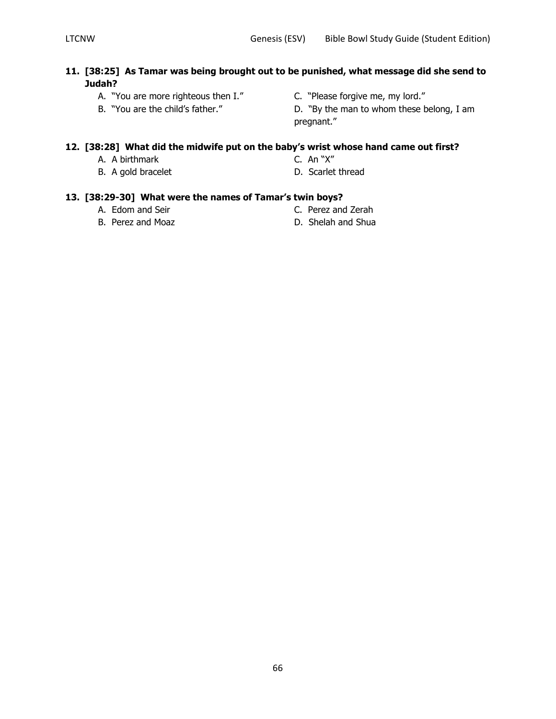## **11. [38:25] As Tamar was being brought out to be punished, what message did she send to Judah?**

- A. "You are more righteous then I." C. "Please forgive me, my lord."
- 
- 
- B. "You are the child's father." D. "By the man to whom these belong, I am pregnant."

## **12. [38:28] What did the midwife put on the baby's wrist whose hand came out first?**

- A. A birthmark C. An "X"
- B. A gold bracelet D. Scarlet thread
- 
- 

## **13. [38:29-30] What were the names of Tamar's twin boys?**

- 
- 
- A. Edom and Seir C. Perez and Zerah
- B. Perez and Moaz D. Shelah and Shua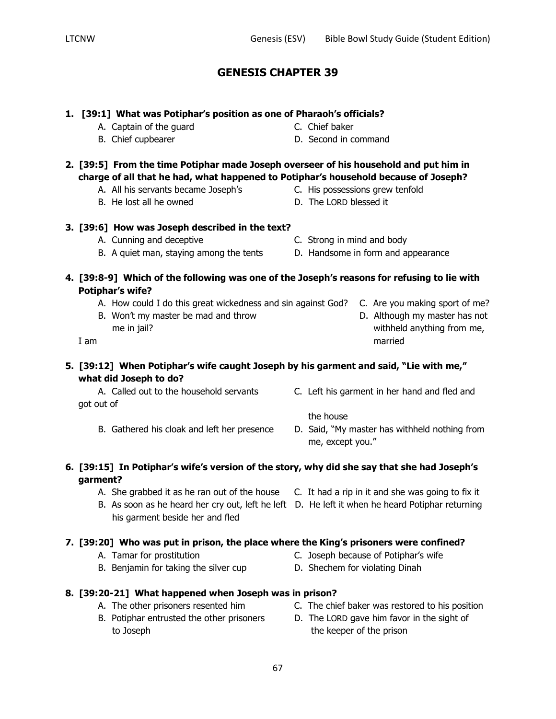## **1. [39:1] What was Potiphar's position as one of Pharaoh's officials?**

- A. Captain of the guard C. Chief baker
- **2. [39:5] From the time Potiphar made Joseph overseer of his household and put him in charge of all that he had, what happened to Potiphar's household because of Joseph?**
	- A. All his servants became Joseph's C. His possessions grew tenfold
	- B. He lost all he owned  $D.$  The LORD blessed it
- **3. [39:6] How was Joseph described in the text?**
	- A. Cunning and deceptive C. Strong in mind and body
	- B. A quiet man, staying among the tents D. Handsome in form and appearance
- **4. [39:8-9] Which of the following was one of the Joseph's reasons for refusing to lie with Potiphar's wife?**
	- A. How could I do this great wickedness and sin against God? C. Are you making sport of me?
	- B. Won't my master be mad and throw D. Although my master has not me in jail? withheld anything from me,
- **5. [39:12] When Potiphar's wife caught Joseph by his garment and said, "Lie with me," what did Joseph to do?**

got out of

A. Called out to the household servants C. Left his garment in her hand and fled and

the house

B. Gathered his cloak and left her presence D. Said, "My master has withheld nothing from me, except you."

## **6. [39:15] In Potiphar's wife's version of the story, why did she say that she had Joseph's garment?**

- A. She grabbed it as he ran out of the house C. It had a rip in it and she was going to fix it
- B. As soon as he heard her cry out, left he left D. He left it when he heard Potiphar returning his garment beside her and fled

## **7. [39:20] Who was put in prison, the place where the King's prisoners were confined?**

- A. Tamar for prostitution C. Joseph because of Potiphar's wife
- B. Benjamin for taking the silver cup D. Shechem for violating Dinah
- **8. [39:20-21] What happened when Joseph was in prison?**
	-
	- B. Potiphar entrusted the other prisoners D. The LORD gave him favor in the sight of to Joseph to Joseph the keeper of the prison
	- A. The other prisoners resented him C. The chief baker was restored to his position
		-
- 
- I am married
- 
- 
- B. Chief cupbearer **B.** Chief cupbearer **D.** Second in command
- 
-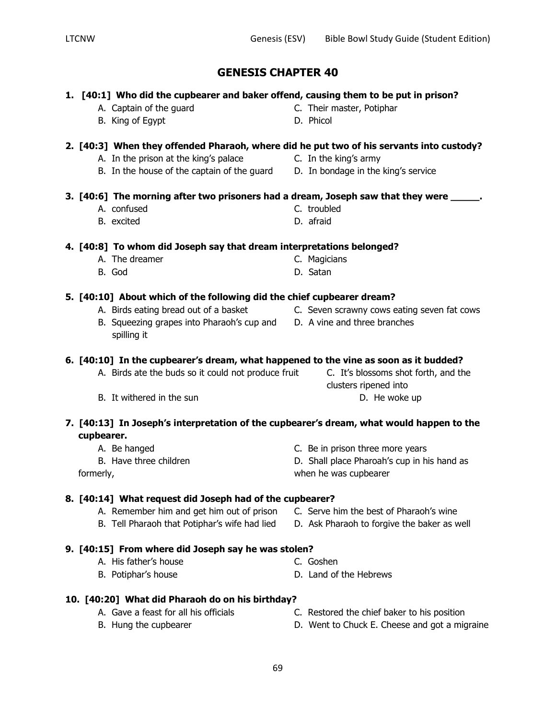### **1. [40:1] Who did the cupbearer and baker offend, causing them to be put in prison?**

- A. Captain of the guard C. Their master, Potiphar
- B. King of Egypt D. Phicol

### **2. [40:3] When they offended Pharaoh, where did he put two of his servants into custody?**

- A. In the prison at the king's palace **C.** In the king's army
	-
- B. In the house of the captain of the guard D. In bondage in the king's service

### **3. [40:6] The morning after two prisoners had a dream, Joseph saw that they were \_\_\_\_\_.**

- A. confused C. troubled
	-
- B. excited D. afraid

## **4. [40:8] To whom did Joseph say that dream interpretations belonged?**

- A. The dreamer C. Magicians
- B. God D. Satan

## **5. [40:10] About which of the following did the chief cupbearer dream?**

- A. Birds eating bread out of a basket **C.** Seven scrawny cows eating seven fat cows
- B. Squeezing grapes into Pharaoh's cup and D. A vine and three branches spilling it

### **6. [40:10] In the cupbearer's dream, what happened to the vine as soon as it budded?**

- A. Birds ate the buds so it could not produce fruit C. It's blossoms shot forth, and the
- B. It withered in the sun D. He woke up

## **7. [40:13] In Joseph's interpretation of the cupbearer's dream, what would happen to the cupbearer.**

- 
- 
- 

## A. Be hanged C. Be in prison three more years

B. Have three children  $\qquad \qquad$  D. Shall place Pharoah's cup in his hand as formerly, when he was cupbearer

## **8. [40:14] What request did Joseph had of the cupbearer?**

- A. Remember him and get him out of prison C. Serve him the best of Pharaoh's wine
- B. Tell Pharaoh that Potiphar's wife had lied D. Ask Pharaoh to forgive the baker as well

## **9. [40:15] From where did Joseph say he was stolen?**

- A. His father's house C. Goshen
- B. Potiphar's house D. Land of the Hebrews
- **10. [40:20] What did Pharaoh do on his birthday?**
	-
	- A. Gave a feast for all his officials C. Restored the chief baker to his position
	- B. Hung the cupbearer **EXEC EXECUTE:** D. Went to Chuck E. Cheese and got a migraine
- 
- clusters ripened into
	-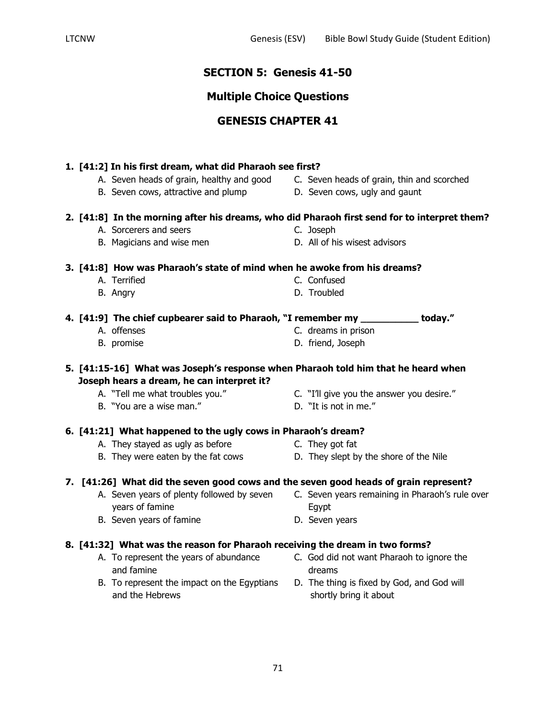## **SECTION 5: Genesis 41-50**

## **Multiple Choice Questions**

## **GENESIS CHAPTER 41**

## **1. [41:2] In his first dream, what did Pharaoh see first?**

- A. Seven heads of grain, healthy and good C. Seven heads of grain, thin and scorched
- B. Seven cows, attractive and plump D. Seven cows, ugly and gaunt
- -

## **2. [41:8] In the morning after his dreams, who did Pharaoh first send for to interpret them?**

- A. Sorcerers and seers C. Joseph
- B. Magicians and wise men D. All of his wisest advisors

## **3. [41:8] How was Pharaoh's state of mind when he awoke from his dreams?**

- A. Terrified **C. Confused** 
	- B. Angry D. Troubled

**4. [41:9] The chief cupbearer said to Pharaoh, "I remember my \_\_\_\_\_\_\_\_\_\_ today."**

- A. offenses C. dreams in prison
- B. promise D. friend, Joseph

## **5. [41:15-16] What was Joseph's response when Pharaoh told him that he heard when Joseph hears a dream, he can interpret it?**

- A. "Tell me what troubles you." C. "I'll give you the answer you desire."
- B. "You are a wise man." D. "It is not in me."
- -

## **6. [41:21] What happened to the ugly cows in Pharaoh's dream?**

- A. They stayed as ugly as before They got fat
- B. They were eaten by the fat cows They slept by the shore of the Nile

## **7. [41:26] What did the seven good cows and the seven good heads of grain represent?**

- A. Seven years of plenty followed by seven C. Seven years remaining in Pharaoh's rule over years of famine Egypt
- B. Seven years of famine **D.** Seven years
- **8. [41:32] What was the reason for Pharaoh receiving the dream in two forms?**
	- and famine dreams dreams
	- B. To represent the impact on the Egyptians D. The thing is fixed by God, and God will and the Hebrews shortly bring it about
	- A. To represent the years of abundance C. God did not want Pharaoh to ignore the
		-

- -
	-
- 
-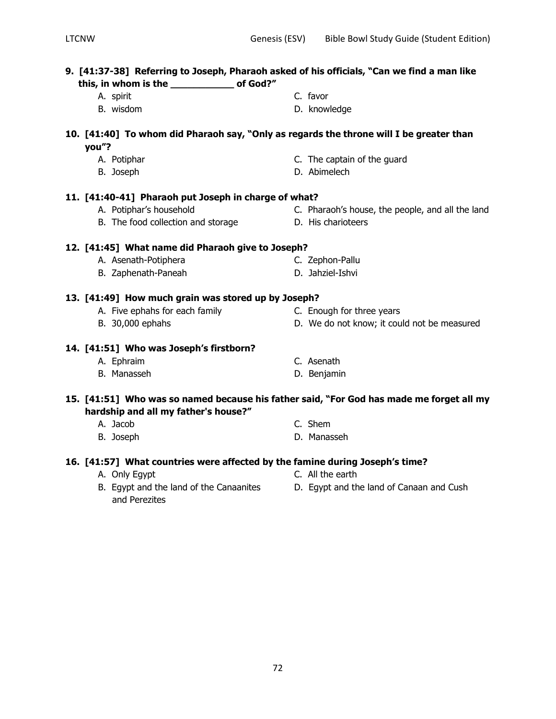# **9. [41:37-38] Referring to Joseph, Pharaoh asked of his officials, "Can we find a man like this, in whom is the \_\_\_\_\_\_\_\_\_\_\_ of God?"** A. spirit C. favor B. wisdom D. knowledge **10. [41:40] To whom did Pharaoh say, "Only as regards the throne will I be greater than you"?** A. Potiphar C. The captain of the guard B. Joseph D. Abimelech **11. [41:40-41] Pharaoh put Joseph in charge of what?** A. Potiphar's household **C.** Pharaoh's house, the people, and all the land B. The food collection and storage D. His charioteers **12. [41:45] What name did Pharaoh give to Joseph?** A. Asenath-Potiphera C. Zephon-Pallu B. Zaphenath-Paneah D. Jahziel-Ishvi **13. [41:49] How much grain was stored up by Joseph?** A. Five ephahs for each family **C. Enough for three years** B. 30,000 ephahs **B.** 20,000 ephahs **D.** We do not know; it could not be measured **14. [41:51] Who was Joseph's firstborn?** A. Ephraim C. Asenath B. Manasseh D. Benjamin **15. [41:51] Who was so named because his father said, "For God has made me forget all my hardship and all my father's house?"** A. Jacob C. Shem B. Joseph **D. Manasseh**

## **16. [41:57] What countries were affected by the famine during Joseph's time?**

- 
- B. Egypt and the land of the Canaanites D. Egypt and the land of Canaan and Cush and Perezites
- 
- 
- A. Only Egypt C. All the earth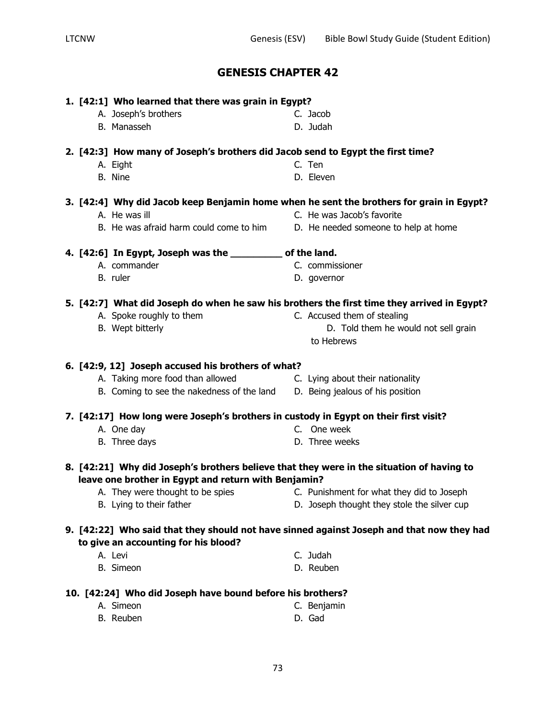|                                                            | 1. [42:1] Who learned that there was grain in Egypt?                                      |                                                                                             |  |  |
|------------------------------------------------------------|-------------------------------------------------------------------------------------------|---------------------------------------------------------------------------------------------|--|--|
|                                                            | A. Joseph's brothers                                                                      | C. Jacob                                                                                    |  |  |
|                                                            | B. Manasseh                                                                               | D. Judah                                                                                    |  |  |
|                                                            | 2. [42:3] How many of Joseph's brothers did Jacob send to Egypt the first time?           |                                                                                             |  |  |
|                                                            | A. Eight                                                                                  | C. Ten                                                                                      |  |  |
|                                                            | B. Nine                                                                                   | D. Eleven                                                                                   |  |  |
|                                                            |                                                                                           |                                                                                             |  |  |
|                                                            |                                                                                           | 3. [42:4] Why did Jacob keep Benjamin home when he sent the brothers for grain in Egypt?    |  |  |
|                                                            | A. He was ill                                                                             | C. He was Jacob's favorite                                                                  |  |  |
|                                                            | B. He was afraid harm could come to him                                                   | D. He needed someone to help at home                                                        |  |  |
|                                                            | 4. [42:6] In Egypt, Joseph was the __________ of the land.                                |                                                                                             |  |  |
|                                                            | A. commander                                                                              | C. commissioner                                                                             |  |  |
|                                                            | B. ruler                                                                                  | D. governor                                                                                 |  |  |
|                                                            |                                                                                           | 5. [42:7] What did Joseph do when he saw his brothers the first time they arrived in Egypt? |  |  |
|                                                            | A. Spoke roughly to them                                                                  | C. Accused them of stealing                                                                 |  |  |
|                                                            | B. Wept bitterly                                                                          | D. Told them he would not sell grain                                                        |  |  |
|                                                            |                                                                                           | to Hebrews                                                                                  |  |  |
|                                                            |                                                                                           |                                                                                             |  |  |
|                                                            | 6. [42:9, 12] Joseph accused his brothers of what?<br>A. Taking more food than allowed    |                                                                                             |  |  |
|                                                            |                                                                                           | C. Lying about their nationality                                                            |  |  |
|                                                            | B. Coming to see the nakedness of the land                                                | D. Being jealous of his position                                                            |  |  |
|                                                            | 7. [42:17] How long were Joseph's brothers in custody in Egypt on their first visit?      |                                                                                             |  |  |
|                                                            | A. One day                                                                                | C. One week                                                                                 |  |  |
|                                                            | B. Three days                                                                             | D. Three weeks                                                                              |  |  |
|                                                            | 8. [42:21] Why did Joseph's brothers believe that they were in the situation of having to |                                                                                             |  |  |
|                                                            | leave one brother in Egypt and return with Benjamin?                                      |                                                                                             |  |  |
|                                                            | A. They were thought to be spies                                                          | C. Punishment for what they did to Joseph                                                   |  |  |
|                                                            | B. Lying to their father                                                                  | D. Joseph thought they stole the silver cup                                                 |  |  |
|                                                            |                                                                                           | 9. [42:22] Who said that they should not have sinned against Joseph and that now they had   |  |  |
|                                                            | to give an accounting for his blood?                                                      |                                                                                             |  |  |
|                                                            | A. Levi                                                                                   | C. Judah                                                                                    |  |  |
|                                                            | B. Simeon                                                                                 | D. Reuben                                                                                   |  |  |
| 10. [42:24] Who did Joseph have bound before his brothers? |                                                                                           |                                                                                             |  |  |
|                                                            | A. Simeon                                                                                 | C. Benjamin                                                                                 |  |  |
|                                                            | B. Reuben                                                                                 | D. Gad                                                                                      |  |  |
|                                                            |                                                                                           |                                                                                             |  |  |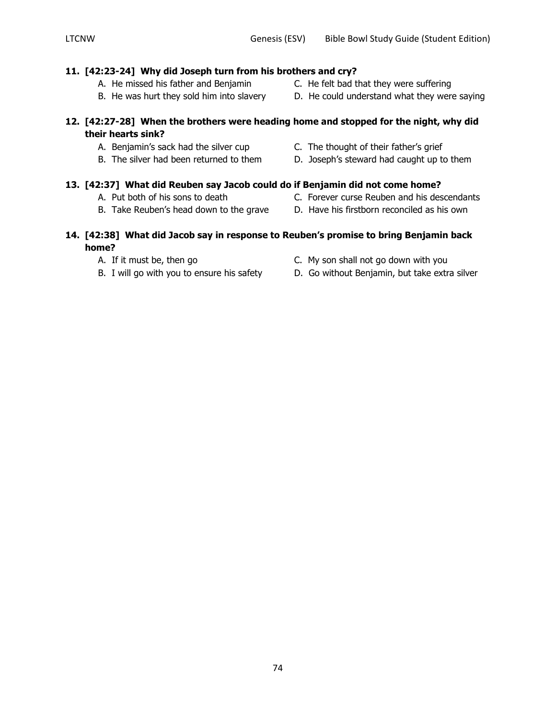#### **11. [42:23-24] Why did Joseph turn from his brothers and cry?**

- A. He missed his father and Benjamin C. He felt bad that they were suffering
- B. He was hurt they sold him into slavery D. He could understand what they were saying

#### **12. [42:27-28] When the brothers were heading home and stopped for the night, why did their hearts sink?**

- A. Benjamin's sack had the silver cup C. The thought of their father's grief
- 
- -
	-
- 
- 
- 
- B. The silver had been returned to them D. Joseph's steward had caught up to them

# **13. [42:37] What did Reuben say Jacob could do if Benjamin did not come home?**

- 
- 
- A. Put both of his sons to death C. Forever curse Reuben and his descendants
- B. Take Reuben's head down to the grave D. Have his firstborn reconciled as his own

#### **14. [42:38] What did Jacob say in response to Reuben's promise to bring Benjamin back home?**

- 
- 
- A. If it must be, then go C. My son shall not go down with you
- B. I will go with you to ensure his safety D. Go without Benjamin, but take extra silver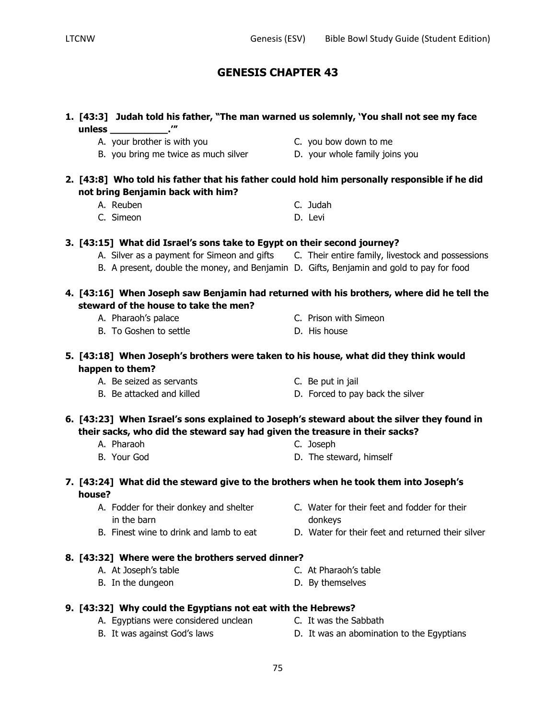|        | 1. [43:3] Judah told his father, "The man warned us solemnly, 'You shall not see my face                                                                                                               |                                                                                               |
|--------|--------------------------------------------------------------------------------------------------------------------------------------------------------------------------------------------------------|-----------------------------------------------------------------------------------------------|
|        | A. your brother is with you                                                                                                                                                                            | C. you bow down to me                                                                         |
|        | B. you bring me twice as much silver                                                                                                                                                                   | D. your whole family joins you                                                                |
|        | 2. [43:8] Who told his father that his father could hold him personally responsible if he did<br>not bring Benjamin back with him?                                                                     |                                                                                               |
|        | A. Reuben                                                                                                                                                                                              | C. Judah                                                                                      |
|        | C. Simeon                                                                                                                                                                                              | D. Levi                                                                                       |
|        | 3. [43:15] What did Israel's sons take to Egypt on their second journey?                                                                                                                               |                                                                                               |
|        |                                                                                                                                                                                                        | A. Silver as a payment for Simeon and gifts C. Their entire family, livestock and possessions |
|        | B. A present, double the money, and Benjamin D. Gifts, Benjamin and gold to pay for food                                                                                                               |                                                                                               |
|        | steward of the house to take the men?                                                                                                                                                                  | 4. [43:16] When Joseph saw Benjamin had returned with his brothers, where did he tell the     |
|        | A. Pharaoh's palace                                                                                                                                                                                    | C. Prison with Simeon                                                                         |
|        | B. To Goshen to settle                                                                                                                                                                                 | D. His house                                                                                  |
|        | 5. [43:18] When Joseph's brothers were taken to his house, what did they think would<br>happen to them?                                                                                                |                                                                                               |
|        | A. Be seized as servants                                                                                                                                                                               | C. Be put in jail                                                                             |
|        | B. Be attacked and killed                                                                                                                                                                              | D. Forced to pay back the silver                                                              |
|        | 6. [43:23] When Israel's sons explained to Joseph's steward about the silver they found in<br>their sacks, who did the steward say had given the treasure in their sacks?<br>A. Pharaoh<br>B. Your God | C. Joseph<br>D. The steward, himself                                                          |
| house? | 7. [43:24] What did the steward give to the brothers when he took them into Joseph's                                                                                                                   |                                                                                               |
|        | A. Fodder for their donkey and shelter                                                                                                                                                                 | C. Water for their feet and fodder for their                                                  |
|        | in the barn                                                                                                                                                                                            | donkeys                                                                                       |
|        | B. Finest wine to drink and lamb to eat                                                                                                                                                                | D. Water for their feet and returned their silver                                             |
|        | 8. [43:32] Where were the brothers served dinner?                                                                                                                                                      |                                                                                               |
|        | A. At Joseph's table                                                                                                                                                                                   | C. At Pharaoh's table                                                                         |
|        | B. In the dungeon                                                                                                                                                                                      | D. By themselves                                                                              |
|        | 9. [43:32] Why could the Egyptians not eat with the Hebrews?                                                                                                                                           |                                                                                               |
|        | A. Egyptians were considered unclean                                                                                                                                                                   | C. It was the Sabbath                                                                         |
|        | B. It was against God's laws                                                                                                                                                                           | D. It was an abomination to the Egyptians                                                     |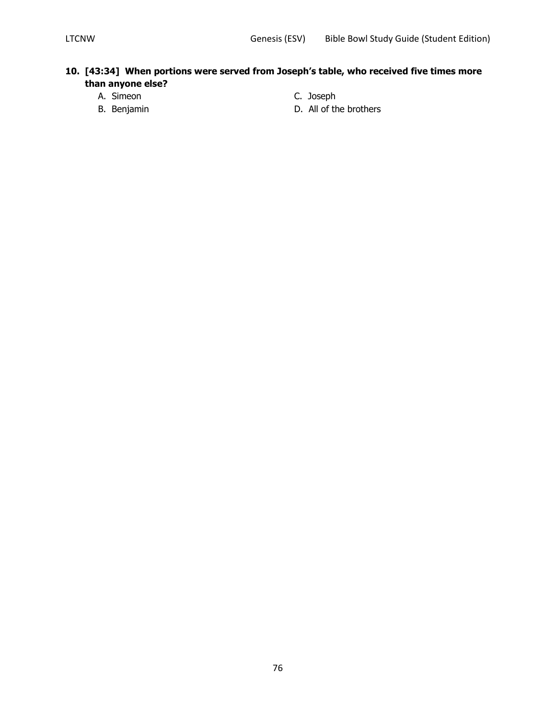#### **10. [43:34] When portions were served from Joseph's table, who received five times more than anyone else?**

- A. Simeon C. Joseph
- 
- 
- B. Benjamin D. All of the brothers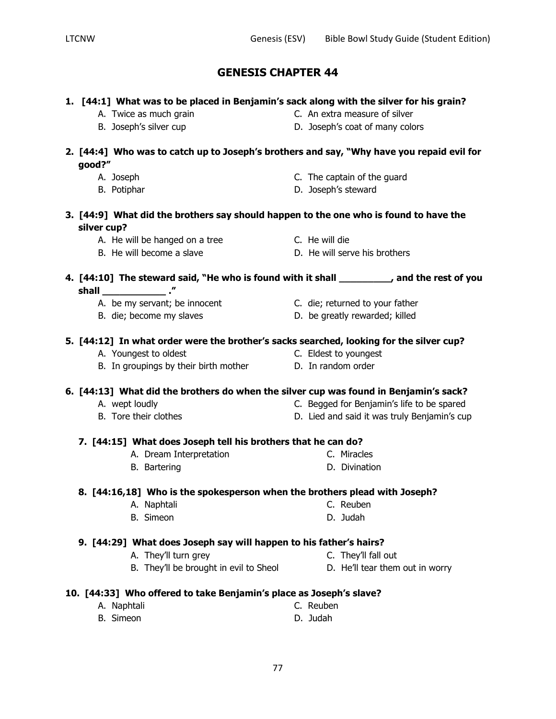#### **1. [44:1] What was to be placed in Benjamin's sack along with the silver for his grain?**

- 
- A. Twice as much grain extra measure of silver
- B. Joseph's silver cup D. Joseph's coat of many colors
- 
- **2. [44:4] Who was to catch up to Joseph's brothers and say, "Why have you repaid evil for good?"**
	-
	-
	- A. Joseph C. The captain of the guard
	- B. Potiphar **B. Potiphar** D. Joseph's steward
- **3. [44:9] What did the brothers say should happen to the one who is found to have the silver cup?**
	- A. He will be hanged on a tree The C. He will die
	-
- 
- B. He will become a slave D. He will serve his brothers

### **4. [44:10] The steward said, "He who is found with it shall \_\_\_\_\_\_\_\_\_, and the rest of you shall \_\_\_\_\_\_\_\_\_\_\_ ."**

- A. be my servant; be innocent C. die; returned to your father
- 
- 
- B. die; become my slaves became b. be greatly rewarded; killed

#### **5. [44:12] In what order were the brother's sacks searched, looking for the silver cup?**

- A. Youngest to oldest C. Eldest to youngest
- B. In groupings by their birth mother **D.** In random order

#### **6. [44:13] What did the brothers do when the silver cup was found in Benjamin's sack?**

- A. wept loudly C. Begged for Benjamin's life to be spared
- B. Tore their clothes The Society of the D. Lied and said it was truly Benjamin's cup

#### **7. [44:15] What does Joseph tell his brothers that he can do?**

- A. Dream Interpretation C. Miracles
- B. Bartering **D. Divination**

#### **8. [44:16,18] Who is the spokesperson when the brothers plead with Joseph?**

- A. Naphtali C. Reuben
- B. Simeon **D. Judah D. Judah**

#### **9. [44:29] What does Joseph say will happen to his father's hairs?**

- A. They'll turn grey example and the C. They'll fall out
- B. They'll be brought in evil to Sheol D. He'll tear them out in worry
	-

#### **10. [44:33] Who offered to take Benjamin's place as Joseph's slave?**

A. Naphtali C. Reuben B. Simeon **D. Judah D. Judah** 

- 
- 
- 
- -
- 
- 
- 
- 
-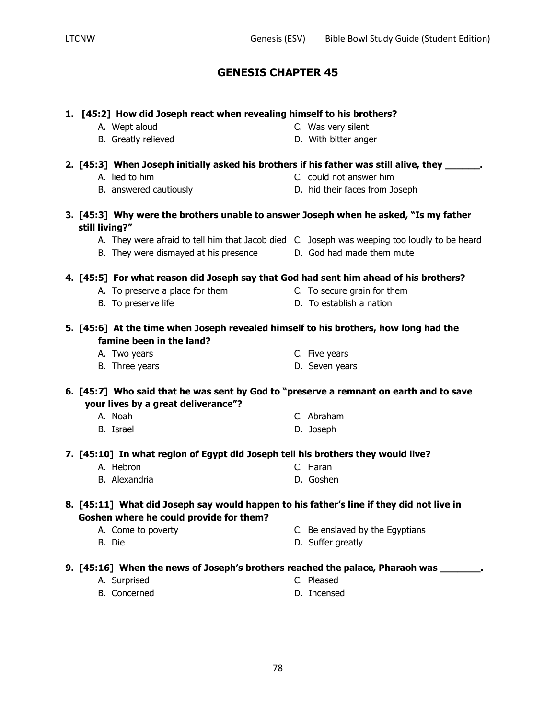| 1. [45:2] How did Joseph react when revealing himself to his brothers?                                                              |  |                                 |
|-------------------------------------------------------------------------------------------------------------------------------------|--|---------------------------------|
| A. Wept aloud                                                                                                                       |  | C. Was very silent              |
| B. Greatly relieved                                                                                                                 |  | D. With bitter anger            |
| 2. [45:3] When Joseph initially asked his brothers if his father was still alive, they _______.                                     |  |                                 |
| A. lied to him                                                                                                                      |  | C. could not answer him         |
| B. answered cautiously                                                                                                              |  | D. hid their faces from Joseph  |
| 3. [45:3] Why were the brothers unable to answer Joseph when he asked, "Is my father<br>still living?"                              |  |                                 |
| A. They were afraid to tell him that Jacob died C. Joseph was weeping too loudly to be heard                                        |  |                                 |
| B. They were dismayed at his presence                                                                                               |  | D. God had made them mute       |
| 4. [45:5] For what reason did Joseph say that God had sent him ahead of his brothers?                                               |  |                                 |
| A. To preserve a place for them                                                                                                     |  | C. To secure grain for them     |
| B. To preserve life                                                                                                                 |  | D. To establish a nation        |
| 5. [45:6] At the time when Joseph revealed himself to his brothers, how long had the<br>famine been in the land?                    |  |                                 |
| A. Two years                                                                                                                        |  | C. Five years                   |
| B. Three years                                                                                                                      |  | D. Seven years                  |
| 6. [45:7] Who said that he was sent by God to "preserve a remnant on earth and to save<br>your lives by a great deliverance"?       |  |                                 |
| A. Noah                                                                                                                             |  | C. Abraham                      |
| B. Israel                                                                                                                           |  | D. Joseph                       |
| 7. [45:10] In what region of Egypt did Joseph tell his brothers they would live?                                                    |  |                                 |
| A. Hebron                                                                                                                           |  | C. Haran                        |
| B. Alexandria                                                                                                                       |  | D. Goshen                       |
| 8. [45:11] What did Joseph say would happen to his father's line if they did not live in<br>Goshen where he could provide for them? |  |                                 |
| A. Come to poverty                                                                                                                  |  | C. Be enslaved by the Egyptians |
| B. Die                                                                                                                              |  | D. Suffer greatly               |
| 9. [45:16] When the news of Joseph's brothers reached the palace, Pharaoh was                                                       |  |                                 |

- A. Surprised C. Pleased
	-
- B. Concerned D. Incensed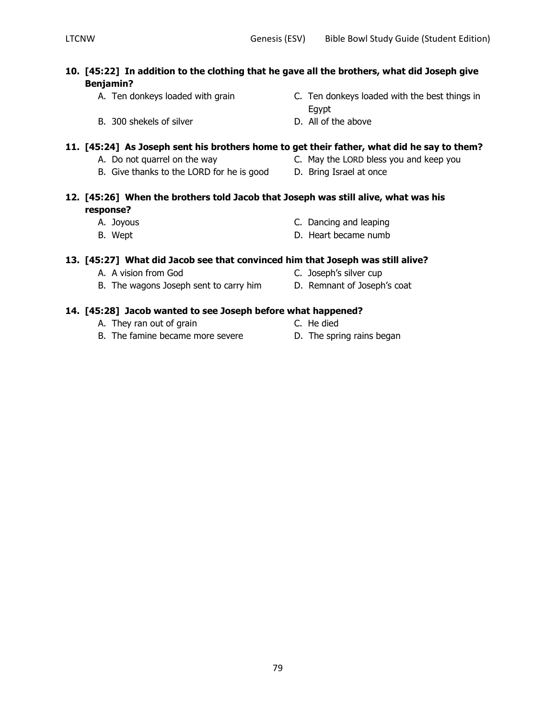#### **10. [45:22] In addition to the clothing that he gave all the brothers, what did Joseph give Benjamin?**

- 
- A. Ten donkeys loaded with grain C. Ten donkeys loaded with the best things in Egypt
- B. 300 shekels of silver D. All of the above

#### **11. [45:24] As Joseph sent his brothers home to get their father, what did he say to them?**

- A. Do not quarrel on the way **C.** May the LORD bless you and keep you
	-
- B. Give thanks to the LORD for he is good D. Bring Israel at once
- 

#### **12. [45:26] When the brothers told Jacob that Joseph was still alive, what was his response?**

- 
- 
- A. Joyous C. Dancing and leaping
- B. Wept **D.** Heart became numb

#### **13. [45:27] What did Jacob see that convinced him that Joseph was still alive?**

- 
- B. The wagons Joseph sent to carry him D. Remnant of Joseph's coat
- A. A vision from God C. Joseph's silver cup
	-

#### **14. [45:28] Jacob wanted to see Joseph before what happened?**

- A. They ran out of grain
	-
- B. The famine became more severe **D.** The spring rains began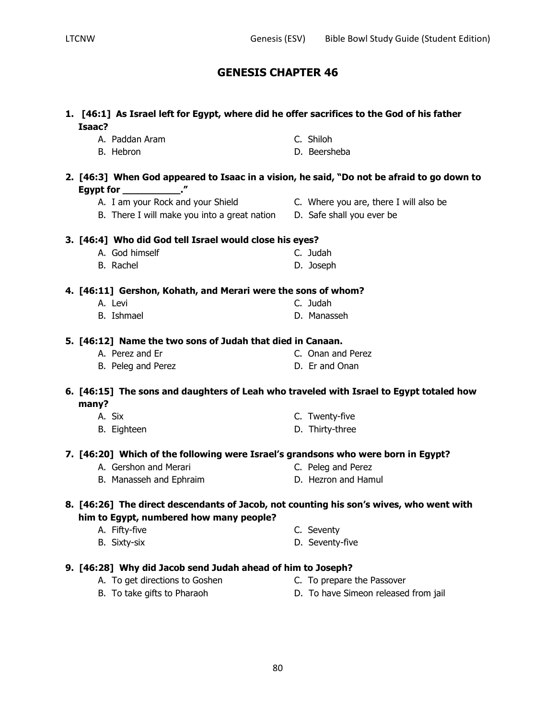| Isaac? | 1. [46:1] As Israel left for Egypt, where did he offer sacrifices to the God of his father                               |                                        |
|--------|--------------------------------------------------------------------------------------------------------------------------|----------------------------------------|
|        | A. Paddan Aram                                                                                                           | C. Shiloh                              |
|        | B. Hebron                                                                                                                | D. Beersheba                           |
|        | 2. [46:3] When God appeared to Isaac in a vision, he said, "Do not be afraid to go down to<br>Egypt for ______________." |                                        |
|        | A. I am your Rock and your Shield                                                                                        | C. Where you are, there I will also be |
|        | B. There I will make you into a great nation D. Safe shall you ever be                                                   |                                        |
|        | 3. [46:4] Who did God tell Israel would close his eyes?                                                                  |                                        |
|        | A. God himself                                                                                                           | C. Judah                               |
|        | B. Rachel                                                                                                                | D. Joseph                              |
|        | 4. [46:11] Gershon, Kohath, and Merari were the sons of whom?                                                            |                                        |
|        | A. Levi                                                                                                                  | C. Judah                               |
|        | <b>B.</b> Ishmael                                                                                                        | D. Manasseh                            |
|        | 5. [46:12] Name the two sons of Judah that died in Canaan.                                                               |                                        |
|        | A. Perez and Er                                                                                                          | C. Onan and Perez                      |
|        | B. Peleg and Perez                                                                                                       | D. Er and Onan                         |
| many?  | 6. [46:15] The sons and daughters of Leah who traveled with Israel to Egypt totaled how                                  |                                        |
|        | A. Six                                                                                                                   | C. Twenty-five                         |
|        | B. Eighteen                                                                                                              | D. Thirty-three                        |
|        | 7. [46:20] Which of the following were Israel's grandsons who were born in Egypt?                                        |                                        |
|        | A. Gershon and Merari                                                                                                    | C. Peleg and Perez                     |
|        | B. Manasseh and Ephraim                                                                                                  | D. Hezron and Hamul                    |
|        | 8. [46:26] The direct descendants of Jacob, not counting his son's wives, who went with                                  |                                        |
|        | him to Egypt, numbered how many people?                                                                                  |                                        |
|        | A. Fifty-five                                                                                                            | C. Seventy                             |
|        | B. Sixty-six                                                                                                             | D. Seventy-five                        |
|        |                                                                                                                          |                                        |

#### **9. [46:28] Why did Jacob send Judah ahead of him to Joseph?**

- 
- A. To get directions to Goshen C. To prepare the Passover
- B. To take gifts to Pharaoh D. To have Simeon released from jail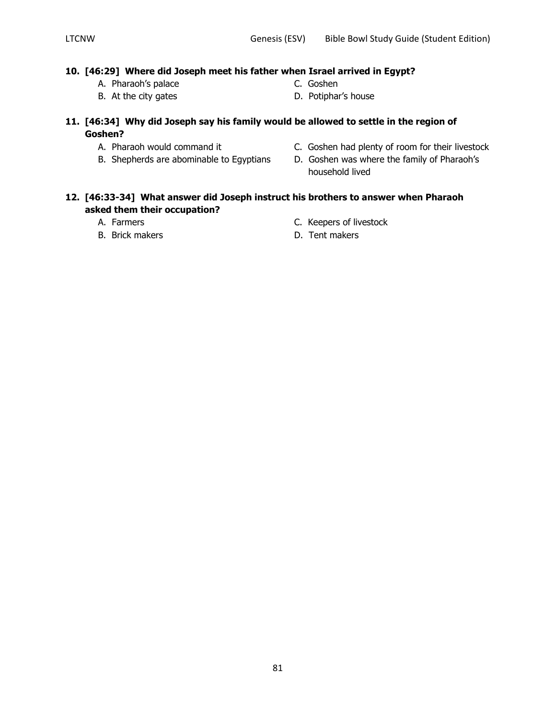#### **10. [46:29] Where did Joseph meet his father when Israel arrived in Egypt?**

- A. Pharaoh's palace C. Goshen
- 
- 
- B. At the city gates **D.** Potiphar's house
- **11. [46:34] Why did Joseph say his family would be allowed to settle in the region of Goshen?**
	-
	-
	- A. Pharaoh would command it C. Goshen had plenty of room for their livestock
	- B. Shepherds are abominable to Egyptians D. Goshen was where the family of Pharaoh's household lived

#### **12. [46:33-34] What answer did Joseph instruct his brothers to answer when Pharaoh asked them their occupation?**

- 
- 
- A. Farmers **C. Keepers of livestock**
- B. Brick makers **B. Example 19** Section 1. Tent makers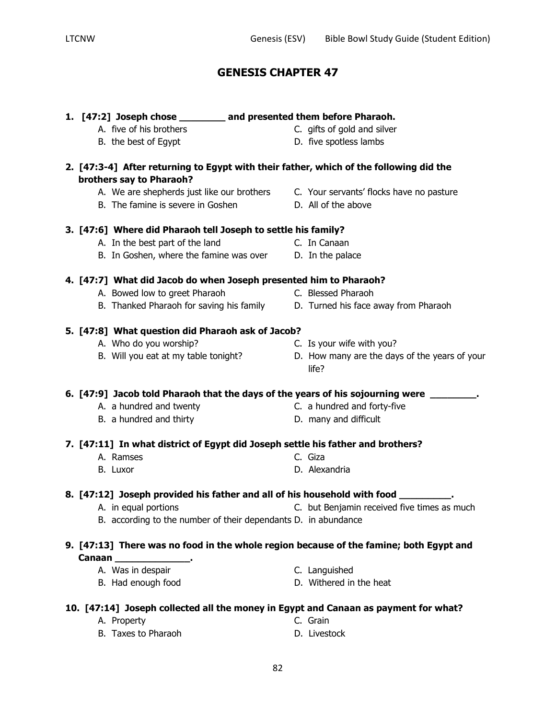| 1. [47:2] Joseph chose ________ and presented them before Pharaoh.              |                                                                                          |
|---------------------------------------------------------------------------------|------------------------------------------------------------------------------------------|
| A. five of his brothers                                                         | C. gifts of gold and silver                                                              |
| B. the best of Egypt                                                            | D. five spotless lambs                                                                   |
| brothers say to Pharaoh?                                                        | 2. [47:3-4] After returning to Egypt with their father, which of the following did the   |
|                                                                                 | A. We are shepherds just like our brothers C. Your servants' flocks have no pasture      |
| B. The famine is severe in Goshen                                               | D. All of the above                                                                      |
| 3. [47:6] Where did Pharaoh tell Joseph to settle his family?                   |                                                                                          |
| A. In the best part of the land                                                 | C. In Canaan                                                                             |
| B. In Goshen, where the famine was over D. In the palace                        |                                                                                          |
| 4. [47:7] What did Jacob do when Joseph presented him to Pharaoh?               |                                                                                          |
| A. Bowed low to greet Pharaoh                                                   | C. Blessed Pharaoh                                                                       |
|                                                                                 | B. Thanked Pharaoh for saving his family D. Turned his face away from Pharaoh            |
| 5. [47:8] What question did Pharaoh ask of Jacob?                               |                                                                                          |
| A. Who do you worship?                                                          | C. Is your wife with you?                                                                |
| B. Will you eat at my table tonight?                                            | D. How many are the days of the years of your<br>life?                                   |
|                                                                                 | 6.[47:9]Jacob told Pharaoh that the days of the years of his sojourning were __________. |
| A. a hundred and twenty                                                         | C. a hundred and forty-five                                                              |
| B. a hundred and thirty                                                         | D. many and difficult                                                                    |
| 7. [47:11] In what district of Egypt did Joseph settle his father and brothers? |                                                                                          |
| A. Ramses                                                                       | C. Giza                                                                                  |
| B. Luxor                                                                        | D. Alexandria                                                                            |
|                                                                                 | 8. $[47:12]$ Joseph provided his father and all of his household with food $\_\_$        |
| A. in equal portions                                                            | C. but Benjamin received five times as much                                              |
| B. according to the number of their dependants D. in abundance                  |                                                                                          |
|                                                                                 | 9. [47:13] There was no food in the whole region because of the famine; both Egypt and   |
| Canaan ____________________                                                     |                                                                                          |
| A. Was in despair                                                               | C. Languished                                                                            |
| B. Had enough food                                                              | D. Withered in the heat                                                                  |
|                                                                                 | 10. [47:14] Joseph collected all the money in Egypt and Canaan as payment for what?      |

B. Taxes to Pharaoh D. Livestock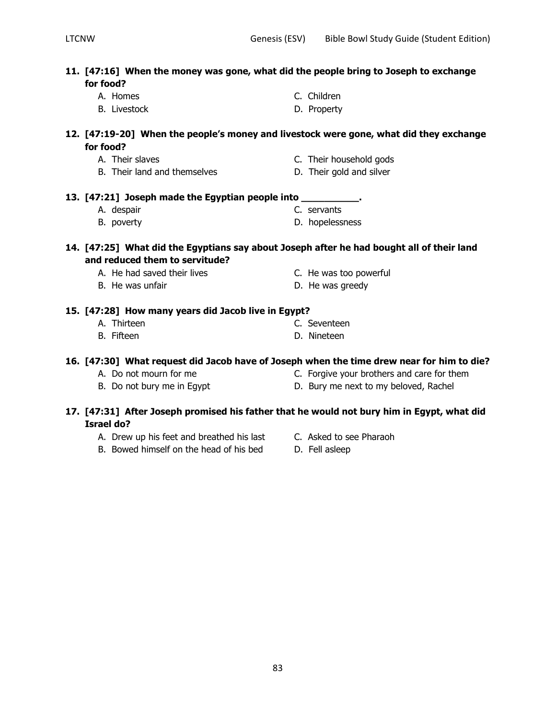| 11. [47:16] When the money was gone, what did the people bring to Joseph to exchange<br>for food?               |                                            |  |  |
|-----------------------------------------------------------------------------------------------------------------|--------------------------------------------|--|--|
| A. Homes                                                                                                        | C. Children                                |  |  |
| <b>B.</b> Livestock                                                                                             | D. Property                                |  |  |
| 12. [47:19-20] When the people's money and livestock were gone, what did they exchange<br>for food?             |                                            |  |  |
| A. Their slaves                                                                                                 |                                            |  |  |
| B. Their land and themselves                                                                                    | C. Their household gods                    |  |  |
|                                                                                                                 | D. Their gold and silver                   |  |  |
| 13. [47:21] Joseph made the Egyptian people into __________.                                                    |                                            |  |  |
| A. despair                                                                                                      | C. servants                                |  |  |
| B. poverty                                                                                                      | D. hopelessness                            |  |  |
| 14. [47:25] What did the Egyptians say about Joseph after he had bought all of their land                       |                                            |  |  |
| and reduced them to servitude?                                                                                  |                                            |  |  |
| A. He had saved their lives                                                                                     | C. He was too powerful                     |  |  |
| B. He was unfair                                                                                                | D. He was greedy                           |  |  |
| 15. [47:28] How many years did Jacob live in Egypt?                                                             |                                            |  |  |
| A. Thirteen                                                                                                     | C. Seventeen                               |  |  |
| B. Fifteen                                                                                                      | D. Nineteen                                |  |  |
| 16. [47:30] What request did Jacob have of Joseph when the time drew near for him to die?                       |                                            |  |  |
| A. Do not mourn for me                                                                                          | C. Forgive your brothers and care for them |  |  |
| B. Do not bury me in Egypt                                                                                      | D. Bury me next to my beloved, Rachel      |  |  |
| 17. [47:31] After Joseph promised his father that he would not bury him in Egypt, what did<br><b>Israel do?</b> |                                            |  |  |
| A. Drew up his feet and breathed his last                                                                       | C. Asked to see Pharaoh                    |  |  |
| B. Bowed himself on the head of his bed                                                                         | D. Fell asleep                             |  |  |
|                                                                                                                 |                                            |  |  |
|                                                                                                                 |                                            |  |  |
|                                                                                                                 |                                            |  |  |
|                                                                                                                 |                                            |  |  |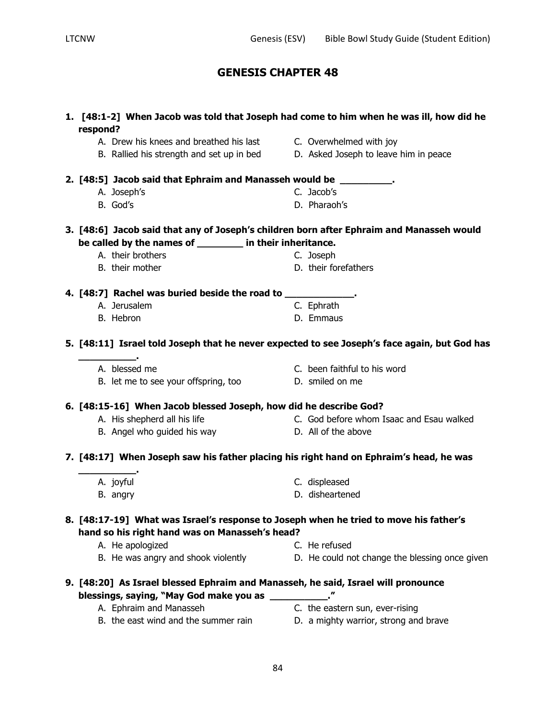| 1. [48:1-2] When Jacob was told that Joseph had come to him when he was ill, how did he<br>respond?                                     |                                                |
|-----------------------------------------------------------------------------------------------------------------------------------------|------------------------------------------------|
| A. Drew his knees and breathed his last C. Overwhelmed with joy                                                                         |                                                |
| B. Rallied his strength and set up in bed                                                                                               | D. Asked Joseph to leave him in peace          |
| 2. [48:5] Jacob said that Ephraim and Manasseh would be _________.                                                                      |                                                |
| A. Joseph's                                                                                                                             | C. Jacob's                                     |
| B. God's                                                                                                                                | D. Pharaoh's                                   |
| 3. [48:6] Jacob said that any of Joseph's children born after Ephraim and Manasseh would                                                |                                                |
| be called by the names of _______ in their inheritance.                                                                                 |                                                |
| A. their brothers                                                                                                                       | C. Joseph                                      |
| B. their mother                                                                                                                         | D. their forefathers                           |
| 4. [48:7] Rachel was buried beside the road to _____________.                                                                           |                                                |
| A. Jerusalem                                                                                                                            | C. Ephrath                                     |
| B. Hebron                                                                                                                               | D. Emmaus                                      |
| 5. [48:11] Israel told Joseph that he never expected to see Joseph's face again, but God has                                            |                                                |
| A. blessed me                                                                                                                           | C. been faithful to his word                   |
| B. let me to see your offspring, too                                                                                                    | D. smiled on me                                |
| 6. [48:15-16] When Jacob blessed Joseph, how did he describe God?                                                                       |                                                |
| A. His shepherd all his life                                                                                                            | C. God before whom Isaac and Esau walked       |
| B. Angel who guided his way                                                                                                             | D. All of the above                            |
| 7. [48:17] When Joseph saw his father placing his right hand on Ephraim's head, he was                                                  |                                                |
| A. joyful                                                                                                                               | C. displeased                                  |
| B. angry                                                                                                                                | D. disheartened                                |
| 8. [48:17-19] What was Israel's response to Joseph when he tried to move his father's<br>hand so his right hand was on Manasseh's head? |                                                |
| A. He apologized                                                                                                                        | C. He refused                                  |
| B. He was angry and shook violently                                                                                                     | D. He could not change the blessing once given |
| 9. [48:20] As Israel blessed Ephraim and Manasseh, he said, Israel will pronounce<br>blessings, saying, "May God make you as __________ |                                                |
| A. Ephraim and Manasseh                                                                                                                 | C. the eastern sun, ever-rising                |
| B. the east wind and the summer rain                                                                                                    | D. a mighty warrior, strong and brave          |
|                                                                                                                                         |                                                |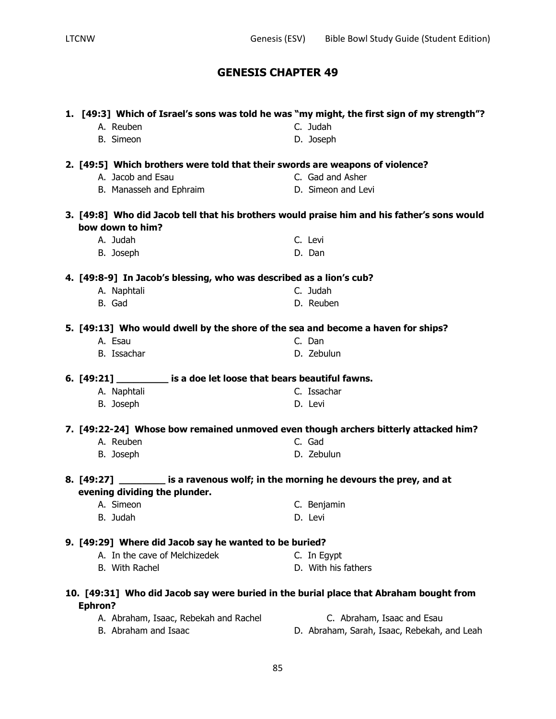|                |                                                                                        | 1. [49:3] Which of Israel's sons was told he was "my might, the first sign of my strength"? |
|----------------|----------------------------------------------------------------------------------------|---------------------------------------------------------------------------------------------|
|                | A. Reuben                                                                              | C. Judah                                                                                    |
|                | <b>B.</b> Simeon                                                                       | D. Joseph                                                                                   |
|                | 2. [49:5] Which brothers were told that their swords are weapons of violence?          |                                                                                             |
|                | A. Jacob and Esau                                                                      | C. Gad and Asher                                                                            |
|                | B. Manasseh and Ephraim                                                                | D. Simeon and Levi                                                                          |
|                |                                                                                        |                                                                                             |
|                |                                                                                        | 3. [49:8] Who did Jacob tell that his brothers would praise him and his father's sons would |
|                | bow down to him?                                                                       |                                                                                             |
|                | A. Judah                                                                               | C. Levi                                                                                     |
|                | B. Joseph                                                                              | D. Dan                                                                                      |
|                | 4. [49:8-9] In Jacob's blessing, who was described as a lion's cub?                    |                                                                                             |
|                | A. Naphtali                                                                            | C. Judah                                                                                    |
|                | B. Gad                                                                                 | D. Reuben                                                                                   |
|                | 5. [49:13] Who would dwell by the shore of the sea and become a haven for ships?       |                                                                                             |
|                | A. Esau                                                                                | C. Dan                                                                                      |
|                | B. Issachar                                                                            | D. Zebulun                                                                                  |
|                |                                                                                        |                                                                                             |
|                | 6. [49:21] is a doe let loose that bears beautiful fawns.                              | C. Issachar                                                                                 |
|                | A. Naphtali                                                                            |                                                                                             |
|                | B. Joseph                                                                              | D. Levi                                                                                     |
|                | 7. [49:22-24] Whose bow remained unmoved even though archers bitterly attacked him?    |                                                                                             |
|                | A. Reuben                                                                              | C. Gad                                                                                      |
|                | B. Joseph                                                                              | D. Zebulun                                                                                  |
|                | 8. [49:27] _________ is a ravenous wolf; in the morning he devours the prey, and at    |                                                                                             |
|                | evening dividing the plunder.                                                          |                                                                                             |
|                | A. Simeon                                                                              | C. Benjamin                                                                                 |
|                | B. Judah                                                                               | D. Levi                                                                                     |
|                | 9. [49:29] Where did Jacob say he wanted to be buried?                                 |                                                                                             |
|                | A. In the cave of Melchizedek                                                          | C. In Egypt                                                                                 |
|                | B. With Rachel                                                                         | D. With his fathers                                                                         |
|                |                                                                                        |                                                                                             |
|                | 10. [49:31] Who did Jacob say were buried in the burial place that Abraham bought from |                                                                                             |
| <b>Ephron?</b> |                                                                                        |                                                                                             |
|                | A. Abraham, Isaac, Rebekah and Rachel                                                  | C. Abraham, Isaac and Esau                                                                  |
|                | B. Abraham and Isaac                                                                   | D. Abraham, Sarah, Isaac, Rebekah, and Leah                                                 |